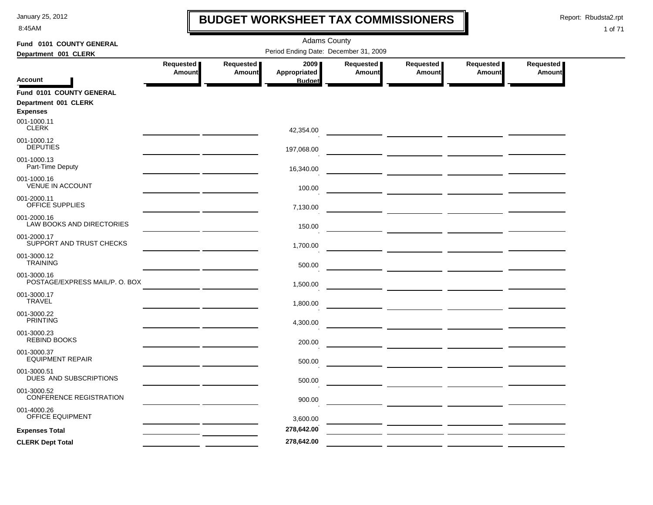8:45AM

### **BUDGET WORKSHEET TAX COMMISSIONERS**

Report: Rbudsta2.rpt

 $\mathbf l$ 

| Fund 0101 COUNTY GENERAL                      | <b>Adams County</b>        |                            |                                       |                            |                                                                                                                         |                            |                            |  |  |  |
|-----------------------------------------------|----------------------------|----------------------------|---------------------------------------|----------------------------|-------------------------------------------------------------------------------------------------------------------------|----------------------------|----------------------------|--|--|--|
| Department 001 CLERK                          |                            |                            | Period Ending Date: December 31, 2009 |                            |                                                                                                                         |                            |                            |  |  |  |
|                                               | Requested<br><b>Amount</b> | Requested<br><b>Amount</b> | 2009<br>Appropriated                  | Requested<br><b>Amount</b> | Requested<br><b>Amount</b>                                                                                              | Requested<br><b>Amount</b> | Requested<br><b>Amount</b> |  |  |  |
| <b>Account</b>                                |                            |                            | <b>Budget</b>                         |                            |                                                                                                                         |                            |                            |  |  |  |
| Fund 0101 COUNTY GENERAL                      |                            |                            |                                       |                            |                                                                                                                         |                            |                            |  |  |  |
| Department 001 CLERK<br><b>Expenses</b>       |                            |                            |                                       |                            |                                                                                                                         |                            |                            |  |  |  |
| 001-1000.11<br><b>CLERK</b>                   |                            |                            | 42,354.00                             |                            |                                                                                                                         |                            |                            |  |  |  |
| 001-1000.12<br><b>DEPUTIES</b>                |                            |                            | 197,068.00                            |                            |                                                                                                                         |                            |                            |  |  |  |
| 001-1000.13<br>Part-Time Deputy               |                            |                            | 16,340.00                             |                            |                                                                                                                         |                            |                            |  |  |  |
| 001-1000.16<br><b>VENUE IN ACCOUNT</b>        |                            |                            | 100.00                                |                            |                                                                                                                         |                            |                            |  |  |  |
| 001-2000.11<br><b>OFFICE SUPPLIES</b>         |                            |                            | 7,130.00                              |                            |                                                                                                                         |                            |                            |  |  |  |
| 001-2000.16<br>LAW BOOKS AND DIRECTORIES      |                            |                            | 150.00                                |                            |                                                                                                                         |                            |                            |  |  |  |
| 001-2000.17<br>SUPPORT AND TRUST CHECKS       |                            |                            | 1,700.00                              |                            |                                                                                                                         |                            |                            |  |  |  |
| 001-3000.12<br><b>TRAINING</b>                |                            |                            | 500.00                                |                            |                                                                                                                         |                            |                            |  |  |  |
| 001-3000.16<br>POSTAGE/EXPRESS MAIL/P. O. BOX |                            |                            | 1,500.00                              |                            |                                                                                                                         |                            |                            |  |  |  |
| 001-3000.17<br><b>TRAVEL</b>                  |                            |                            | 1,800.00                              |                            | <u> The Common School and Common School and Common School and Common School and Common School and Common School and</u> |                            |                            |  |  |  |
| 001-3000.22<br><b>PRINTING</b>                |                            |                            | 4,300.00                              |                            |                                                                                                                         |                            |                            |  |  |  |
| 001-3000.23<br><b>REBIND BOOKS</b>            |                            |                            | 200.00                                |                            |                                                                                                                         |                            |                            |  |  |  |
| 001-3000.37<br><b>EQUIPMENT REPAIR</b>        |                            |                            | 500.00                                |                            |                                                                                                                         |                            |                            |  |  |  |
| 001-3000.51<br>DUES AND SUBSCRIPTIONS         |                            |                            | 500.00                                |                            |                                                                                                                         |                            |                            |  |  |  |
| 001-3000.52<br>CONFERENCE REGISTRATION        |                            |                            | 900.00                                |                            |                                                                                                                         |                            |                            |  |  |  |
| 001-4000.26<br>OFFICE EQUIPMENT               |                            |                            | 3,600.00                              |                            |                                                                                                                         |                            |                            |  |  |  |
| <b>Expenses Total</b>                         |                            |                            | 278,642.00                            |                            | <u> 1989 - Johann Barbara, martxa al</u>                                                                                |                            |                            |  |  |  |
| <b>CLERK Dept Total</b>                       |                            |                            | 278,642.00                            |                            |                                                                                                                         |                            |                            |  |  |  |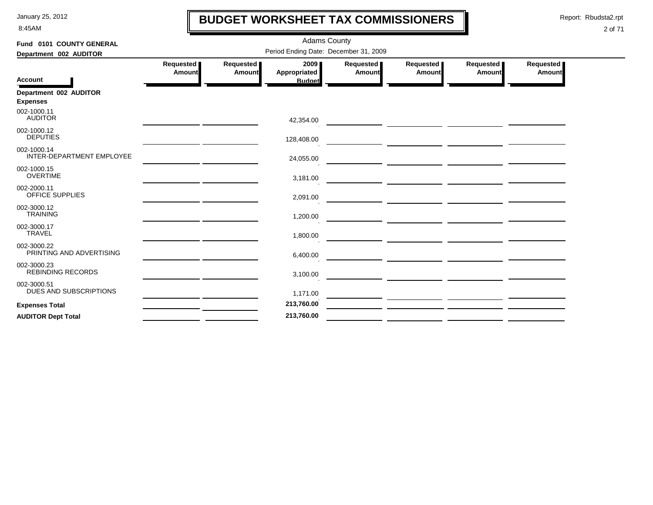8:45AM

# **BUDGET WORKSHEET TAX COMMISSIONERS**

Report: Rbudsta2.rpt

 $\mathbf l$ 

| Fund 0101 COUNTY GENERAL                 | <b>Adams County</b>                   |                            |                      |                            |                                                                                                                      |                     |                     |  |  |
|------------------------------------------|---------------------------------------|----------------------------|----------------------|----------------------------|----------------------------------------------------------------------------------------------------------------------|---------------------|---------------------|--|--|
| Department 002 AUDITOR                   | Period Ending Date: December 31, 2009 |                            |                      |                            |                                                                                                                      |                     |                     |  |  |
|                                          | Requested<br><b>Amount</b>            | <b>Requested</b><br>Amount | 2009<br>Appropriated | Requested<br><b>Amount</b> | Requested<br>Amount                                                                                                  | Requested<br>Amount | Requested<br>Amount |  |  |
| <b>Account</b>                           |                                       |                            | <b>Budget</b>        |                            |                                                                                                                      |                     |                     |  |  |
| Department 002 AUDITOR                   |                                       |                            |                      |                            |                                                                                                                      |                     |                     |  |  |
| <b>Expenses</b>                          |                                       |                            |                      |                            |                                                                                                                      |                     |                     |  |  |
| 002-1000.11<br><b>AUDITOR</b>            |                                       |                            | 42,354.00            |                            |                                                                                                                      |                     |                     |  |  |
| 002-1000.12<br><b>DEPUTIES</b>           |                                       |                            | 128,408.00           |                            |                                                                                                                      |                     |                     |  |  |
| 002-1000.14<br>INTER-DEPARTMENT EMPLOYEE |                                       |                            | 24,055.00            |                            | <u> 1980 - John Barnett, fransk politiker (d. 1980)</u>                                                              |                     |                     |  |  |
| 002-1000.15<br><b>OVERTIME</b>           |                                       |                            | 3,181.00             |                            |                                                                                                                      |                     |                     |  |  |
| 002-2000.11<br>OFFICE SUPPLIES           |                                       |                            | 2,091.00             |                            | <u> Andreas Andreas Andreas Andreas Andreas Andreas Andreas Andreas Andreas Andreas Andreas Andreas Andreas Andr</u> |                     |                     |  |  |
| 002-3000.12<br><b>TRAINING</b>           |                                       |                            | 1,200.00             |                            |                                                                                                                      |                     |                     |  |  |
| 002-3000.17<br><b>TRAVEL</b>             |                                       |                            | 1,800.00             |                            |                                                                                                                      |                     |                     |  |  |
| 002-3000.22<br>PRINTING AND ADVERTISING  |                                       |                            | 6,400.00             |                            |                                                                                                                      |                     |                     |  |  |
| 002-3000.23<br><b>REBINDING RECORDS</b>  |                                       |                            | 3,100.00             |                            |                                                                                                                      |                     |                     |  |  |
| 002-3000.51<br>DUES AND SUBSCRIPTIONS    |                                       |                            | 1,171.00             |                            |                                                                                                                      |                     |                     |  |  |
| <b>Expenses Total</b>                    |                                       |                            | 213,760.00           |                            |                                                                                                                      |                     |                     |  |  |
| <b>AUDITOR Dept Total</b>                |                                       |                            | 213,760.00           |                            |                                                                                                                      |                     |                     |  |  |
|                                          |                                       |                            |                      |                            |                                                                                                                      |                     |                     |  |  |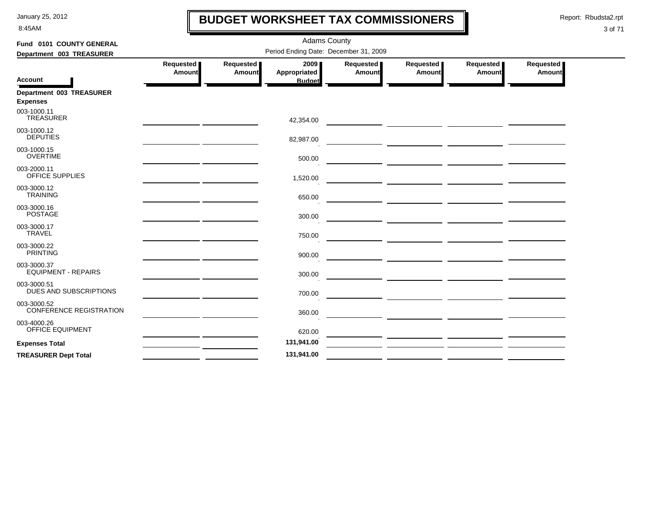8:45AM

# **BUDGET WORKSHEET TAX COMMISSIONERS**

Report: Rbudsta2.rpt

 $\mathbf l$ 

| Fund 0101 COUNTY GENERAL                      |                     |                            | <b>Adams County</b>                   |                     |                                                                                                                       |                              |                     |
|-----------------------------------------------|---------------------|----------------------------|---------------------------------------|---------------------|-----------------------------------------------------------------------------------------------------------------------|------------------------------|---------------------|
| Department 003 TREASURER                      |                     |                            | Period Ending Date: December 31, 2009 |                     |                                                                                                                       |                              |                     |
| <b>Account</b>                                | Requested<br>Amount | Requested<br><b>Amount</b> | 2009 ∎<br><b>Appropriated</b>         | Requested<br>Amount | Requested<br>Amount                                                                                                   | Requested  <br><b>Amount</b> | Requested<br>Amount |
|                                               |                     |                            | <b>Budget</b>                         |                     |                                                                                                                       |                              |                     |
| Department 003 TREASURER                      |                     |                            |                                       |                     |                                                                                                                       |                              |                     |
| <b>Expenses</b>                               |                     |                            |                                       |                     |                                                                                                                       |                              |                     |
| 003-1000.11<br><b>TREASURER</b>               |                     |                            | 42,354.00                             |                     |                                                                                                                       |                              |                     |
| 003-1000.12                                   |                     |                            |                                       |                     |                                                                                                                       |                              |                     |
| <b>DEPUTIES</b>                               |                     |                            | 82,987.00                             |                     |                                                                                                                       |                              |                     |
| 003-1000.15<br><b>OVERTIME</b>                |                     |                            | 500.00                                |                     |                                                                                                                       |                              |                     |
| 003-2000.11                                   |                     |                            |                                       |                     |                                                                                                                       |                              |                     |
| OFFICE SUPPLIES                               |                     |                            | 1,520.00                              |                     | <u> 1989 - John Harry Harry Harry Harry Harry Harry Harry Harry Harry Harry Harry Harry Harry Harry Harry Harry H</u> |                              |                     |
| 003-3000.12<br><b>TRAINING</b>                |                     |                            | 650.00                                |                     |                                                                                                                       |                              |                     |
| 003-3000.16                                   |                     |                            |                                       |                     |                                                                                                                       |                              |                     |
| <b>POSTAGE</b>                                |                     |                            | 300.00                                |                     |                                                                                                                       |                              |                     |
| 003-3000.17                                   |                     |                            |                                       |                     | ___ __________ ___________ ________                                                                                   |                              |                     |
| <b>TRAVEL</b>                                 |                     |                            | 750.00                                |                     | <u> 2002 - Johann John Stein, mars et al. (2003)</u>                                                                  |                              |                     |
| 003-3000.22                                   |                     |                            |                                       |                     |                                                                                                                       |                              |                     |
| <b>PRINTING</b>                               |                     |                            | 900.00                                |                     |                                                                                                                       |                              |                     |
| 003-3000.37                                   |                     |                            |                                       |                     |                                                                                                                       |                              |                     |
| <b>EQUIPMENT - REPAIRS</b>                    |                     |                            | 300.00                                |                     |                                                                                                                       |                              |                     |
| 003-3000.51                                   |                     |                            |                                       |                     |                                                                                                                       |                              |                     |
| DUES AND SUBSCRIPTIONS                        |                     |                            | 700.00                                |                     |                                                                                                                       |                              |                     |
| 003-3000.52<br><b>CONFERENCE REGISTRATION</b> |                     |                            |                                       |                     |                                                                                                                       |                              |                     |
|                                               |                     |                            | 360.00                                |                     |                                                                                                                       |                              |                     |
| 003-4000.26<br>OFFICE EQUIPMENT               |                     |                            |                                       |                     |                                                                                                                       |                              |                     |
|                                               |                     |                            | 620.00                                |                     |                                                                                                                       |                              |                     |
| <b>Expenses Total</b>                         |                     |                            | 131,941.00                            |                     |                                                                                                                       |                              |                     |
| <b>TREASURER Dept Total</b>                   |                     |                            | 131,941.00                            |                     |                                                                                                                       |                              |                     |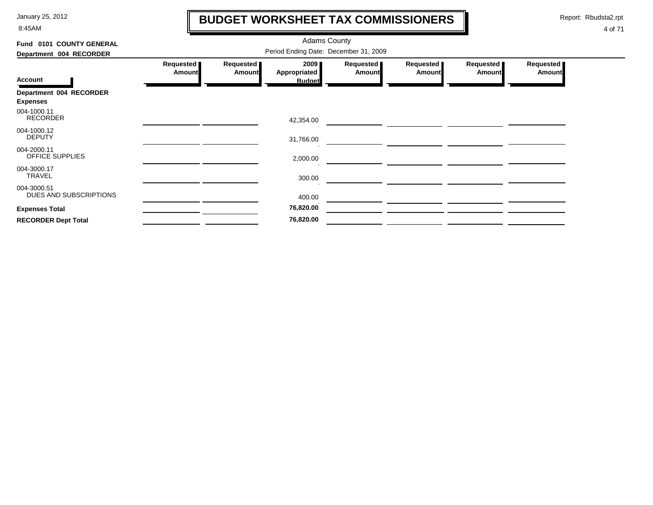8:45AM

# **BUDGET WORKSHEET TAX COMMISSIONERS**

Report: Rbudsta2.rpt

 $\mathbf \mathbf I$ 

| Fund 0101 COUNTY GENERAL                   |                                       |                            | <b>Adams County</b>         |                              |                            |                            |                            |  |  |
|--------------------------------------------|---------------------------------------|----------------------------|-----------------------------|------------------------------|----------------------------|----------------------------|----------------------------|--|--|
| Department 004 RECORDER                    | Period Ending Date: December 31, 2009 |                            |                             |                              |                            |                            |                            |  |  |
|                                            | Requested<br><b>Amount</b>            | Requested<br><b>Amount</b> | 2009<br><b>Appropriated</b> | Requested  <br><b>Amount</b> | Requested<br><b>Amount</b> | Requested<br><b>Amount</b> | Requested<br><b>Amount</b> |  |  |
| <b>Account</b>                             |                                       |                            | <b>Budget</b>               |                              |                            |                            |                            |  |  |
| Department 004 RECORDER<br><b>Expenses</b> |                                       |                            |                             |                              |                            |                            |                            |  |  |
| 004-1000.11<br><b>RECORDER</b>             |                                       |                            | 42,354.00                   |                              |                            |                            |                            |  |  |
| 004-1000.12<br><b>DEPUTY</b>               |                                       |                            | 31,766.00                   |                              |                            |                            |                            |  |  |
| 004-2000.11<br>OFFICE SUPPLIES             |                                       |                            | 2,000.00                    |                              |                            |                            |                            |  |  |
| 004-3000.17<br>TRAVEL                      |                                       |                            | 300.00                      |                              |                            |                            |                            |  |  |
| 004-3000.51<br>DUES AND SUBSCRIPTIONS      |                                       |                            | 400.00                      |                              |                            |                            |                            |  |  |
| <b>Expenses Total</b>                      |                                       |                            | 76,820.00                   |                              |                            |                            |                            |  |  |
| <b>RECORDER Dept Total</b>                 |                                       |                            | 76,820.00                   |                              |                            |                            |                            |  |  |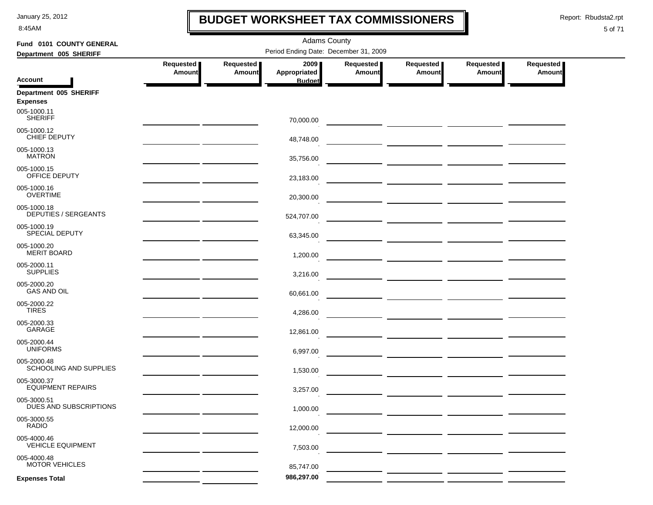8:45AM

### **BUDGET WORKSHEET TAX COMMISSIONERS**

Report: Rbudsta2.rpt

 $\mathbf I$ 

| Fund 0101 COUNTY GENERAL                  | <b>Adams County</b>                                                                                                   |                            |                                       |                     |                            |                                                                                                                       |                            |  |  |  |  |
|-------------------------------------------|-----------------------------------------------------------------------------------------------------------------------|----------------------------|---------------------------------------|---------------------|----------------------------|-----------------------------------------------------------------------------------------------------------------------|----------------------------|--|--|--|--|
| Department 005 SHERIFF                    |                                                                                                                       |                            | Period Ending Date: December 31, 2009 |                     |                            |                                                                                                                       |                            |  |  |  |  |
|                                           | Requested<br>Amount                                                                                                   | Requested<br><b>Amount</b> | 2009<br>Appropriated                  | Requested<br>Amount | Requested<br><b>Amount</b> | Requested<br>Amount                                                                                                   | Requested<br><b>Amount</b> |  |  |  |  |
| <b>Account</b>                            |                                                                                                                       |                            | <b>Budget</b>                         |                     |                            |                                                                                                                       |                            |  |  |  |  |
| Department 005 SHERIFF<br><b>Expenses</b> |                                                                                                                       |                            |                                       |                     |                            |                                                                                                                       |                            |  |  |  |  |
| 005-1000.11<br><b>SHERIFF</b>             |                                                                                                                       |                            | 70,000.00                             |                     |                            |                                                                                                                       |                            |  |  |  |  |
| 005-1000.12<br>CHIEF DEPUTY               |                                                                                                                       |                            | 48,748.00                             |                     |                            |                                                                                                                       |                            |  |  |  |  |
| 005-1000.13<br><b>MATRON</b>              |                                                                                                                       |                            | 35,756.00                             |                     |                            |                                                                                                                       |                            |  |  |  |  |
| 005-1000.15<br>OFFICE DEPUTY              |                                                                                                                       |                            | 23,183.00                             |                     |                            |                                                                                                                       |                            |  |  |  |  |
| 005-1000.16<br><b>OVERTIME</b>            |                                                                                                                       |                            | 20,300.00                             |                     |                            | <u> 1990 - John Harry Harry Harry Harry Harry Harry Harry Harry Harry Harry Harry Harry Harry Harry Harry Harry H</u> |                            |  |  |  |  |
| 005-1000.18<br>DEPUTIES / SERGEANTS       |                                                                                                                       |                            | 524,707.00                            |                     |                            |                                                                                                                       |                            |  |  |  |  |
| 005-1000.19<br>SPECIAL DEPUTY             | <u> 1989 - Jan Alexandro III, politik po</u>                                                                          |                            | 63,345.00                             |                     |                            |                                                                                                                       |                            |  |  |  |  |
| 005-1000.20<br><b>MERIT BOARD</b>         | <u> 1989 - Johann Harry Barn, mars and de Branch and de Branch and de Branch and de Branch and de Branch and de B</u> |                            | 1,200.00                              |                     |                            |                                                                                                                       |                            |  |  |  |  |
| 005-2000.11<br><b>SUPPLIES</b>            |                                                                                                                       |                            | 3,216.00                              |                     |                            |                                                                                                                       |                            |  |  |  |  |
| 005-2000.20<br><b>GAS AND OIL</b>         |                                                                                                                       |                            | 60,661.00                             |                     |                            |                                                                                                                       |                            |  |  |  |  |
| 005-2000.22<br><b>TIRES</b>               |                                                                                                                       |                            | 4,286.00                              |                     |                            |                                                                                                                       |                            |  |  |  |  |
| 005-2000.33<br>GARAGE                     |                                                                                                                       |                            | 12,861.00                             |                     |                            |                                                                                                                       |                            |  |  |  |  |
| 005-2000.44<br><b>UNIFORMS</b>            |                                                                                                                       |                            | 6,997.00                              |                     |                            |                                                                                                                       |                            |  |  |  |  |
| 005-2000.48<br>SCHOOLING AND SUPPLIES     |                                                                                                                       |                            | 1,530.00                              |                     |                            |                                                                                                                       |                            |  |  |  |  |
| 005-3000.37<br><b>EQUIPMENT REPAIRS</b>   |                                                                                                                       |                            | 3,257.00                              |                     |                            |                                                                                                                       |                            |  |  |  |  |
| 005-3000.51<br>DUES AND SUBSCRIPTIONS     |                                                                                                                       |                            | 1,000.00                              |                     |                            |                                                                                                                       |                            |  |  |  |  |
| 005-3000.55<br><b>RADIO</b>               |                                                                                                                       |                            | 12,000.00                             |                     |                            |                                                                                                                       |                            |  |  |  |  |
| 005-4000.46<br><b>VEHICLE EQUIPMENT</b>   |                                                                                                                       |                            | 7,503.00                              |                     |                            |                                                                                                                       |                            |  |  |  |  |
| 005-4000.48<br><b>MOTOR VEHICLES</b>      |                                                                                                                       |                            | 85,747.00                             |                     |                            |                                                                                                                       |                            |  |  |  |  |
| <b>Expenses Total</b>                     |                                                                                                                       |                            | 986,297.00                            |                     |                            |                                                                                                                       |                            |  |  |  |  |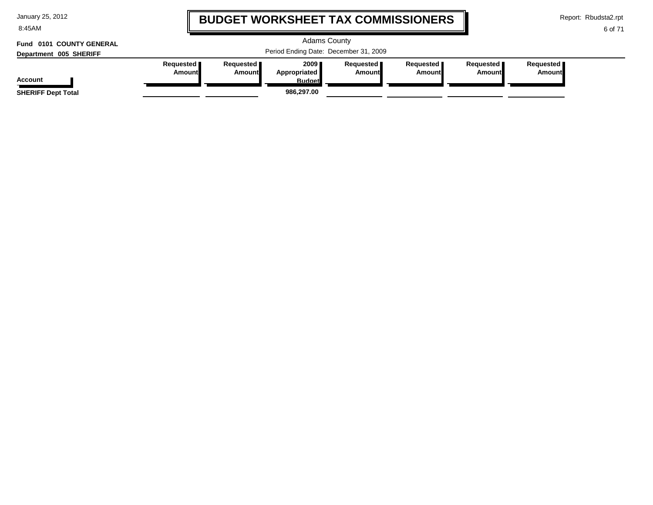8:45AM

# **BUDGET WORKSHEET TAX COMMISSIONERS**

Adams County

Period Ending Date: December 31, 2009

Report: Rbudsta2.rpt

6 of 71

# **Department 005 SHERIFF Fund 0101 COUNTY GENERAL**

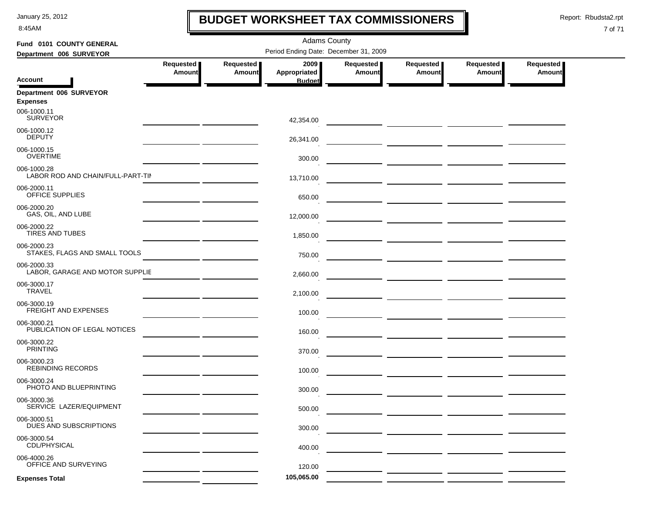8:45AM

### **BUDGET WORKSHEET TAX COMMISSIONERS**

Report: Rbudsta2.rpt

 $\mathbf I$ 

| Fund 0101 COUNTY GENERAL                         |                     |                            | <b>Adams County</b>                   |                     |                                                                                                                                                                                                                                      |                            |                                   |
|--------------------------------------------------|---------------------|----------------------------|---------------------------------------|---------------------|--------------------------------------------------------------------------------------------------------------------------------------------------------------------------------------------------------------------------------------|----------------------------|-----------------------------------|
| Department 006 SURVEYOR                          |                     |                            | Period Ending Date: December 31, 2009 |                     |                                                                                                                                                                                                                                      |                            |                                   |
|                                                  | Requested<br>Amount | Requested<br><b>Amount</b> | 2009<br>Appropriated                  | Requested<br>Amount | Requested<br><b>Amount</b>                                                                                                                                                                                                           | Requested<br><b>Amount</b> | <b>Requested</b><br><b>Amount</b> |
| <b>Account</b>                                   |                     |                            | <b>Budget</b>                         |                     |                                                                                                                                                                                                                                      |                            |                                   |
| Department 006 SURVEYOR<br><b>Expenses</b>       |                     |                            |                                       |                     |                                                                                                                                                                                                                                      |                            |                                   |
| 006-1000.11<br><b>SURVEYOR</b>                   |                     |                            | 42,354.00                             |                     |                                                                                                                                                                                                                                      |                            |                                   |
| 006-1000.12<br><b>DEPUTY</b>                     |                     |                            | 26,341.00                             |                     |                                                                                                                                                                                                                                      |                            |                                   |
| 006-1000.15<br><b>OVERTIME</b>                   |                     |                            | 300.00                                |                     | <u> 1990 - Johann Harry Harry Harry Harry Harry Harry Harry Harry Harry Harry Harry Harry Harry Harry Harry Harry</u>                                                                                                                |                            |                                   |
| 006-1000.28<br>LABOR ROD AND CHAIN/FULL-PART-TII |                     |                            | 13,710.00                             |                     |                                                                                                                                                                                                                                      |                            |                                   |
| 006-2000.11<br>OFFICE SUPPLIES                   |                     |                            | 650.00                                |                     |                                                                                                                                                                                                                                      |                            |                                   |
| 006-2000.20<br>GAS, OIL, AND LUBE                |                     |                            | 12,000.00                             |                     |                                                                                                                                                                                                                                      |                            |                                   |
| 006-2000.22<br>TIRES AND TUBES                   |                     |                            | 1,850.00                              |                     |                                                                                                                                                                                                                                      |                            |                                   |
| 006-2000.23<br>STAKES, FLAGS AND SMALL TOOLS     |                     |                            | 750.00                                |                     |                                                                                                                                                                                                                                      |                            |                                   |
| 006-2000.33<br>LABOR, GARAGE AND MOTOR SUPPLIE   |                     |                            | 2,660.00                              |                     |                                                                                                                                                                                                                                      |                            |                                   |
| 006-3000.17<br><b>TRAVEL</b>                     |                     |                            | 2,100.00                              |                     |                                                                                                                                                                                                                                      |                            |                                   |
| 006-3000.19<br><b>FREIGHT AND EXPENSES</b>       |                     |                            | 100.00                                |                     |                                                                                                                                                                                                                                      |                            |                                   |
| 006-3000.21<br>PUBLICATION OF LEGAL NOTICES      |                     |                            | 160.00                                |                     |                                                                                                                                                                                                                                      |                            |                                   |
| 006-3000.22<br><b>PRINTING</b>                   |                     |                            | 370.00                                |                     | <u> The Common State of the Common State of the Common State of the Common State of the Common State of the Common State of the Common State of the Common State of the Common State of the Common State of the Common State of </u> |                            |                                   |
| 006-3000.23<br><b>REBINDING RECORDS</b>          |                     |                            | 100.00                                |                     |                                                                                                                                                                                                                                      |                            |                                   |
| 006-3000.24<br>PHOTO AND BLUEPRINTING            |                     |                            | 300.00                                |                     |                                                                                                                                                                                                                                      |                            |                                   |
| 006-3000.36<br>SERVICE LAZER/EQUIPMENT           |                     |                            | 500.00                                |                     |                                                                                                                                                                                                                                      |                            |                                   |
| 006-3000.51<br>DUES AND SUBSCRIPTIONS            |                     |                            | 300.00                                |                     |                                                                                                                                                                                                                                      |                            |                                   |
| 006-3000.54<br>CDL/PHYSICAL                      |                     |                            | 400.00                                |                     |                                                                                                                                                                                                                                      |                            |                                   |
| 006-4000.26<br>OFFICE AND SURVEYING              |                     |                            | 120.00                                |                     |                                                                                                                                                                                                                                      |                            |                                   |
| <b>Expenses Total</b>                            |                     |                            | 105,065.00                            |                     |                                                                                                                                                                                                                                      |                            |                                   |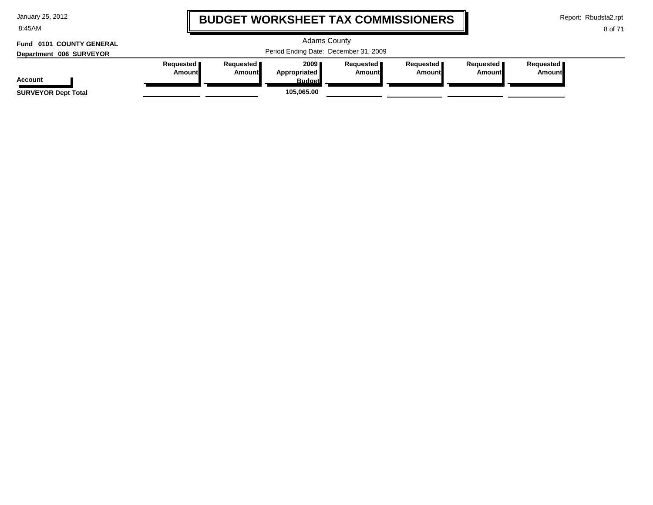| January 25, 2012 |  |  |  |
|------------------|--|--|--|
|------------------|--|--|--|

8:45AM

# **BUDGET WORKSHEET TAX COMMISSIONERS**

Report: Rbudsta2.rpt

**Amount**

#### 8 of 71

#### Adams County Period Ending Date: December 31, 2009 **Account Department 006 SURVEYOR Fund 0101 COUNTY GENERAL Requested Amount Requested Amount 2009 Appropriated Budget Requested Amount Requested Amount Requested Amount Requested SURVEYOR Dept Total 105,065.00**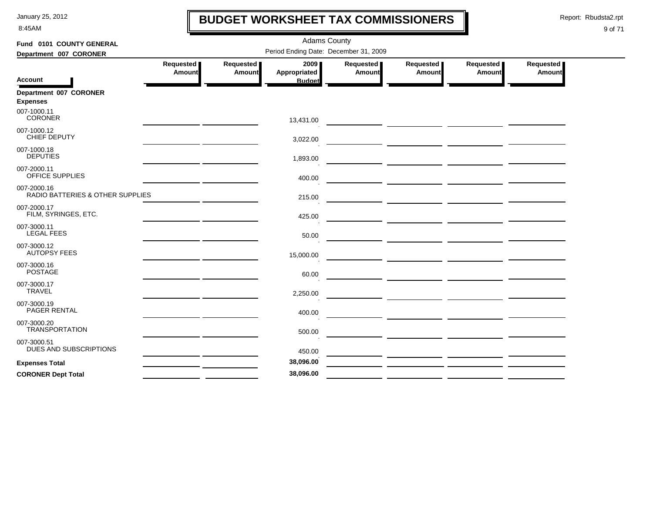8:45AM

# **BUDGET WORKSHEET TAX COMMISSIONERS**

Report: Rbudsta2.rpt

 $\mathbf l$ 

| Fund 0101 COUNTY GENERAL                        |                            |                     | <b>Adams County</b>                     |                     |                     |                     |                     |
|-------------------------------------------------|----------------------------|---------------------|-----------------------------------------|---------------------|---------------------|---------------------|---------------------|
| Department 007 CORONER                          |                            |                     | Period Ending Date: December 31, 2009   |                     |                     |                     |                     |
| <b>Account</b>                                  | Requested<br><b>Amount</b> | Requested<br>Amount | 2009 ∎<br>Appropriated<br><b>Budget</b> | Requested<br>Amount | Requested<br>Amount | Requested<br>Amount | Requested<br>Amount |
| Department 007 CORONER<br><b>Expenses</b>       |                            |                     |                                         |                     |                     |                     |                     |
| 007-1000.11<br><b>CORONER</b>                   |                            |                     | 13,431.00                               |                     |                     |                     |                     |
| 007-1000.12<br>CHIEF DEPUTY                     |                            |                     | 3,022.00                                |                     |                     |                     |                     |
| 007-1000.18<br><b>DEPUTIES</b>                  |                            |                     | 1,893.00                                |                     |                     |                     |                     |
| 007-2000.11<br><b>OFFICE SUPPLIES</b>           |                            |                     | 400.00                                  |                     |                     |                     |                     |
| 007-2000.16<br>RADIO BATTERIES & OTHER SUPPLIES |                            |                     | 215.00                                  |                     |                     |                     |                     |
| 007-2000.17<br>FILM, SYRINGES, ETC.             |                            |                     | 425.00                                  |                     |                     |                     |                     |
| 007-3000.11<br><b>LEGAL FEES</b>                |                            |                     | 50.00                                   |                     |                     |                     |                     |
| 007-3000.12<br><b>AUTOPSY FEES</b>              |                            |                     | 15,000.00                               |                     |                     |                     |                     |
| 007-3000.16<br><b>POSTAGE</b>                   |                            |                     | 60.00                                   |                     |                     |                     |                     |
| 007-3000.17<br><b>TRAVEL</b>                    |                            |                     | 2,250.00                                |                     |                     |                     |                     |
| 007-3000.19<br><b>PAGER RENTAL</b>              |                            |                     | 400.00                                  |                     |                     |                     |                     |
| 007-3000.20<br><b>TRANSPORTATION</b>            |                            |                     | 500.00                                  |                     |                     |                     |                     |
| 007-3000.51<br>DUES AND SUBSCRIPTIONS           |                            |                     | 450.00                                  |                     |                     |                     |                     |
| <b>Expenses Total</b>                           |                            |                     | 38,096.00                               |                     |                     |                     |                     |
| <b>CORONER Dept Total</b>                       |                            |                     | 38,096.00                               |                     |                     |                     |                     |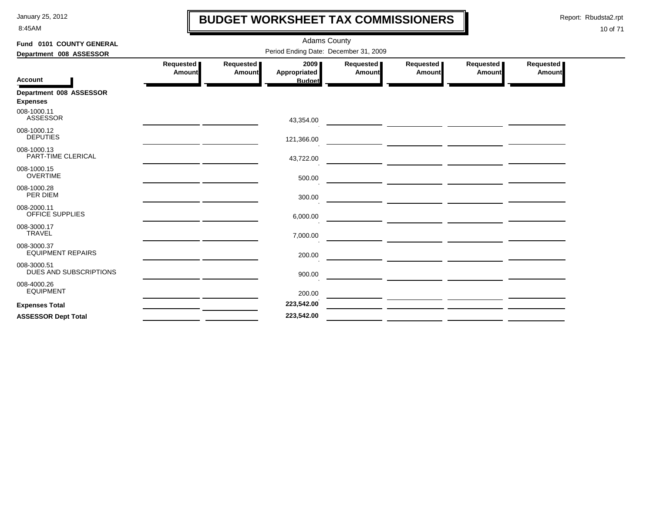8:45AM

# **BUDGET WORKSHEET TAX COMMISSIONERS**

Report: Rbudsta2.rpt

 $\mathbf l$ 

| Fund 0101 COUNTY GENERAL<br>Department 008 ASSESSOR | <b>Adams County</b><br>Period Ending Date: December 31, 2009 |                     |                                       |                     |                                                                                                                                                                                         |                            |                     |  |  |  |
|-----------------------------------------------------|--------------------------------------------------------------|---------------------|---------------------------------------|---------------------|-----------------------------------------------------------------------------------------------------------------------------------------------------------------------------------------|----------------------------|---------------------|--|--|--|
| <b>Account</b>                                      | Requested<br>Amount                                          | Requested<br>Amount | 2009<br>Appropriated<br><b>Budget</b> | Requested<br>Amount | Requested<br><b>Amount</b>                                                                                                                                                              | Requested<br><b>Amount</b> | Requested<br>Amount |  |  |  |
| Department 008 ASSESSOR<br><b>Expenses</b>          |                                                              |                     |                                       |                     |                                                                                                                                                                                         |                            |                     |  |  |  |
| 008-1000.11<br><b>ASSESSOR</b>                      |                                                              |                     | 43,354.00                             |                     | <u> Alban a shekara ta 1999 a shekara ta 1999 a shekara ta 1999 a shekara ta 1999 a shekara ta 1999 a shekara t</u>                                                                     |                            |                     |  |  |  |
| 008-1000.12<br><b>DEPUTIES</b>                      |                                                              |                     | 121,366.00                            |                     |                                                                                                                                                                                         |                            |                     |  |  |  |
| 008-1000.13<br>PART-TIME CLERICAL                   |                                                              |                     | 43,722.00                             |                     | <u> André de la companya de la companya de la compa</u>                                                                                                                                 |                            |                     |  |  |  |
| 008-1000.15<br><b>OVERTIME</b>                      |                                                              |                     | 500.00                                |                     | <u> 1989 - Johann Harry Harry Harry Harry Harry Harry Harry Harry Harry Harry Harry Harry Harry Harry Harry Harry</u>                                                                   |                            |                     |  |  |  |
| 008-1000.28<br>PER DIEM                             |                                                              |                     | 300.00                                |                     | <u>and the second contract of the second contract of the second contract of the second contract of the second con</u>                                                                   |                            |                     |  |  |  |
| 008-2000.11<br>OFFICE SUPPLIES                      |                                                              |                     | 6,000.00                              |                     |                                                                                                                                                                                         |                            |                     |  |  |  |
| 008-3000.17<br><b>TRAVEL</b>                        |                                                              |                     | 7,000.00                              |                     | <u> 1989 - John Stein, amerikansk politiker (d. 1989)</u><br><u>and</u> the contract of the contract of the contract of the contract of the contract of the contract of the contract of |                            |                     |  |  |  |
| 008-3000.37<br><b>EQUIPMENT REPAIRS</b>             |                                                              |                     | 200.00                                |                     |                                                                                                                                                                                         |                            |                     |  |  |  |
| 008-3000.51<br>DUES AND SUBSCRIPTIONS               |                                                              |                     | 900.00                                |                     |                                                                                                                                                                                         |                            |                     |  |  |  |
| 008-4000.26<br><b>EQUIPMENT</b>                     |                                                              |                     | 200.00                                |                     |                                                                                                                                                                                         |                            |                     |  |  |  |
| <b>Expenses Total</b>                               |                                                              |                     | 223,542.00                            |                     |                                                                                                                                                                                         |                            |                     |  |  |  |
| <b>ASSESSOR Dept Total</b>                          |                                                              |                     | 223,542.00                            |                     |                                                                                                                                                                                         |                            |                     |  |  |  |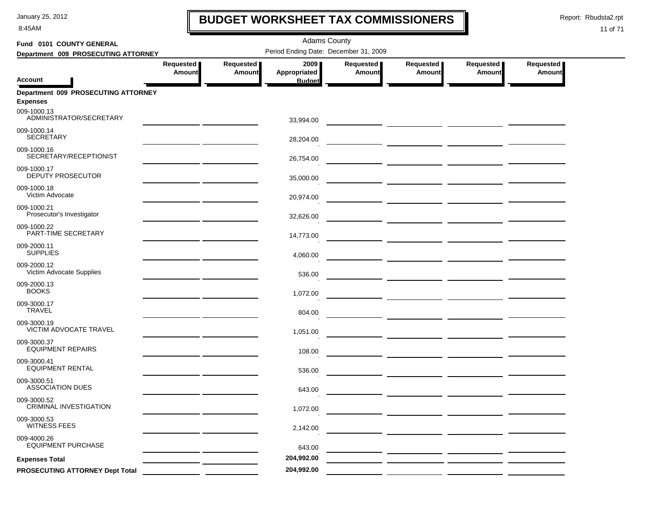8:45AM

# **BUDGET WORKSHEET TAX COMMISSIONERS**

Report: Rbudsta2.rpt

 $\mathbf l$ 

| Fund 0101 COUNTY GENERAL                               |                            |                                       |                      |                            |                                                                                                                       |                              |                            |
|--------------------------------------------------------|----------------------------|---------------------------------------|----------------------|----------------------------|-----------------------------------------------------------------------------------------------------------------------|------------------------------|----------------------------|
| Department 009 PROSECUTING ATTORNEY                    |                            | Period Ending Date: December 31, 2009 |                      |                            |                                                                                                                       |                              |                            |
|                                                        | Requested<br><b>Amount</b> | Requested<br><b>Amount</b>            | 2009<br>Appropriated | Requested<br><b>Amount</b> | Requested<br><b>Amount</b>                                                                                            | Requested  <br><b>Amount</b> | Requested<br><b>Amount</b> |
| <b>Account</b>                                         |                            |                                       | <b>Budget</b>        |                            |                                                                                                                       |                              |                            |
| Department 009 PROSECUTING ATTORNEY<br><b>Expenses</b> |                            |                                       |                      |                            |                                                                                                                       |                              |                            |
| 009-1000.13<br>ADMINISTRATOR/SECRETARY                 |                            |                                       | 33,994.00            |                            |                                                                                                                       |                              |                            |
| 009-1000.14<br><b>SECRETARY</b>                        |                            |                                       | 28,204.00            |                            |                                                                                                                       |                              |                            |
| 009-1000.16<br>SECRETARY/RECEPTIONIST                  |                            |                                       | 26,754.00            |                            |                                                                                                                       |                              |                            |
| 009-1000.17<br>DEPUTY PROSECUTOR                       |                            |                                       | 35,000.00            |                            | — <u>— — — — — — — — — — — — —</u>                                                                                    |                              |                            |
| 009-1000.18<br>Victim Advocate                         |                            |                                       | 20,974.00            |                            |                                                                                                                       |                              |                            |
| 009-1000.21<br>Prosecutor's Investigator               |                            |                                       | 32,626.00            |                            | <u> 1999 - Johann Harry Harry Harry Harry Harry Harry Harry Harry Harry Harry Harry Harry Harry Harry Harry Harry</u> |                              |                            |
| 009-1000.22<br>PART-TIME SECRETARY                     |                            |                                       |                      |                            | — <u>— — — — — — — — — — — —</u>                                                                                      |                              |                            |
| 009-2000.11<br><b>SUPPLIES</b>                         |                            |                                       | 14,773.00            |                            |                                                                                                                       |                              |                            |
| 009-2000.12                                            |                            |                                       | 4,060.00             |                            |                                                                                                                       |                              |                            |
| Victim Advocate Supplies<br>009-2000.13                |                            |                                       | 536.00               |                            |                                                                                                                       |                              |                            |
| <b>BOOKS</b>                                           |                            |                                       | 1,072.00             |                            |                                                                                                                       |                              |                            |
| 009-3000.17<br><b>TRAVEL</b>                           |                            |                                       | 804.00               |                            |                                                                                                                       |                              |                            |
| 009-3000.19<br><b>VICTIM ADVOCATE TRAVEL</b>           |                            |                                       | 1,051.00             |                            |                                                                                                                       |                              |                            |
| 009-3000.37<br><b>EQUIPMENT REPAIRS</b>                |                            |                                       | 108.00               |                            |                                                                                                                       |                              |                            |
| 009-3000.41<br><b>EQUIPMENT RENTAL</b>                 |                            |                                       | 536.00               |                            |                                                                                                                       |                              |                            |
| 009-3000.51<br><b>ASSOCIATION DUES</b>                 |                            |                                       | 643.00               |                            | — <u>— — — — — — — — — — — — —</u>                                                                                    |                              |                            |
| 009-3000.52<br>CRIMINAL INVESTIGATION                  |                            |                                       | 1,072.00             |                            |                                                                                                                       |                              |                            |
| 009-3000.53<br><b>WITNESS FEES</b>                     |                            |                                       |                      |                            |                                                                                                                       |                              |                            |
|                                                        |                            |                                       | 2,142.00             |                            |                                                                                                                       |                              |                            |
| 009-4000.26<br><b>EQUIPMENT PURCHASE</b>               |                            |                                       | 643.00               |                            |                                                                                                                       |                              |                            |
| <b>Expenses Total</b>                                  |                            |                                       | 204,992.00           |                            |                                                                                                                       |                              |                            |
| PROSECUTING ATTORNEY Dept Total                        |                            |                                       | 204,992.00           |                            |                                                                                                                       |                              |                            |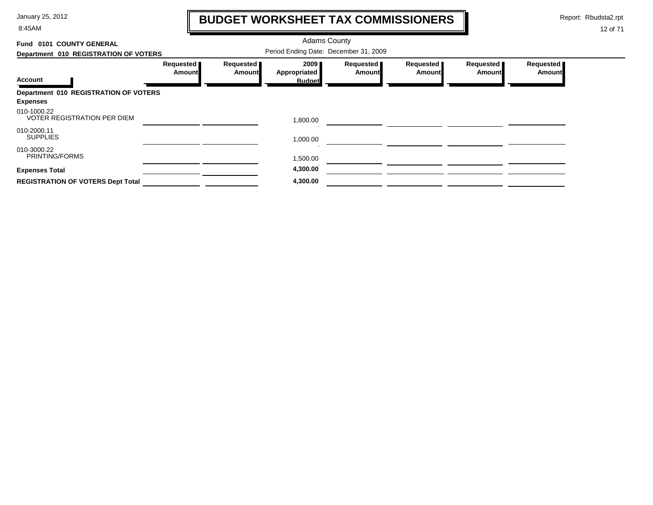8:45AM

# **BUDGET WORKSHEET TAX COMMISSIONERS**

Report: Rbudsta2.rpt

 $\mathbf \mathbf I$ 

| Fund 0101 COUNTY GENERAL                          |                     |                     | <b>Adams County</b>                   |                            |                            |                            |                     |
|---------------------------------------------------|---------------------|---------------------|---------------------------------------|----------------------------|----------------------------|----------------------------|---------------------|
| Department 010 REGISTRATION OF VOTERS             |                     |                     | Period Ending Date: December 31, 2009 |                            |                            |                            |                     |
|                                                   | Requested<br>Amount | Requested<br>Amount | 2009<br>Appropriated                  | Requested<br><b>Amount</b> | Requested<br><b>Amount</b> | Requested<br><b>Amount</b> | Requested<br>Amount |
| <b>Account</b>                                    |                     |                     | <b>Budget</b>                         |                            |                            |                            |                     |
| Department 010 REGISTRATION OF VOTERS             |                     |                     |                                       |                            |                            |                            |                     |
| <b>Expenses</b>                                   |                     |                     |                                       |                            |                            |                            |                     |
| 010-1000.22<br><b>VOTER REGISTRATION PER DIEM</b> |                     |                     | 1,800.00                              |                            |                            |                            |                     |
| 010-2000.11<br><b>SUPPLIES</b>                    |                     |                     | 1,000.00                              |                            |                            |                            |                     |
| 010-3000.22<br>PRINTING/FORMS                     |                     |                     | 1,500.00                              |                            |                            |                            |                     |
| <b>Expenses Total</b>                             |                     |                     | 4,300.00                              |                            |                            |                            |                     |
| <b>REGISTRATION OF VOTERS Dept Total</b>          |                     |                     | 4,300.00                              |                            |                            |                            |                     |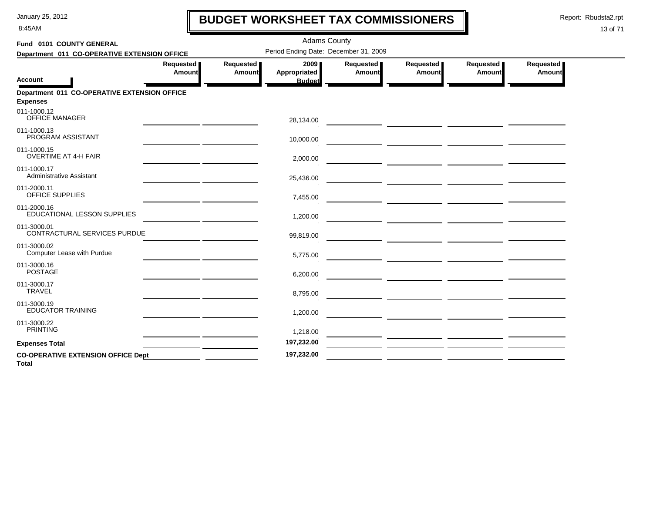8:45AM

# **BUDGET WORKSHEET TAX COMMISSIONERS**

Report: Rbudsta2.rpt

 $\mathbf l$ 

| Fund 0101 COUNTY GENERAL                           |                                                                                                                                                                                                                                      |                     | <b>Adams County</b>                   |                     |                     |                     |                            |
|----------------------------------------------------|--------------------------------------------------------------------------------------------------------------------------------------------------------------------------------------------------------------------------------------|---------------------|---------------------------------------|---------------------|---------------------|---------------------|----------------------------|
| Department 011 CO-OPERATIVE EXTENSION OFFICE       |                                                                                                                                                                                                                                      |                     | Period Ending Date: December 31, 2009 |                     |                     |                     |                            |
| Account                                            | Requested<br><b>Amount</b>                                                                                                                                                                                                           | Requested<br>Amount | 2009<br>Appropriated<br><b>Budget</b> | Requested<br>Amount | Requested<br>Amount | Requested<br>Amount | Requested<br><b>Amount</b> |
| Department 011 CO-OPERATIVE EXTENSION OFFICE       |                                                                                                                                                                                                                                      |                     |                                       |                     |                     |                     |                            |
| <b>Expenses</b>                                    |                                                                                                                                                                                                                                      |                     |                                       |                     |                     |                     |                            |
| 011-1000.12<br><b>OFFICE MANAGER</b>               |                                                                                                                                                                                                                                      |                     | 28,134.00                             |                     |                     |                     |                            |
| 011-1000.13<br>PROGRAM ASSISTANT                   |                                                                                                                                                                                                                                      |                     | 10,000.00                             |                     |                     |                     |                            |
| 011-1000.15<br><b>OVERTIME AT 4-H FAIR</b>         |                                                                                                                                                                                                                                      |                     | 2,000.00                              |                     |                     |                     |                            |
| 011-1000.17<br><b>Administrative Assistant</b>     | <u>and the company of the company of the company of the company of the company of the company of the company of the company of the company of the company of the company of the company of the company of the company of the com</u> |                     | 25,436.00                             |                     |                     |                     |                            |
| 011-2000.11<br>OFFICE SUPPLIES                     |                                                                                                                                                                                                                                      |                     | 7,455.00                              |                     |                     |                     |                            |
| 011-2000.16<br>EDUCATIONAL LESSON SUPPLIES         |                                                                                                                                                                                                                                      |                     | 1,200.00                              |                     |                     |                     |                            |
| 011-3000.01<br>CONTRACTURAL SERVICES PURDUE        |                                                                                                                                                                                                                                      |                     | 99,819.00                             |                     |                     |                     |                            |
| 011-3000.02<br>Computer Lease with Purdue          |                                                                                                                                                                                                                                      |                     | 5,775.00                              |                     |                     |                     |                            |
| 011-3000.16<br><b>POSTAGE</b>                      |                                                                                                                                                                                                                                      |                     | 6,200.00                              |                     |                     |                     |                            |
| 011-3000.17<br><b>TRAVEL</b>                       |                                                                                                                                                                                                                                      |                     | 8,795.00                              |                     |                     |                     |                            |
| 011-3000.19<br><b>EDUCATOR TRAINING</b>            |                                                                                                                                                                                                                                      |                     | 1,200.00                              |                     |                     |                     |                            |
| 011-3000.22<br><b>PRINTING</b>                     | <u> 1989 - Andrew Amerikaanse kommunister (</u>                                                                                                                                                                                      |                     | 1,218.00                              |                     |                     |                     |                            |
| <b>Expenses Total</b>                              |                                                                                                                                                                                                                                      |                     | 197,232.00                            |                     |                     |                     |                            |
| <b>CO-OPERATIVE EXTENSION OFFICE Dept</b><br>Total |                                                                                                                                                                                                                                      |                     | 197,232.00                            |                     |                     |                     |                            |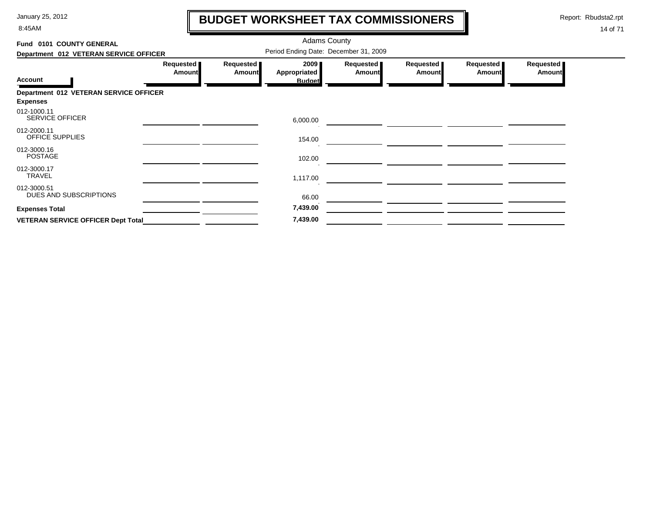8:45AM

# **BUDGET WORKSHEET TAX COMMISSIONERS**

Report: Rbudsta2.rpt

 $\mathbf \mathbf I$ 

| Fund 0101 COUNTY GENERAL                  |                     |                            | <b>Adams County</b>                   |                            |                            |                            |                            |
|-------------------------------------------|---------------------|----------------------------|---------------------------------------|----------------------------|----------------------------|----------------------------|----------------------------|
| Department 012 VETERAN SERVICE OFFICER    |                     |                            | Period Ending Date: December 31, 2009 |                            |                            |                            |                            |
|                                           | Requested<br>Amount | Requested<br><b>Amount</b> | 2009<br><b>Appropriated</b>           | Requested<br><b>Amount</b> | Requested<br><b>Amount</b> | Requested<br><b>Amount</b> | Requested<br><b>Amount</b> |
| <b>Account</b>                            |                     |                            | <b>Budget</b>                         |                            |                            |                            |                            |
| Department 012 VETERAN SERVICE OFFICER    |                     |                            |                                       |                            |                            |                            |                            |
| <b>Expenses</b>                           |                     |                            |                                       |                            |                            |                            |                            |
| 012-1000.11<br><b>SERVICE OFFICER</b>     |                     |                            | 6,000.00                              |                            |                            |                            |                            |
| 012-2000.11<br>OFFICE SUPPLIES            |                     |                            | 154.00                                |                            |                            |                            |                            |
| 012-3000.16<br><b>POSTAGE</b>             |                     |                            | 102.00                                |                            |                            |                            |                            |
| 012-3000.17<br><b>TRAVEL</b>              |                     |                            | 1,117.00                              |                            |                            |                            |                            |
| 012-3000.51<br>DUES AND SUBSCRIPTIONS     |                     |                            | 66.00                                 |                            |                            |                            |                            |
| <b>Expenses Total</b>                     |                     |                            | 7,439.00                              |                            |                            |                            |                            |
| <b>VETERAN SERVICE OFFICER Dept Total</b> |                     |                            | 7,439.00                              |                            |                            |                            |                            |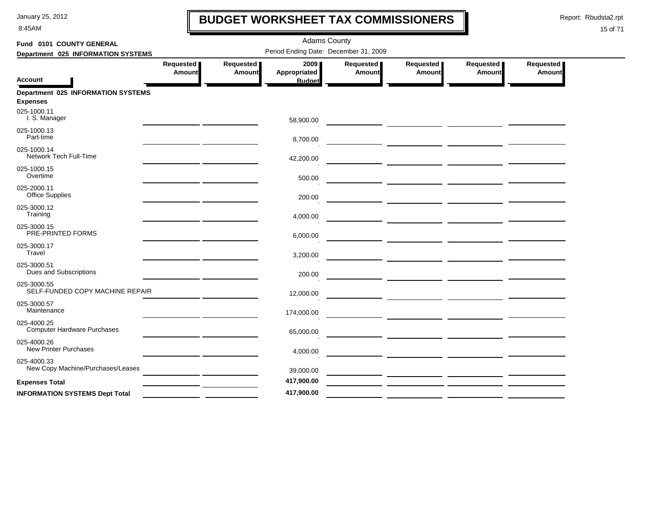8:45AM

# **BUDGET WORKSHEET TAX COMMISSIONERS**

Report: Rbudsta2.rpt

 $\mathbf l$ 

| Fund 0101 COUNTY GENERAL                                     | <b>Adams County</b> |                     |                                       |                     |                            |                     |                     |  |  |  |
|--------------------------------------------------------------|---------------------|---------------------|---------------------------------------|---------------------|----------------------------|---------------------|---------------------|--|--|--|
| Department 025 INFORMATION SYSTEMS                           |                     |                     | Period Ending Date: December 31, 2009 |                     |                            |                     |                     |  |  |  |
| Account                                                      | Requested<br>Amount | Requested<br>Amount | 2009<br>Appropriated<br><b>Budget</b> | Requested<br>Amount | Requested<br><b>Amount</b> | Requested<br>Amount | Requested<br>Amount |  |  |  |
| <b>Department 025 INFORMATION SYSTEMS</b><br><b>Expenses</b> |                     |                     |                                       |                     |                            |                     |                     |  |  |  |
| 025-1000.11<br>I. S. Manager                                 |                     |                     | 58,900.00                             |                     |                            |                     |                     |  |  |  |
| 025-1000.13<br>Part-time                                     |                     |                     | 8,700.00                              |                     |                            |                     |                     |  |  |  |
| 025-1000.14<br>Network Tech Full-Time                        |                     |                     | 42,200.00                             |                     |                            |                     |                     |  |  |  |
| 025-1000.15<br>Overtime                                      |                     |                     | 500.00                                |                     |                            |                     |                     |  |  |  |
| 025-2000.11<br><b>Office Supplies</b>                        |                     |                     | 200.00                                |                     |                            |                     |                     |  |  |  |
| 025-3000.12<br>Training                                      |                     |                     | 4,000.00                              |                     |                            |                     |                     |  |  |  |
| 025-3000.15<br>PRE-PRINTED FORMS                             |                     |                     | 6,000.00                              |                     |                            |                     |                     |  |  |  |
| 025-3000.17<br>Travel                                        |                     |                     | 3,200.00                              |                     |                            |                     |                     |  |  |  |
| 025-3000.51<br>Dues and Subscriptions                        |                     |                     | 200.00                                |                     |                            |                     |                     |  |  |  |
| 025-3000.55<br>SELF-FUNDED COPY MACHINE REPAIR               |                     |                     | 12,000.00                             |                     |                            |                     |                     |  |  |  |
| 025-3000.57<br>Maintenance                                   |                     |                     | 174,000.00                            |                     |                            |                     |                     |  |  |  |
| 025-4000.25<br><b>Computer Hardware Purchases</b>            |                     |                     | 65,000.00                             |                     |                            |                     |                     |  |  |  |
| 025-4000.26<br><b>New Printer Purchases</b>                  |                     |                     | 4,000.00                              |                     |                            |                     |                     |  |  |  |
| 025-4000.33<br>New Copy Machine/Purchases/Leases             |                     |                     | 39,000.00                             |                     |                            |                     |                     |  |  |  |
| <b>Expenses Total</b>                                        |                     |                     | 417,900.00                            |                     |                            |                     |                     |  |  |  |
| <b>INFORMATION SYSTEMS Dept Total</b>                        |                     |                     | 417,900.00                            |                     |                            |                     |                     |  |  |  |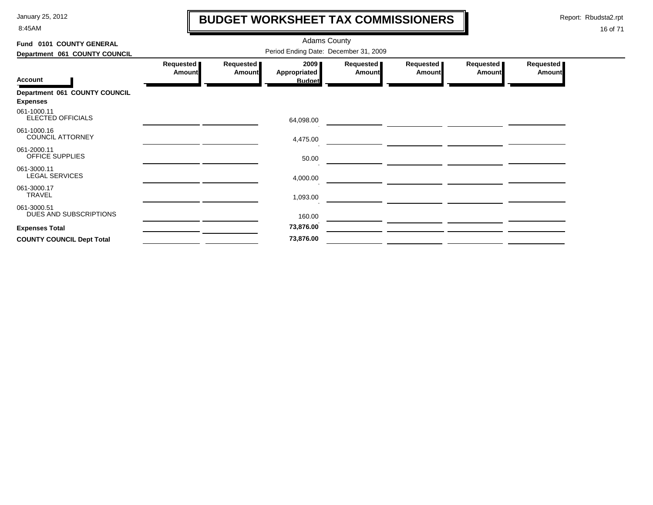8:45AM

# **BUDGET WORKSHEET TAX COMMISSIONERS**

Report: Rbudsta2.rpt

 $\mathbf l$ 

| Fund 0101 COUNTY GENERAL                         |                                       |                            | <b>Adams County</b>                   |                            |                            |                            |                            |  |  |
|--------------------------------------------------|---------------------------------------|----------------------------|---------------------------------------|----------------------------|----------------------------|----------------------------|----------------------------|--|--|
| Department 061 COUNTY COUNCIL                    | Period Ending Date: December 31, 2009 |                            |                                       |                            |                            |                            |                            |  |  |
| <b>Account</b>                                   | Requested<br><b>Amount</b>            | Requested<br><b>Amount</b> | 2009<br>Appropriated<br><b>Budget</b> | Requested<br><b>Amount</b> | Requested<br><b>Amount</b> | Requested<br><b>Amount</b> | Requested<br><b>Amount</b> |  |  |
| Department 061 COUNTY COUNCIL<br><b>Expenses</b> |                                       |                            |                                       |                            |                            |                            |                            |  |  |
| 061-1000.11<br>ELECTED OFFICIALS                 |                                       |                            | 64,098.00                             |                            |                            |                            |                            |  |  |
| 061-1000.16<br><b>COUNCIL ATTORNEY</b>           |                                       |                            | 4,475.00                              |                            |                            |                            |                            |  |  |
| 061-2000.11<br>OFFICE SUPPLIES                   |                                       |                            | 50.00                                 |                            |                            |                            |                            |  |  |
| 061-3000.11<br><b>LEGAL SERVICES</b>             |                                       |                            | 4,000.00                              |                            |                            |                            |                            |  |  |
| 061-3000.17<br><b>TRAVEL</b>                     |                                       |                            | 1,093.00                              |                            |                            |                            |                            |  |  |
| 061-3000.51<br>DUES AND SUBSCRIPTIONS            |                                       |                            | 160.00                                |                            |                            |                            |                            |  |  |
| <b>Expenses Total</b>                            |                                       |                            | 73,876.00                             |                            |                            |                            |                            |  |  |
| <b>COUNTY COUNCIL Dept Total</b>                 |                                       |                            | 73,876.00                             |                            |                            |                            |                            |  |  |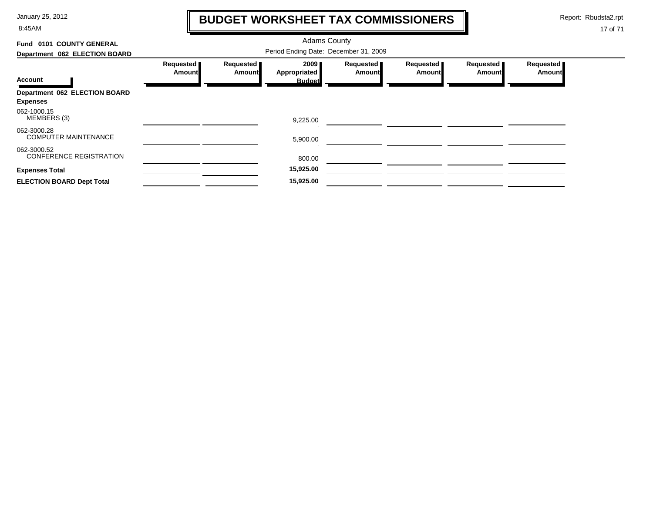8:45AM

# **BUDGET WORKSHEET TAX COMMISSIONERS**

Report: Rbudsta2.rpt

 $\mathbf \mathbf I$ 

| Fund 0101 COUNTY GENERAL                      |                                       |                     | <b>Adams County</b>  |                              |                            |                            |                            |  |  |
|-----------------------------------------------|---------------------------------------|---------------------|----------------------|------------------------------|----------------------------|----------------------------|----------------------------|--|--|
| Department 062 ELECTION BOARD                 | Period Ending Date: December 31, 2009 |                     |                      |                              |                            |                            |                            |  |  |
|                                               | Requested   <br><b>Amount</b>         | Requested<br>Amount | 2009<br>Appropriated | Requested  <br><b>Amount</b> | Requested<br><b>Amount</b> | Requested<br><b>Amount</b> | Requested<br><b>Amount</b> |  |  |
| <b>Account</b>                                |                                       |                     | <b>Budget</b>        |                              |                            |                            |                            |  |  |
| <b>Department 062 ELECTION BOARD</b>          |                                       |                     |                      |                              |                            |                            |                            |  |  |
| <b>Expenses</b>                               |                                       |                     |                      |                              |                            |                            |                            |  |  |
| 062-1000.15<br>MEMBERS (3)                    |                                       |                     | 9,225.00             |                              |                            |                            |                            |  |  |
| 062-3000.28<br><b>COMPUTER MAINTENANCE</b>    |                                       |                     | 5,900.00             |                              |                            |                            |                            |  |  |
| 062-3000.52<br><b>CONFERENCE REGISTRATION</b> |                                       |                     | 800.00               |                              |                            |                            |                            |  |  |
| <b>Expenses Total</b>                         |                                       |                     | 15,925.00            |                              |                            |                            |                            |  |  |
| <b>ELECTION BOARD Dept Total</b>              |                                       |                     | 15,925.00            |                              |                            |                            |                            |  |  |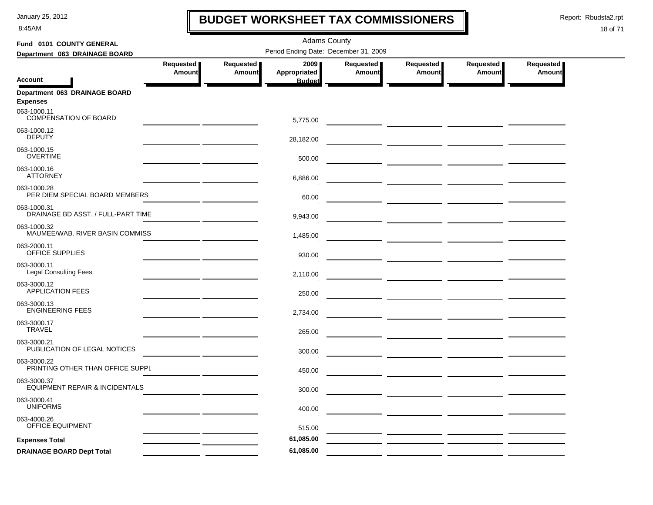8:45AM

# **BUDGET WORKSHEET TAX COMMISSIONERS**

Report: Rbudsta2.rpt

 $\mathbf l$ 

| Fund 0101 COUNTY GENERAL                          |                            |                            | <b>Adams County</b>                   |                            |                            |                            |                            |
|---------------------------------------------------|----------------------------|----------------------------|---------------------------------------|----------------------------|----------------------------|----------------------------|----------------------------|
| Department 063 DRAINAGE BOARD                     |                            |                            | Period Ending Date: December 31, 2009 |                            |                            |                            |                            |
| <b>Account</b>                                    | Requested<br><b>Amount</b> | Requested<br><b>Amount</b> | 2009<br>Appropriated<br><b>Budget</b> | Requested<br><b>Amount</b> | Requested<br><b>Amount</b> | Requested<br><b>Amount</b> | Requested<br><b>Amount</b> |
| Department 063 DRAINAGE BOARD                     |                            |                            |                                       |                            |                            |                            |                            |
| <b>Expenses</b>                                   |                            |                            |                                       |                            |                            |                            |                            |
| 063-1000.11<br>COMPENSATION OF BOARD              |                            |                            | 5,775.00                              |                            |                            |                            |                            |
| 063-1000.12<br><b>DEPUTY</b>                      |                            |                            | 28,182.00                             |                            |                            |                            |                            |
| 063-1000.15<br><b>OVERTIME</b>                    |                            |                            | 500.00                                |                            |                            |                            |                            |
| 063-1000.16<br><b>ATTORNEY</b>                    |                            |                            | 6,886.00                              |                            |                            |                            |                            |
| 063-1000.28<br>PER DIEM SPECIAL BOARD MEMBERS     |                            |                            | 60.00                                 |                            |                            |                            |                            |
| 063-1000.31<br>DRAINAGE BD ASST. / FULL-PART TIME |                            |                            | 9,943.00                              |                            |                            |                            |                            |
| 063-1000.32<br>MAUMEE/WAB. RIVER BASIN COMMISS    |                            |                            | 1,485.00                              |                            |                            |                            |                            |
| 063-2000.11<br>OFFICE SUPPLIES                    |                            |                            | 930.00                                |                            |                            |                            |                            |
| 063-3000.11<br><b>Legal Consulting Fees</b>       |                            |                            | 2,110.00                              |                            |                            |                            |                            |
| 063-3000.12<br><b>APPLICATION FEES</b>            |                            |                            | 250.00                                |                            |                            |                            |                            |
| 063-3000.13<br><b>ENGINEERING FEES</b>            |                            |                            | 2,734.00                              |                            |                            |                            |                            |
| 063-3000.17<br><b>TRAVEL</b>                      |                            |                            | 265.00                                |                            |                            |                            |                            |
| 063-3000.21<br>PUBLICATION OF LEGAL NOTICES       |                            |                            | 300.00                                |                            |                            |                            |                            |
| 063-3000.22<br>PRINTING OTHER THAN OFFICE SUPPL   |                            |                            | 450.00                                |                            |                            |                            |                            |
| 063-3000.37<br>EQUIPMENT REPAIR & INCIDENTALS     |                            |                            | 300.00                                |                            |                            |                            |                            |
| 063-3000.41<br><b>UNIFORMS</b>                    |                            |                            | 400.00                                |                            |                            |                            |                            |
| 063-4000.26<br>OFFICE EQUIPMENT                   |                            |                            | 515.00                                |                            |                            |                            |                            |
| <b>Expenses Total</b>                             |                            |                            | 61,085.00                             |                            |                            |                            |                            |
| <b>DRAINAGE BOARD Dept Total</b>                  |                            |                            | 61,085.00                             |                            |                            |                            |                            |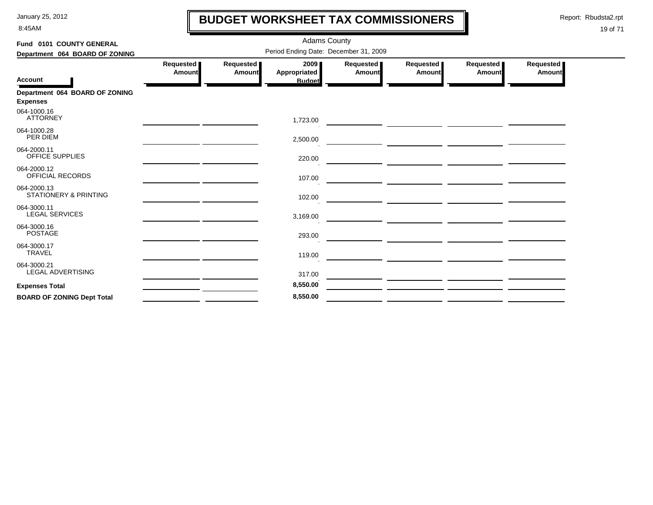8:45AM

# **BUDGET WORKSHEET TAX COMMISSIONERS**

Report: Rbudsta2.rpt

 $\mathbf l$ 

| Fund 0101 COUNTY GENERAL                          | <b>Adams County</b><br>Period Ending Date: December 31, 2009 |                            |                               |                            |                     |                     |                       |  |  |
|---------------------------------------------------|--------------------------------------------------------------|----------------------------|-------------------------------|----------------------------|---------------------|---------------------|-----------------------|--|--|
| Department 064 BOARD OF ZONING                    | Requested<br><b>Amount</b>                                   | Requested<br><b>Amount</b> | 2009                          | Requested<br><b>Amount</b> | Requested<br>Amount | Requested<br>Amount | Requested  <br>Amount |  |  |
| <b>Account</b>                                    |                                                              |                            | Appropriated<br><b>Budget</b> |                            |                     |                     |                       |  |  |
| Department 064 BOARD OF ZONING<br><b>Expenses</b> |                                                              |                            |                               |                            |                     |                     |                       |  |  |
| 064-1000.16<br><b>ATTORNEY</b>                    |                                                              |                            | 1,723.00                      |                            |                     |                     |                       |  |  |
| 064-1000.28<br>PER DIEM                           |                                                              |                            | 2,500.00                      |                            |                     |                     |                       |  |  |
| 064-2000.11<br><b>OFFICE SUPPLIES</b>             |                                                              |                            | 220.00                        |                            |                     |                     |                       |  |  |
| 064-2000.12<br>OFFICIAL RECORDS                   |                                                              |                            | 107.00                        |                            |                     |                     |                       |  |  |
| 064-2000.13<br><b>STATIONERY &amp; PRINTING</b>   |                                                              |                            | 102.00                        |                            |                     |                     |                       |  |  |
| 064-3000.11<br><b>LEGAL SERVICES</b>              |                                                              |                            | 3,169.00                      |                            |                     |                     |                       |  |  |
| 064-3000.16<br><b>POSTAGE</b>                     |                                                              |                            | 293.00                        |                            |                     |                     |                       |  |  |
| 064-3000.17<br><b>TRAVEL</b>                      |                                                              |                            | 119.00                        |                            |                     |                     |                       |  |  |
| 064-3000.21<br>LEGAL ADVERTISING                  |                                                              |                            | 317.00                        |                            |                     |                     |                       |  |  |
| <b>Expenses Total</b>                             |                                                              |                            | 8,550.00                      |                            |                     |                     |                       |  |  |
| <b>BOARD OF ZONING Dept Total</b>                 |                                                              |                            | 8,550.00                      |                            |                     |                     |                       |  |  |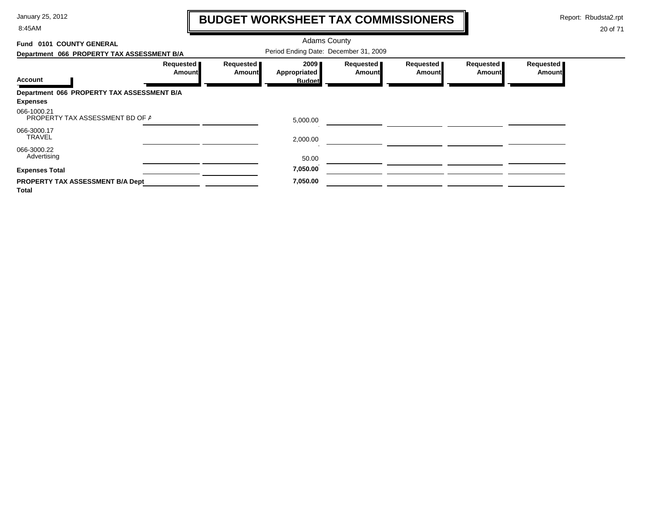8:45AM

# **BUDGET WORKSHEET TAX COMMISSIONERS**

Report: Rbudsta2.rpt

 $\mathbf l$ 

| Fund 0101 COUNTY GENERAL                                      |                     |                                       | <b>Adams County</b>  |                            |                            |                     |                            |  |  |
|---------------------------------------------------------------|---------------------|---------------------------------------|----------------------|----------------------------|----------------------------|---------------------|----------------------------|--|--|
| Department 066 PROPERTY TAX ASSESSMENT B/A                    |                     | Period Ending Date: December 31, 2009 |                      |                            |                            |                     |                            |  |  |
|                                                               | Requested<br>Amount | Requested<br><b>Amount</b>            | 2009<br>Appropriated | Requested<br><b>Amount</b> | Requested<br><b>Amount</b> | Requested<br>Amount | Requested<br><b>Amount</b> |  |  |
| <b>Account</b>                                                |                     |                                       | <b>Budget</b>        |                            |                            |                     |                            |  |  |
| Department 066 PROPERTY TAX ASSESSMENT B/A<br><b>Expenses</b> |                     |                                       |                      |                            |                            |                     |                            |  |  |
| 066-1000.21<br>PROPERTY TAX ASSESSMENT BD OF A                |                     |                                       | 5,000.00             |                            |                            |                     |                            |  |  |
| 066-3000.17<br><b>TRAVEL</b>                                  |                     |                                       | 2,000.00             |                            |                            |                     |                            |  |  |
| 066-3000.22<br>Advertising                                    |                     |                                       | 50.00                |                            |                            |                     |                            |  |  |
| <b>Expenses Total</b>                                         |                     |                                       | 7,050.00             |                            |                            |                     |                            |  |  |
| PROPERTY TAX ASSESSMENT B/A Dept<br><b>Total</b>              |                     |                                       | 7,050.00             |                            |                            |                     |                            |  |  |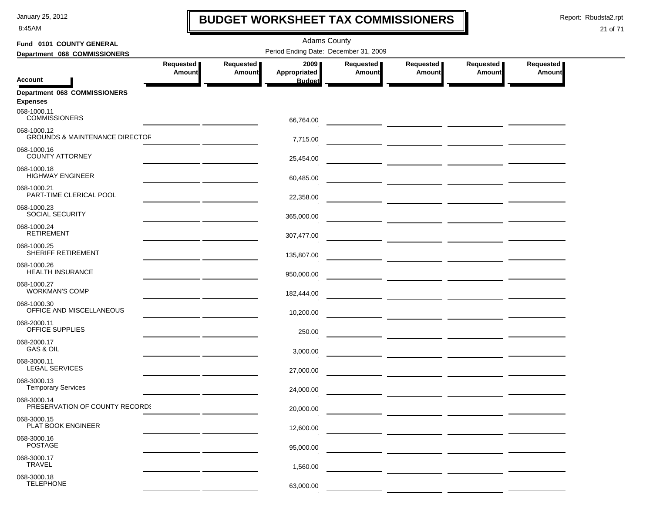8:45AM

# **BUDGET WORKSHEET TAX COMMISSIONERS**

Report: Rbudsta2.rpt

 $\mathbf \mathbf I$ 

| Fund 0101 COUNTY GENERAL                                 | <b>Adams County</b>                          |                            |                      |                            |                                    |                            |                              |  |  |
|----------------------------------------------------------|----------------------------------------------|----------------------------|----------------------|----------------------------|------------------------------------|----------------------------|------------------------------|--|--|
| Department 068 COMMISSIONERS                             | Period Ending Date: December 31, 2009        |                            |                      |                            |                                    |                            |                              |  |  |
|                                                          | Requested<br>Amount                          | Requested<br><b>Amount</b> | 2009<br>Appropriated | Requested<br><b>Amount</b> | Requested<br><b>Amount</b>         | Requested<br><b>Amount</b> | Requested  <br><b>Amount</b> |  |  |
| <b>Account</b>                                           |                                              |                            | <b>Budget</b>        |                            |                                    |                            |                              |  |  |
| Department 068 COMMISSIONERS<br><b>Expenses</b>          |                                              |                            |                      |                            |                                    |                            |                              |  |  |
| 068-1000.11<br><b>COMMISSIONERS</b>                      |                                              |                            | 66,764.00            |                            |                                    |                            |                              |  |  |
| 068-1000.12<br><b>GROUNDS &amp; MAINTENANCE DIRECTOR</b> |                                              |                            | 7,715.00             |                            |                                    |                            |                              |  |  |
| 068-1000.16<br><b>COUNTY ATTORNEY</b>                    |                                              |                            | 25,454.00            |                            |                                    |                            |                              |  |  |
| 068-1000.18<br><b>HIGHWAY ENGINEER</b>                   |                                              |                            | 60,485.00            |                            |                                    |                            |                              |  |  |
| 068-1000.21<br>PART-TIME CLERICAL POOL                   |                                              |                            | 22,358.00            |                            | — <u>———————</u> ———————           |                            |                              |  |  |
| 068-1000.23<br><b>SOCIAL SECURITY</b>                    |                                              |                            | 365,000.00           |                            |                                    |                            |                              |  |  |
| 068-1000.24<br><b>RETIREMENT</b>                         |                                              |                            | 307,477.00           |                            |                                    |                            |                              |  |  |
| 068-1000.25<br>SHERIFF RETIREMENT                        | <u> 1989 - Jan Alexandro Alexandro III (</u> |                            | 135,807.00           |                            |                                    |                            |                              |  |  |
| 068-1000.26<br><b>HEALTH INSURANCE</b>                   | the control of the control of the control of |                            | 950,000.00           |                            |                                    |                            |                              |  |  |
| 068-1000.27<br><b>WORKMAN'S COMP</b>                     |                                              |                            | 182,444.00           |                            |                                    |                            |                              |  |  |
| 068-1000.30<br>OFFICE AND MISCELLANEOUS                  |                                              |                            | 10,200.00            |                            |                                    |                            |                              |  |  |
| 068-2000.11<br>OFFICE SUPPLIES                           |                                              |                            | 250.00               |                            |                                    |                            |                              |  |  |
| 068-2000.17<br>GAS & OIL                                 |                                              |                            | 3,000.00             |                            |                                    |                            |                              |  |  |
| 068-3000.11<br><b>LEGAL SERVICES</b>                     |                                              |                            | 27,000.00            |                            |                                    |                            |                              |  |  |
| 068-3000.13<br><b>Temporary Services</b>                 |                                              |                            | 24,000.00            |                            | — <u>— — — — — — — — — — — — —</u> |                            |                              |  |  |
| 068-3000.14<br>PRESERVATION OF COUNTY RECORDS            |                                              |                            | 20,000.00            |                            |                                    |                            |                              |  |  |
| 068-3000.15<br>PLAT BOOK ENGINEER                        |                                              |                            | 12,600.00            |                            |                                    |                            |                              |  |  |
| 068-3000.16<br><b>POSTAGE</b>                            |                                              |                            | 95,000.00            |                            |                                    |                            |                              |  |  |
| 068-3000.17<br>TRAVEL                                    |                                              |                            | 1,560.00             |                            |                                    |                            |                              |  |  |
| 068-3000.18<br><b>TELEPHONE</b>                          |                                              |                            | 63,000.00            |                            |                                    |                            |                              |  |  |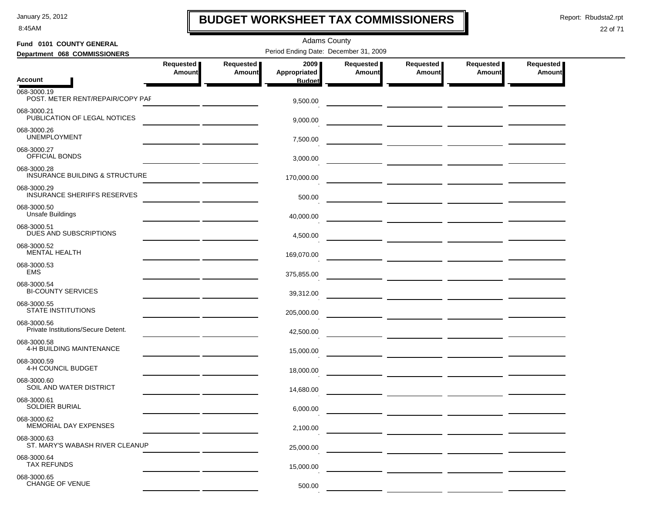8:45AM

# **BUDGET WORKSHEET TAX COMMISSIONERS**

Report: Rbudsta2.rpt

 $\mathbf l$ 

#### 22 of 71

| Fund 0101 COUNTY GENERAL                           |                     | <b>Adams County</b> |                                       |                                   |                            |                     |                            |  |  |  |
|----------------------------------------------------|---------------------|---------------------|---------------------------------------|-----------------------------------|----------------------------|---------------------|----------------------------|--|--|--|
| Department 068 COMMISSIONERS                       |                     |                     | Period Ending Date: December 31, 2009 |                                   |                            |                     |                            |  |  |  |
|                                                    | Requested<br>Amount | Requested<br>Amount | 2009<br>Appropriated                  | <b>Requested</b><br><b>Amount</b> | Requested<br><b>Amount</b> | Requested<br>Amount | Requested<br><b>Amount</b> |  |  |  |
| <b>Account</b>                                     |                     |                     | <b>Budget</b>                         |                                   |                            |                     |                            |  |  |  |
| 068-3000.19<br>POST. METER RENT/REPAIR/COPY PAF    |                     |                     | 9,500.00                              |                                   |                            |                     |                            |  |  |  |
| 068-3000.21<br>PUBLICATION OF LEGAL NOTICES        |                     |                     | 9,000.00                              |                                   |                            |                     |                            |  |  |  |
| 068-3000.26<br><b>UNEMPLOYMENT</b>                 |                     |                     | 7,500.00                              |                                   |                            |                     |                            |  |  |  |
| 068-3000.27<br>OFFICIAL BONDS                      |                     |                     | 3,000.00                              |                                   |                            |                     |                            |  |  |  |
| 068-3000.28<br>INSURANCE BUILDING & STRUCTURE      |                     |                     | 170,000.00                            |                                   |                            |                     |                            |  |  |  |
| 068-3000.29<br><b>INSURANCE SHERIFFS RESERVES</b>  |                     |                     | 500.00                                |                                   |                            |                     |                            |  |  |  |
| 068-3000.50<br><b>Unsafe Buildings</b>             |                     |                     | 40,000.00                             |                                   |                            |                     |                            |  |  |  |
| 068-3000.51<br><b>DUES AND SUBSCRIPTIONS</b>       |                     |                     | 4,500.00                              |                                   |                            |                     |                            |  |  |  |
| 068-3000.52<br><b>MENTAL HEALTH</b>                |                     |                     | 169,070.00                            |                                   |                            |                     |                            |  |  |  |
| 068-3000.53<br><b>EMS</b>                          |                     |                     | 375,855.00                            |                                   |                            |                     |                            |  |  |  |
| 068-3000.54<br><b>BI-COUNTY SERVICES</b>           |                     |                     | 39,312.00                             |                                   |                            |                     |                            |  |  |  |
| 068-3000.55<br>STATE INSTITUTIONS                  |                     |                     | 205,000.00                            |                                   |                            |                     |                            |  |  |  |
| 068-3000.56<br>Private Institutions/Secure Detent. |                     |                     | 42,500.00                             |                                   |                            |                     |                            |  |  |  |
| 068-3000.58<br>4-H BUILDING MAINTENANCE            |                     |                     | 15,000.00                             |                                   |                            |                     |                            |  |  |  |
| 068-3000.59<br>4-H COUNCIL BUDGET                  |                     |                     | 18,000.00                             |                                   |                            |                     |                            |  |  |  |
| 068-3000.60<br>SOIL AND WATER DISTRICT             |                     |                     | 14,680.00                             |                                   |                            |                     |                            |  |  |  |
| 068-3000.61<br>SOLDIER BURIAL                      |                     |                     | 6,000.00                              |                                   |                            |                     |                            |  |  |  |
| 068-3000.62<br><b>MEMORIAL DAY EXPENSES</b>        |                     |                     | 2,100.00                              |                                   |                            |                     |                            |  |  |  |
| 068-3000.63<br>ST. MARY'S WABASH RIVER CLEANUP     |                     |                     | 25,000.00                             |                                   |                            |                     |                            |  |  |  |
| 068-3000.64<br><b>TAX REFUNDS</b>                  |                     |                     | 15,000.00                             |                                   |                            |                     |                            |  |  |  |
| 068-3000.65<br>CHANGE OF VENUE                     |                     |                     | 500.00                                |                                   |                            |                     |                            |  |  |  |

 $\mathbf{r}$ 

- -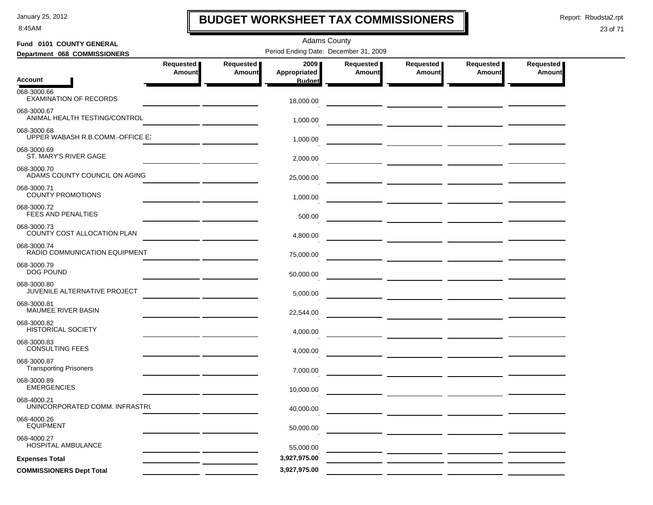8:45AM

# **BUDGET WORKSHEET TAX COMMISSIONERS**

Report: Rbudsta2.rpt

 $\mathbf l$ 

| Fund 0101 COUNTY GENERAL                        |                            |                            | <b>Adams County</b>                   |                            |                                  |                                      |                            |
|-------------------------------------------------|----------------------------|----------------------------|---------------------------------------|----------------------------|----------------------------------|--------------------------------------|----------------------------|
| Department 068 COMMISSIONERS                    |                            |                            | Period Ending Date: December 31, 2009 |                            |                                  |                                      |                            |
|                                                 | Requested<br><b>Amount</b> | Requested<br><b>Amount</b> | 2009<br>Appropriated                  | Requested<br><b>Amount</b> | Requested<br><b>Amount</b>       | Requested<br><b>Amount</b>           | Requested<br><b>Amount</b> |
| <b>Account</b>                                  |                            |                            | <b>Budget</b>                         |                            |                                  |                                      |                            |
| 068-3000.66<br><b>EXAMINATION OF RECORDS</b>    |                            |                            | 18,000.00                             |                            |                                  |                                      |                            |
| 068-3000.67<br>ANIMAL HEALTH TESTING/CONTROL    |                            |                            | 1,000.00                              |                            |                                  |                                      |                            |
| 068-3000.68<br>UPPER WABASH R.B.COMM.-OFFICE E) |                            |                            | 1,000.00                              |                            |                                  |                                      |                            |
| 068-3000.69<br>ST. MARY'S RIVER GAGE            |                            |                            | 2,000.00                              |                            |                                  |                                      |                            |
| 068-3000.70<br>ADAMS COUNTY COUNCIL ON AGING    |                            |                            | 25,000.00                             |                            |                                  |                                      |                            |
| 068-3000.71<br><b>COUNTY PROMOTIONS</b>         |                            |                            | 1,000.00                              |                            |                                  |                                      |                            |
| 068-3000.72<br>FEES AND PENALTIES               |                            |                            | 500.00                                |                            |                                  |                                      |                            |
| 068-3000.73<br>COUNTY COST ALLOCATION PLAN      |                            |                            | 4,800.00                              |                            |                                  |                                      |                            |
| 068-3000.74<br>RADIO COMMUNICATION EQUIPMENT    |                            |                            | 75,000.00                             |                            |                                  |                                      |                            |
| 068-3000.79<br><b>DOG POUND</b>                 |                            |                            | 50,000.00                             |                            |                                  | — <u>— — — — — — — — — — — — — —</u> |                            |
| 068-3000.80<br>JUVENILE ALTERNATIVE PROJECT     |                            |                            | 5,000.00                              |                            |                                  |                                      |                            |
| 068-3000.81<br>MAUMEE RIVER BASIN               |                            |                            | 22,544.00                             |                            |                                  |                                      |                            |
| 068-3000.82<br><b>HISTORICAL SOCIETY</b>        |                            |                            | 4,000.00                              |                            |                                  |                                      |                            |
| 068-3000.83<br><b>CONSULTING FEES</b>           |                            |                            | 4,000.00                              |                            |                                  |                                      |                            |
| 068-3000.87<br><b>Transporting Prisoners</b>    |                            |                            | 7,000.00                              |                            |                                  |                                      |                            |
| 068-3000.89<br><b>EMERGENCIES</b>               |                            |                            | 10,000.00                             |                            | — <u>— — — — — — — — — — — —</u> |                                      |                            |
| 068-4000.21<br>UNINCORPORATED COMM. INFRASTRU   |                            |                            | 40,000.00                             |                            |                                  |                                      |                            |
| 068-4000.26<br><b>EQUIPMENT</b>                 |                            |                            | 50,000.00                             |                            |                                  |                                      |                            |
| 068-4000.27<br>HOSPITAL AMBULANCE               |                            |                            | 55,000.00                             |                            |                                  |                                      |                            |
| <b>Expenses Total</b>                           |                            |                            | 3,927,975.00                          |                            |                                  |                                      |                            |
| <b>COMMISSIONERS Dept Total</b>                 |                            |                            | 3,927,975.00                          |                            |                                  |                                      |                            |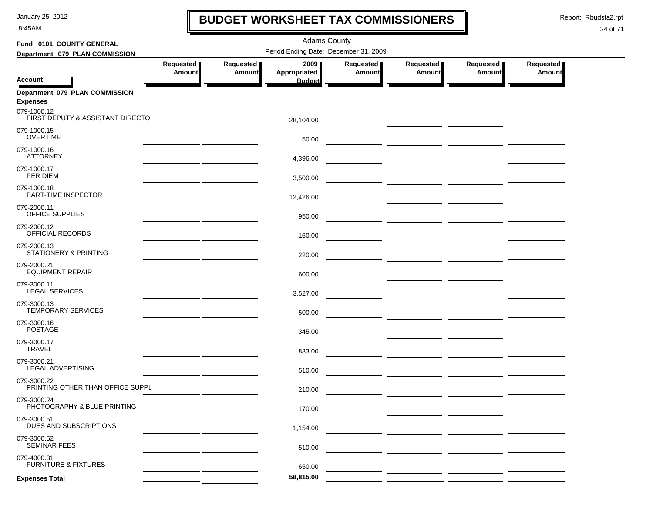8:45AM

# **BUDGET WORKSHEET TAX COMMISSIONERS**

Report: Rbudsta2.rpt

 $\mathbf I$ 

| Fund 0101 COUNTY GENERAL                          |                            |                     |                                       |                            |                                                                                                                     |                              |                     |  |
|---------------------------------------------------|----------------------------|---------------------|---------------------------------------|----------------------------|---------------------------------------------------------------------------------------------------------------------|------------------------------|---------------------|--|
| Department 079 PLAN COMMISSION                    |                            |                     | Period Ending Date: December 31, 2009 |                            |                                                                                                                     |                              |                     |  |
|                                                   | Requested<br><b>Amount</b> | Requested<br>Amount | 2009<br>Appropriated                  | Requested<br><b>Amount</b> | Requested<br><b>Amount</b>                                                                                          | Requested  <br><b>Amount</b> | Requested<br>Amount |  |
| <b>Account</b>                                    |                            |                     | <b>Budget</b>                         |                            |                                                                                                                     |                              |                     |  |
| Department 079 PLAN COMMISSION<br><b>Expenses</b> |                            |                     |                                       |                            |                                                                                                                     |                              |                     |  |
| 079-1000.12<br>FIRST DEPUTY & ASSISTANT DIRECTO   |                            |                     | 28,104.00                             |                            |                                                                                                                     |                              |                     |  |
| 079-1000.15<br><b>OVERTIME</b>                    |                            |                     | 50.00                                 |                            |                                                                                                                     |                              |                     |  |
| 079-1000.16<br><b>ATTORNEY</b>                    |                            |                     | 4,396.00                              |                            |                                                                                                                     |                              |                     |  |
| 079-1000.17<br>PER DIEM                           |                            |                     | 3,500.00                              |                            |                                                                                                                     |                              |                     |  |
| 079-1000.18<br><b>PART-TIME INSPECTOR</b>         |                            |                     | 12,426.00                             |                            |                                                                                                                     |                              |                     |  |
| 079-2000.11<br>OFFICE SUPPLIES                    |                            |                     | 950.00                                |                            | <u> 1989 - Johann John Stone, mars eta industrial eta industrial eta industrial eta industrial eta industrial e</u> |                              |                     |  |
| 079-2000.12<br>OFFICIAL RECORDS                   |                            |                     | 160.00                                |                            |                                                                                                                     |                              |                     |  |
| 079-2000.13<br><b>STATIONERY &amp; PRINTING</b>   |                            |                     | 220.00                                |                            |                                                                                                                     |                              |                     |  |
| 079-2000.21<br><b>EQUIPMENT REPAIR</b>            |                            |                     | 600.00                                |                            |                                                                                                                     |                              |                     |  |
| 079-3000.11<br><b>LEGAL SERVICES</b>              |                            |                     | 3,527.00                              |                            |                                                                                                                     |                              |                     |  |
| 079-3000.13<br>TEMPORARY SERVICES                 |                            |                     | 500.00                                |                            |                                                                                                                     |                              |                     |  |
| 079-3000.16<br><b>POSTAGE</b>                     |                            |                     | 345.00                                |                            |                                                                                                                     |                              |                     |  |
| 079-3000.17<br><b>TRAVEL</b>                      |                            |                     | 833.00                                |                            |                                                                                                                     |                              |                     |  |
| 079-3000.21<br><b>LEGAL ADVERTISING</b>           |                            |                     | 510.00                                |                            |                                                                                                                     |                              |                     |  |
| 079-3000.22<br>PRINTING OTHER THAN OFFICE SUPPL   |                            |                     | 210.00                                |                            |                                                                                                                     |                              |                     |  |
| 079-3000.24<br>PHOTOGRAPHY & BLUE PRINTING        |                            |                     | 170.00                                |                            |                                                                                                                     |                              |                     |  |
| 079-3000.51<br>DUES AND SUBSCRIPTIONS             |                            |                     | 1,154.00                              |                            |                                                                                                                     |                              |                     |  |
| 079-3000.52<br><b>SEMINAR FEES</b>                |                            |                     | 510.00                                |                            |                                                                                                                     |                              |                     |  |
| 079-4000.31<br><b>FURNITURE &amp; FIXTURES</b>    |                            |                     | 650.00                                |                            |                                                                                                                     |                              |                     |  |
| <b>Expenses Total</b>                             |                            |                     | 58,815.00                             |                            |                                                                                                                     |                              |                     |  |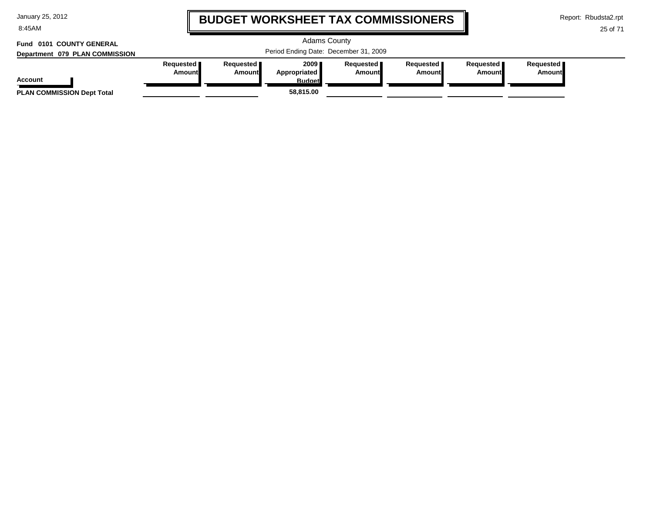8:45AM

# **BUDGET WORKSHEET TAX COMMISSIONERS**

Report: Rbudsta2.rpt

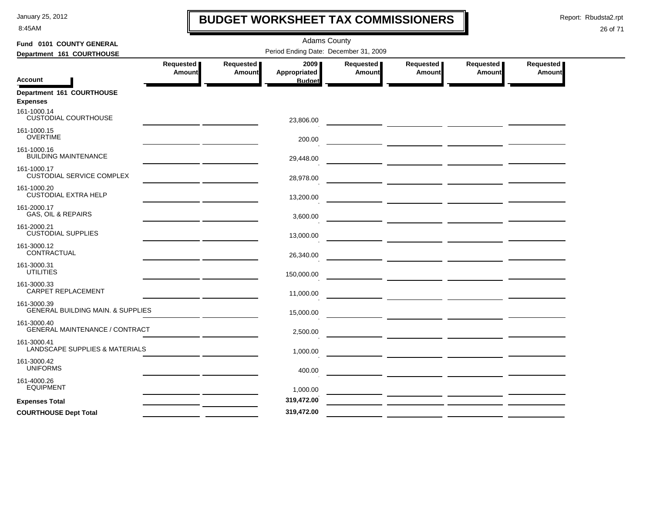8:45AM

# **BUDGET WORKSHEET TAX COMMISSIONERS**

Report: Rbudsta2.rpt

 $\mathbf l$ 

| Fund 0101 COUNTY GENERAL                                    |                                                                                                                     |                  | <b>Adams County</b>                   |                  |                                                 |           |                  |
|-------------------------------------------------------------|---------------------------------------------------------------------------------------------------------------------|------------------|---------------------------------------|------------------|-------------------------------------------------|-----------|------------------|
| Department 161 COURTHOUSE                                   |                                                                                                                     |                  | Period Ending Date: December 31, 2009 |                  |                                                 |           |                  |
|                                                             | <b>Requested</b>                                                                                                    | <b>Requested</b> | 2009                                  | <b>Requested</b> | Requested                                       | Requested | <b>Requested</b> |
|                                                             | Amount                                                                                                              | <b>Amount</b>    | Appropriated                          | Amount           | Amount                                          | Amount    | <b>Amount</b>    |
| <b>Account</b>                                              |                                                                                                                     |                  | <b>Budget</b>                         |                  |                                                 |           |                  |
| Department 161 COURTHOUSE<br><b>Expenses</b>                |                                                                                                                     |                  |                                       |                  |                                                 |           |                  |
| 161-1000.14<br><b>CUSTODIAL COURTHOUSE</b>                  | <u> 1989 - John Harry Harry Harry Harry Harry Harry Harry Harry Harry Harry Harry Harry Harry Harry Harry Harry</u> |                  | 23,806.00                             |                  |                                                 |           |                  |
| 161-1000.15<br><b>OVERTIME</b>                              |                                                                                                                     |                  | 200.00                                |                  |                                                 |           |                  |
| 161-1000.16<br><b>BUILDING MAINTENANCE</b>                  |                                                                                                                     |                  | 29,448.00                             |                  |                                                 |           |                  |
| 161-1000.17<br><b>CUSTODIAL SERVICE COMPLEX</b>             |                                                                                                                     |                  | 28,978.00                             |                  |                                                 |           |                  |
| 161-1000.20<br><b>CUSTODIAL EXTRA HELP</b>                  |                                                                                                                     |                  | 13,200.00                             |                  |                                                 |           |                  |
| 161-2000.17<br>GAS, OIL & REPAIRS                           |                                                                                                                     |                  | 3,600.00                              |                  |                                                 |           |                  |
| 161-2000.21<br><b>CUSTODIAL SUPPLIES</b>                    |                                                                                                                     |                  | 13,000.00                             |                  |                                                 |           |                  |
| 161-3000.12<br>CONTRACTUAL                                  |                                                                                                                     |                  | 26,340.00                             |                  | <u> 1989 - Johann John Stone, mars et al. (</u> |           |                  |
| 161-3000.31<br><b>UTILITIES</b>                             |                                                                                                                     |                  | 150,000.00                            |                  |                                                 |           |                  |
| 161-3000.33<br><b>CARPET REPLACEMENT</b>                    | <u> Albanya (Albanya)</u>                                                                                           |                  | 11,000.00                             |                  |                                                 |           |                  |
| 161-3000.39<br><b>GENERAL BUILDING MAIN. &amp; SUPPLIES</b> |                                                                                                                     |                  | 15,000.00                             |                  |                                                 |           |                  |
| 161-3000.40<br><b>GENERAL MAINTENANCE / CONTRACT</b>        |                                                                                                                     |                  | 2,500.00                              |                  |                                                 |           |                  |
| 161-3000.41<br><b>LANDSCAPE SUPPLIES &amp; MATERIALS</b>    |                                                                                                                     |                  | 1,000.00                              |                  |                                                 |           |                  |
| 161-3000.42<br><b>UNIFORMS</b>                              |                                                                                                                     |                  | 400.00                                |                  |                                                 |           |                  |
| 161-4000.26<br><b>EQUIPMENT</b>                             |                                                                                                                     |                  | 1,000.00                              |                  |                                                 |           |                  |
| <b>Expenses Total</b>                                       |                                                                                                                     |                  | 319,472.00                            |                  |                                                 |           |                  |
| <b>COURTHOUSE Dept Total</b>                                |                                                                                                                     |                  | 319,472.00                            |                  |                                                 |           |                  |
|                                                             |                                                                                                                     |                  |                                       |                  |                                                 |           |                  |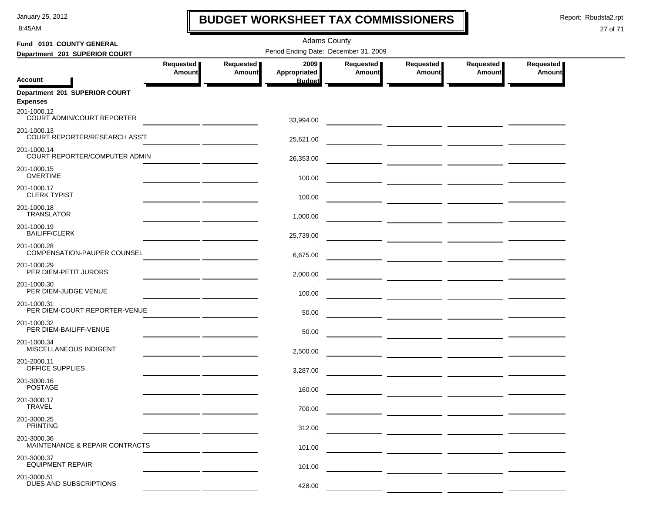8:45AM

# **BUDGET WORKSHEET TAX COMMISSIONERS**

Report: Rbudsta2.rpt

 $\mathbf I$ 

#### 27 of 71

| Fund 0101 COUNTY GENERAL                          |                                                                                                                      |               | <b>Adams County</b>                   |           |               |                                 |               |  |
|---------------------------------------------------|----------------------------------------------------------------------------------------------------------------------|---------------|---------------------------------------|-----------|---------------|---------------------------------|---------------|--|
| Department 201 SUPERIOR COURT                     |                                                                                                                      |               | Period Ending Date: December 31, 2009 |           |               |                                 |               |  |
|                                                   | Requested                                                                                                            | Requested     | 2009 ∎                                | Requested | Requested     | Requested                       | Requested     |  |
| <b>Account</b>                                    | Amount                                                                                                               | <b>Amount</b> | <b>Appropriated</b><br><b>Budget</b>  | Amount    | <b>Amount</b> | Amount                          | <b>Amount</b> |  |
| Department 201 SUPERIOR COURT<br><b>Expenses</b>  |                                                                                                                      |               |                                       |           |               |                                 |               |  |
| 201-1000.12<br>COURT ADMIN/COURT REPORTER         |                                                                                                                      |               | 33,994.00                             |           |               |                                 |               |  |
| 201-1000.13<br>COURT REPORTER/RESEARCH ASS'T      |                                                                                                                      |               | 25,621.00                             |           |               |                                 |               |  |
| 201-1000.14<br>COURT REPORTER/COMPUTER ADMIN      |                                                                                                                      |               | 26,353.00                             |           |               |                                 |               |  |
| 201-1000.15<br><b>OVERTIME</b>                    |                                                                                                                      |               | 100.00                                |           |               |                                 |               |  |
| 201-1000.17<br><b>CLERK TYPIST</b>                |                                                                                                                      |               | 100.00                                |           |               |                                 |               |  |
| 201-1000.18<br><b>TRANSLATOR</b>                  |                                                                                                                      |               | 1,000.00                              |           |               |                                 |               |  |
| 201-1000.19<br><b>BAILIFF/CLERK</b>               |                                                                                                                      |               | 25,739.00                             |           |               |                                 |               |  |
| 201-1000.28<br><b>COMPENSATION-PAUPER COUNSEL</b> |                                                                                                                      |               | 6,675.00                              |           |               |                                 |               |  |
| 201-1000.29<br>PER DIEM-PETIT JURORS              | <u> 1990 - Johann John Harry Harry Harry Harry Harry Harry Harry Harry Harry Harry Harry Harry Harry Harry Harry</u> |               | 2,000.00                              |           |               |                                 |               |  |
| 201-1000.30<br>PER DIEM-JUDGE VENUE               |                                                                                                                      |               | 100.00                                |           |               | — <u>— —————</u> —————————————— |               |  |
| 201-1000.31<br>PER DIEM-COURT REPORTER-VENUE      |                                                                                                                      |               | 50.00                                 |           |               | — <u>— —————</u> —————————————— |               |  |
| 201-1000.32<br>PER DIEM-BAILIFF-VENUE             |                                                                                                                      |               | 50.00                                 |           |               |                                 |               |  |
| 201-1000.34<br>MISCELLANEOUS INDIGENT             |                                                                                                                      |               | 2,500.00                              |           |               |                                 |               |  |
| 201-2000.11<br>OFFICE SUPPLIES                    |                                                                                                                      |               | 3,287.00                              |           |               |                                 |               |  |
| 201-3000.16<br><b>POSTAGE</b>                     |                                                                                                                      |               | 160.00                                |           |               |                                 |               |  |
| 201-3000.17<br><b>IRAVEL</b>                      |                                                                                                                      |               | 700.00                                |           |               |                                 |               |  |
| 201-3000.25<br><b>PRINTING</b>                    |                                                                                                                      |               | 312.00                                |           |               |                                 |               |  |
| 201-3000.36<br>MAINTENANCE & REPAIR CONTRACTS     |                                                                                                                      |               | 101.00                                |           |               |                                 |               |  |
| 201-3000.37<br><b>EQUIPMENT REPAIR</b>            |                                                                                                                      |               | 101.00                                |           |               |                                 |               |  |
| 201-3000.51<br>DUES AND SUBSCRIPTIONS             |                                                                                                                      |               | 428.00                                |           |               |                                 |               |  |

 $\sim$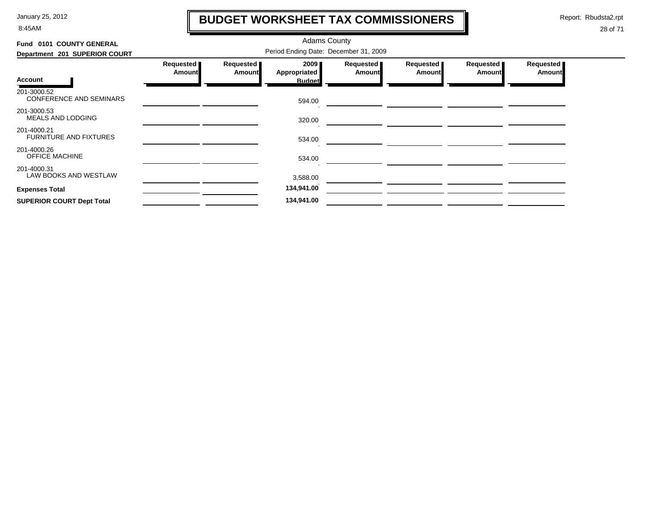8:45AM

# **BUDGET WORKSHEET TAX COMMISSIONERS**

Report: Rbudsta2.rpt

 $\mathbf l$ 

| Fund 0101 COUNTY GENERAL                      |                     |                            | <b>Adams County</b>                   |                            |                            |                            |                            |
|-----------------------------------------------|---------------------|----------------------------|---------------------------------------|----------------------------|----------------------------|----------------------------|----------------------------|
| Department 201 SUPERIOR COURT                 |                     |                            | Period Ending Date: December 31, 2009 |                            |                            |                            |                            |
|                                               | Requested<br>Amount | Requested<br><b>Amount</b> | 2009<br>Appropriated                  | Requested<br><b>Amount</b> | Requested<br><b>Amount</b> | Requested<br><b>Amount</b> | Requested<br><b>Amount</b> |
| Account                                       |                     |                            | <b>Budget</b>                         |                            |                            |                            |                            |
| 201-3000.52<br><b>CONFERENCE AND SEMINARS</b> |                     |                            | 594.00                                |                            |                            |                            |                            |
| 201-3000.53<br><b>MEALS AND LODGING</b>       |                     |                            | 320.00                                |                            |                            |                            |                            |
| 201-4000.21<br><b>FURNITURE AND FIXTURES</b>  |                     |                            | 534.00                                |                            |                            |                            |                            |
| 201-4000.26<br><b>OFFICE MACHINE</b>          |                     |                            | 534.00                                |                            |                            |                            |                            |
| 201-4000.31<br>LAW BOOKS AND WESTLAW          |                     |                            | 3,588.00                              |                            |                            |                            |                            |
| <b>Expenses Total</b>                         |                     |                            | 134,941.00                            |                            |                            |                            |                            |
| <b>SUPERIOR COURT Dept Total</b>              |                     |                            | 134,941.00                            |                            |                            |                            |                            |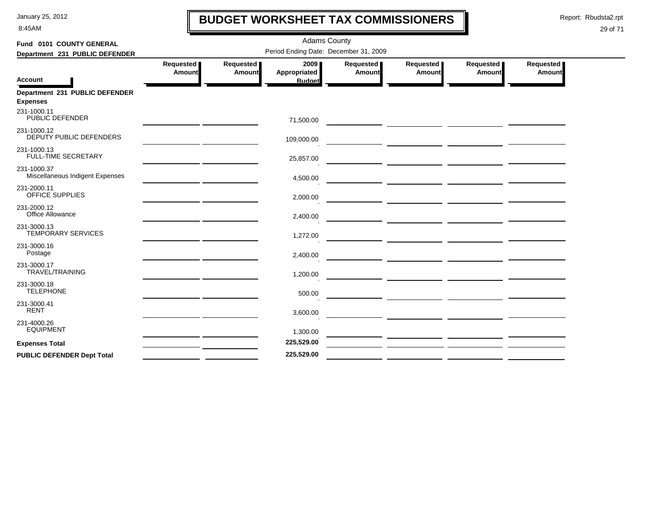8:45AM

# **BUDGET WORKSHEET TAX COMMISSIONERS**

Report: Rbudsta2.rpt

 $\mathbf l$ 

| Fund 0101 COUNTY GENERAL                          |                                                                                                                       |                     | <b>Adams County</b>                   |                     |                       |                     |                     |
|---------------------------------------------------|-----------------------------------------------------------------------------------------------------------------------|---------------------|---------------------------------------|---------------------|-----------------------|---------------------|---------------------|
| Department 231 PUBLIC DEFENDER                    |                                                                                                                       |                     | Period Ending Date: December 31, 2009 |                     |                       |                     |                     |
| <b>Account</b>                                    | Requested<br>Amount                                                                                                   | Requested<br>Amount | 2009<br>Appropriated<br><b>Budget</b> | Requested<br>Amount | Requested  <br>Amount | Requested<br>Amount | Requested<br>Amount |
| Department 231 PUBLIC DEFENDER<br><b>Expenses</b> |                                                                                                                       |                     |                                       |                     |                       |                     |                     |
| 231-1000.11<br>PUBLIC DEFENDER                    |                                                                                                                       |                     | 71,500.00                             |                     |                       |                     |                     |
| 231-1000.12<br>DEPUTY PUBLIC DEFENDERS            | <u> 1989 - Andrea Station Andrew Maria (</u>                                                                          |                     | 109,000.00                            |                     |                       |                     |                     |
| 231-1000.13<br><b>FULL-TIME SECRETARY</b>         | <u> 1989 - Johann Barn, amerikansk politiker (</u>                                                                    |                     | 25,857.00                             |                     |                       |                     |                     |
| 231-1000.37<br>Miscellaneous Indigent Expenses    |                                                                                                                       |                     | 4,500.00                              |                     |                       |                     |                     |
| 231-2000.11<br>OFFICE SUPPLIES                    |                                                                                                                       |                     | 2,000.00                              |                     |                       |                     |                     |
| 231-2000.12<br>Office Allowance                   |                                                                                                                       |                     | 2,400.00                              |                     |                       |                     |                     |
| 231-3000.13<br>TEMPORARY SERVICES                 |                                                                                                                       |                     | 1,272.00                              |                     |                       |                     |                     |
| 231-3000.16<br>Postage                            |                                                                                                                       |                     | 2,400.00                              |                     |                       |                     |                     |
| 231-3000.17<br>TRAVEL/TRAINING                    |                                                                                                                       |                     | 1,200.00                              |                     |                       |                     |                     |
| 231-3000.18<br><b>TELEPHONE</b>                   |                                                                                                                       |                     | 500.00                                |                     |                       |                     |                     |
| 231-3000.41<br><b>RENT</b>                        |                                                                                                                       |                     | 3,600.00                              |                     |                       |                     |                     |
| 231-4000.26<br><b>EQUIPMENT</b>                   | <u> 1989 - John Harry Harry Harry Harry Harry Harry Harry Harry Harry Harry Harry Harry Harry Harry Harry Harry H</u> |                     | 1,300.00                              |                     |                       |                     |                     |
| <b>Expenses Total</b>                             |                                                                                                                       |                     | 225,529.00                            |                     |                       |                     |                     |
| <b>PUBLIC DEFENDER Dept Total</b>                 |                                                                                                                       |                     | 225,529.00                            |                     |                       |                     |                     |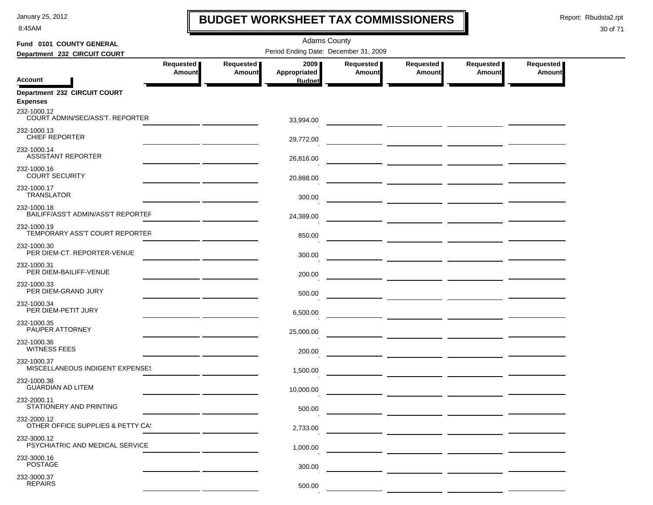8:45AM

# **BUDGET WORKSHEET TAX COMMISSIONERS**

Report: Rbudsta2.rpt

 $\mathbf I$ 

| Fund 0101 COUNTY GENERAL                          |                     |                            | <b>Adams County</b>                   |                     |                                                                                                                      |                            |                              |
|---------------------------------------------------|---------------------|----------------------------|---------------------------------------|---------------------|----------------------------------------------------------------------------------------------------------------------|----------------------------|------------------------------|
| Department 232 CIRCUIT COURT                      |                     |                            | Period Ending Date: December 31, 2009 |                     |                                                                                                                      |                            |                              |
|                                                   | Requested<br>Amount | Requested<br><b>Amount</b> | 2009<br>Appropriated                  | Requested<br>Amount | Requested<br>Amount                                                                                                  | Requested<br><b>Amount</b> | Requested  <br><b>Amount</b> |
| <b>Account</b>                                    |                     |                            | <b>Budget</b>                         |                     |                                                                                                                      |                            |                              |
| Department 232 CIRCUIT COURT<br><b>Expenses</b>   |                     |                            |                                       |                     |                                                                                                                      |                            |                              |
| 232-1000.12<br>COURT ADMIN/SEC/ASS'T. REPORTER    |                     |                            | 33,994.00                             |                     |                                                                                                                      |                            |                              |
| 232-1000.13<br>CHIEF REPORTER                     |                     |                            | 29,772.00                             |                     | <u> 1989 - Jan Barnett, politik fizikar e</u>                                                                        |                            |                              |
| 232-1000.14<br><b>ASSISTANT REPORTER</b>          |                     |                            | 26,816.00                             |                     |                                                                                                                      |                            |                              |
| 232-1000.16<br><b>COURT SECURITY</b>              |                     |                            | 20,888.00                             |                     |                                                                                                                      |                            |                              |
| 232-1000.17<br><b>TRANSLATOR</b>                  |                     |                            | 300.00                                |                     |                                                                                                                      |                            |                              |
| 232-1000.18<br>BAILIFF/ASS'T ADMIN/ASS'T REPORTEF |                     |                            | 24,389.00                             |                     |                                                                                                                      |                            |                              |
| 232-1000.19<br>TEMPORARY ASS'T COURT REPORTER     |                     |                            | 850.00                                |                     |                                                                                                                      |                            |                              |
| 232-1000.30<br>PER DIEM-CT. REPORTER-VENUE        |                     |                            | 300.00                                |                     |                                                                                                                      |                            |                              |
| 232-1000.31<br>PER DIEM-BAILIFF-VENUE             |                     |                            | 200.00                                |                     |                                                                                                                      |                            |                              |
| 232-1000.33<br>PER DIEM-GRAND JURY                |                     |                            | 500.00                                |                     |                                                                                                                      |                            |                              |
| 232-1000.34<br>PER DIEM-PETIT JURY                |                     |                            | 6,500.00                              |                     | <u> 1990 - John Harry Barn, mars and de la partie de la partie de la partie de la partie de la partie de la part</u> |                            |                              |
| 232-1000.35<br>PAUPER ATTORNEY                    |                     |                            | 25,000.00                             |                     | $\overline{\phantom{a}}$ and $\overline{\phantom{a}}$ and $\overline{\phantom{a}}$                                   |                            |                              |
| 232-1000.36<br><b>WITNESS FEES</b>                |                     |                            | 200.00                                |                     | $\overline{\phantom{a}}$ . The contract of $\overline{\phantom{a}}$                                                  |                            |                              |
| 232-1000.37<br>MISCELLANEOUS INDIGENT EXPENSES    |                     |                            | 1,500.00                              |                     |                                                                                                                      |                            |                              |
| 232-1000.38<br><b>GUARDIAN AD LITEM</b>           |                     |                            | 10,000.00                             |                     |                                                                                                                      |                            |                              |
| 232-2000.11<br>STATIONERY AND PRINTING            |                     |                            | 500.00                                |                     |                                                                                                                      |                            |                              |
| 232-2000.12<br>OTHER OFFICE SUPPLIES & PETTY CA!  |                     |                            | 2,733.00                              |                     |                                                                                                                      |                            |                              |
| 232-3000.12<br>PSYCHIATRIC AND MEDICAL SERVICE    |                     |                            | 1,000.00                              |                     |                                                                                                                      |                            |                              |
| 232-3000.16<br><b>POSTAGE</b>                     |                     |                            | 300.00                                |                     |                                                                                                                      |                            |                              |
| 232-3000.37<br><b>REPAIRS</b>                     |                     |                            | 500.00                                |                     |                                                                                                                      |                            |                              |
|                                                   |                     |                            |                                       |                     |                                                                                                                      |                            |                              |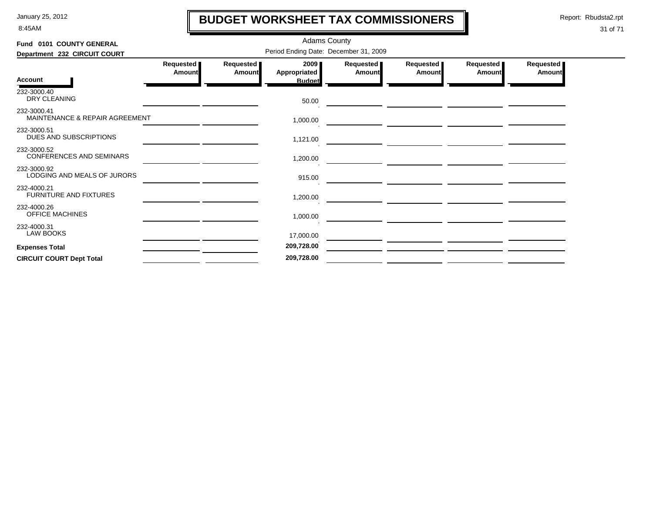8:45AM

# **BUDGET WORKSHEET TAX COMMISSIONERS**

Report: Rbudsta2.rpt

 $\mathbf l$ 

| Fund 0101 COUNTY GENERAL                       |                                       |                     | <b>Adams County</b>                     |                       |                     |                     |                            |  |  |
|------------------------------------------------|---------------------------------------|---------------------|-----------------------------------------|-----------------------|---------------------|---------------------|----------------------------|--|--|
| Department 232 CIRCUIT COURT                   | Period Ending Date: December 31, 2009 |                     |                                         |                       |                     |                     |                            |  |  |
| <b>Account</b>                                 | Requested<br>Amount                   | Requested<br>Amount | 2009 ∎<br>Appropriated<br><b>Budget</b> | Requested  <br>Amount | Requested<br>Amount | Requested<br>Amount | Requested<br><b>Amount</b> |  |  |
| 232-3000.40<br>DRY CLEANING                    |                                       |                     | 50.00                                   |                       |                     |                     |                            |  |  |
| 232-3000.41<br>MAINTENANCE & REPAIR AGREEMENT  |                                       |                     | 1,000.00                                |                       |                     |                     |                            |  |  |
| 232-3000.51<br>DUES AND SUBSCRIPTIONS          |                                       |                     | 1,121.00                                |                       |                     |                     |                            |  |  |
| 232-3000.52<br><b>CONFERENCES AND SEMINARS</b> |                                       |                     | 1,200.00                                |                       |                     |                     |                            |  |  |
| 232-3000.92<br>LODGING AND MEALS OF JURORS     |                                       |                     | 915.00                                  |                       |                     |                     |                            |  |  |
| 232-4000.21<br><b>FURNITURE AND FIXTURES</b>   |                                       |                     | 1,200.00                                |                       |                     |                     |                            |  |  |
| 232-4000.26<br>OFFICE MACHINES                 |                                       |                     | 1,000.00                                |                       |                     |                     |                            |  |  |
| 232-4000.31<br><b>LAW BOOKS</b>                |                                       |                     | 17,000.00                               |                       |                     |                     |                            |  |  |
| <b>Expenses Total</b>                          |                                       |                     | 209,728.00                              |                       |                     |                     |                            |  |  |
| <b>CIRCUIT COURT Dept Total</b>                |                                       |                     | 209,728.00                              |                       |                     |                     |                            |  |  |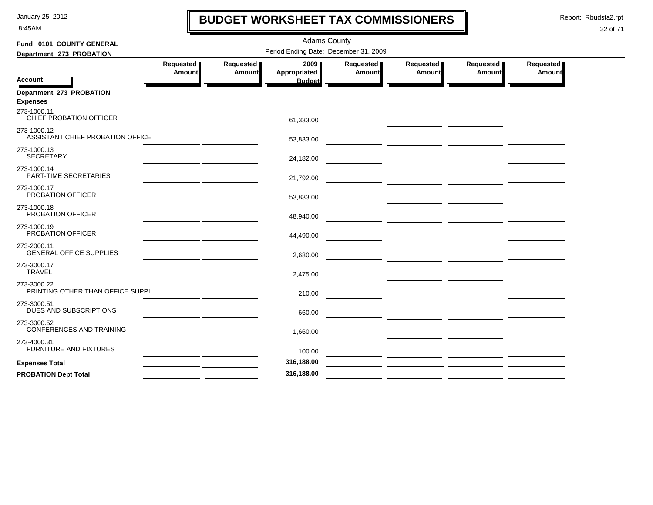8:45AM

# **BUDGET WORKSHEET TAX COMMISSIONERS**

Report: Rbudsta2.rpt

 $\mathbf l$ 

| Fund 0101 COUNTY GENERAL                        |                     |                     | <b>Adams County</b>                   |                            |                                                    |                       |                            |
|-------------------------------------------------|---------------------|---------------------|---------------------------------------|----------------------------|----------------------------------------------------|-----------------------|----------------------------|
| Department 273 PROBATION                        |                     |                     | Period Ending Date: December 31, 2009 |                            |                                                    |                       |                            |
| <b>Account</b>                                  | Requested<br>Amount | Requested<br>Amount | 2009<br>Appropriated<br><b>Budget</b> | <b>Requested</b><br>Amount | Requested<br>Amount                                | Requested  <br>Amount | Requested<br><b>Amount</b> |
| Department 273 PROBATION<br><b>Expenses</b>     |                     |                     |                                       |                            |                                                    |                       |                            |
| 273-1000.11<br>CHIEF PROBATION OFFICER          |                     |                     | 61,333.00                             |                            |                                                    |                       |                            |
| 273-1000.12<br>ASSISTANT CHIEF PROBATION OFFICE |                     |                     | 53,833.00                             |                            |                                                    |                       |                            |
| 273-1000.13<br><b>SECRETARY</b>                 |                     |                     | 24,182.00                             |                            |                                                    |                       |                            |
| 273-1000.14<br>PART-TIME SECRETARIES            |                     |                     | 21,792.00                             |                            |                                                    |                       |                            |
| 273-1000.17<br>PROBATION OFFICER                |                     |                     | 53,833.00                             |                            |                                                    |                       |                            |
| 273-1000.18<br>PROBATION OFFICER                |                     |                     | 48,940.00                             |                            |                                                    |                       |                            |
| 273-1000.19<br>PROBATION OFFICER                |                     |                     | 44,490.00                             |                            |                                                    |                       |                            |
| 273-2000.11<br><b>GENERAL OFFICE SUPPLIES</b>   |                     |                     | 2,680.00                              |                            |                                                    |                       |                            |
| 273-3000.17<br><b>TRAVEL</b>                    |                     |                     | 2,475.00                              |                            |                                                    |                       |                            |
| 273-3000.22<br>PRINTING OTHER THAN OFFICE SUPPL |                     |                     | 210.00                                |                            |                                                    |                       |                            |
| 273-3000.51<br>DUES AND SUBSCRIPTIONS           |                     |                     | 660.00                                |                            |                                                    |                       |                            |
| 273-3000.52<br><b>CONFERENCES AND TRAINING</b>  |                     |                     | 1,660.00                              |                            | <u> 1989 - Johann Stein, mars et al. (b. 1989)</u> |                       |                            |
| 273-4000.31<br>FURNITURE AND FIXTURES           |                     |                     | 100.00                                |                            |                                                    |                       |                            |
| <b>Expenses Total</b>                           |                     |                     | 316,188.00                            |                            |                                                    |                       |                            |
| <b>PROBATION Dept Total</b>                     |                     |                     | 316,188.00                            |                            |                                                    |                       |                            |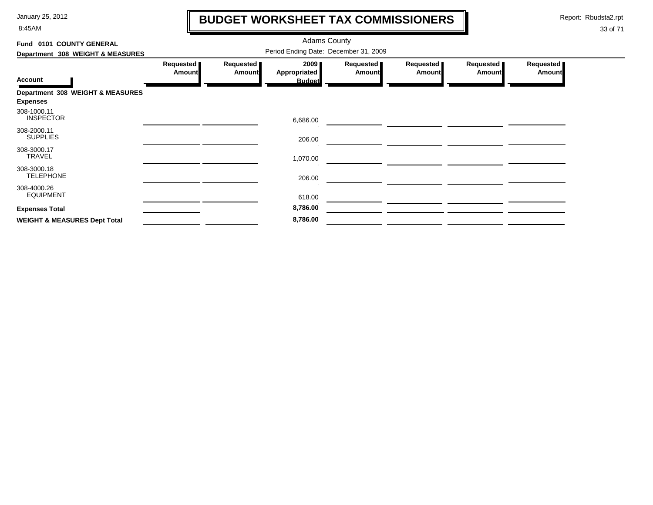8:45AM

# **BUDGET WORKSHEET TAX COMMISSIONERS**

Report: Rbudsta2.rpt

 $\mathbf \mathbf I$ 

| Fund 0101 COUNTY GENERAL                            |                            |                            |                                       |                            |                     |                            |                            |
|-----------------------------------------------------|----------------------------|----------------------------|---------------------------------------|----------------------------|---------------------|----------------------------|----------------------------|
| Department 308 WEIGHT & MEASURES                    |                            |                            |                                       |                            |                     |                            |                            |
| <b>Account</b>                                      | Requested<br><b>Amount</b> | Requested<br><b>Amount</b> | 2009<br>Appropriated<br><b>Budget</b> | Requested<br><b>Amount</b> | Requested<br>Amount | Requested<br><b>Amount</b> | Requested<br><b>Amount</b> |
| Department 308 WEIGHT & MEASURES<br><b>Expenses</b> |                            |                            |                                       |                            |                     |                            |                            |
| 308-1000.11<br><b>INSPECTOR</b>                     |                            |                            | 6,686.00                              |                            |                     |                            |                            |
| 308-2000.11<br><b>SUPPLIES</b>                      |                            |                            | 206.00                                |                            |                     |                            |                            |
| 308-3000.17<br><b>TRAVEL</b>                        |                            |                            | 1,070.00                              |                            |                     |                            |                            |
| 308-3000.18<br><b>TELEPHONE</b>                     |                            |                            | 206.00                                |                            |                     |                            |                            |
| 308-4000.26<br><b>EQUIPMENT</b>                     |                            |                            | 618.00                                |                            |                     |                            |                            |
| <b>Expenses Total</b>                               |                            |                            | 8,786.00                              |                            |                     |                            |                            |
| <b>WEIGHT &amp; MEASURES Dept Total</b>             |                            |                            | 8,786.00                              |                            |                     |                            |                            |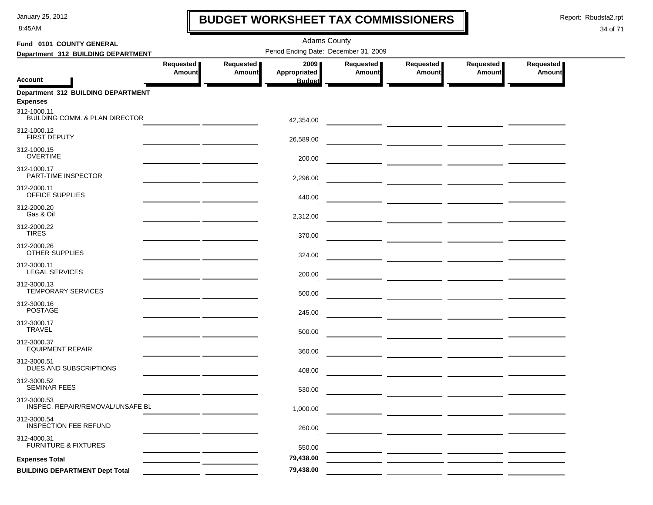8:45AM

### **BUDGET WORKSHEET TAX COMMISSIONERS**

Report: Rbudsta2.rpt

 $\mathbf l$ 

| Fund 0101 COUNTY GENERAL                                     |                            |                            | <b>Adams County</b>                   |                            |                            |                                                              |                            |
|--------------------------------------------------------------|----------------------------|----------------------------|---------------------------------------|----------------------------|----------------------------|--------------------------------------------------------------|----------------------------|
| Department 312 BUILDING DEPARTMENT                           |                            |                            | Period Ending Date: December 31, 2009 |                            |                            |                                                              |                            |
| <b>Account</b>                                               | Requested<br><b>Amount</b> | Requested<br><b>Amount</b> | 2009<br>Appropriated<br><b>Budget</b> | Requested<br><b>Amount</b> | Requested<br><b>Amount</b> | Requested<br><b>Amount</b>                                   | Requested<br><b>Amount</b> |
| <b>Department 312 BUILDING DEPARTMENT</b><br><b>Expenses</b> |                            |                            |                                       |                            |                            |                                                              |                            |
| 312-1000.11<br>BUILDING COMM. & PLAN DIRECTOR                |                            |                            | 42,354.00                             |                            |                            |                                                              |                            |
| 312-1000.12<br>FIRST DEPUTY                                  |                            |                            | 26,589.00                             |                            |                            |                                                              |                            |
| 312-1000.15<br><b>OVERTIME</b>                               |                            |                            | 200.00                                |                            |                            |                                                              |                            |
| 312-1000.17<br>PART-TIME INSPECTOR                           |                            |                            | 2,296.00                              |                            |                            |                                                              |                            |
| 312-2000.11<br>OFFICE SUPPLIES                               |                            |                            | 440.00                                |                            |                            |                                                              |                            |
| 312-2000.20<br>Gas & Oil                                     |                            |                            | 2,312.00                              |                            |                            |                                                              |                            |
| 312-2000.22<br><b>TIRES</b>                                  |                            |                            | 370.00                                |                            |                            |                                                              |                            |
| 312-2000.26<br><b>OTHER SUPPLIES</b>                         |                            |                            | 324.00                                |                            |                            | <u> 1989 - John Stein, Amerikaansk konstantiner (* 1908)</u> |                            |
| 312-3000.11<br><b>LEGAL SERVICES</b>                         |                            |                            | 200.00                                |                            |                            |                                                              |                            |
| 312-3000.13<br>TEMPORARY SERVICES                            |                            |                            | 500.00                                |                            |                            |                                                              |                            |
| 312-3000.16<br><b>POSTAGE</b>                                |                            |                            | 245.00                                |                            |                            |                                                              |                            |
| 312-3000.17<br><b>TRAVEL</b>                                 |                            |                            | 500.00                                |                            |                            |                                                              |                            |
| 312-3000.37<br><b>EQUIPMENT REPAIR</b>                       |                            |                            | 360.00                                |                            |                            |                                                              |                            |
| 312-3000.51<br>DUES AND SUBSCRIPTIONS                        |                            |                            | 408.00                                |                            |                            |                                                              |                            |
| 312-3000.52<br><b>SEMINAR FEES</b>                           |                            |                            | 530.00                                |                            |                            |                                                              |                            |
| 312-3000.53<br>INSPEC. REPAIR/REMOVAL/UNSAFE BL              |                            |                            | 1,000.00                              |                            |                            |                                                              |                            |
| 312-3000.54<br>INSPECTION FEE REFUND                         |                            |                            | 260.00                                |                            |                            |                                                              |                            |
| 312-4000.31<br><b>FURNITURE &amp; FIXTURES</b>               |                            |                            | 550.00                                |                            |                            |                                                              |                            |
| <b>Expenses Total</b>                                        |                            |                            | 79,438.00                             |                            |                            |                                                              |                            |
| <b>BUILDING DEPARTMENT Dept Total</b>                        |                            |                            | 79,438.00                             |                            |                            |                                                              |                            |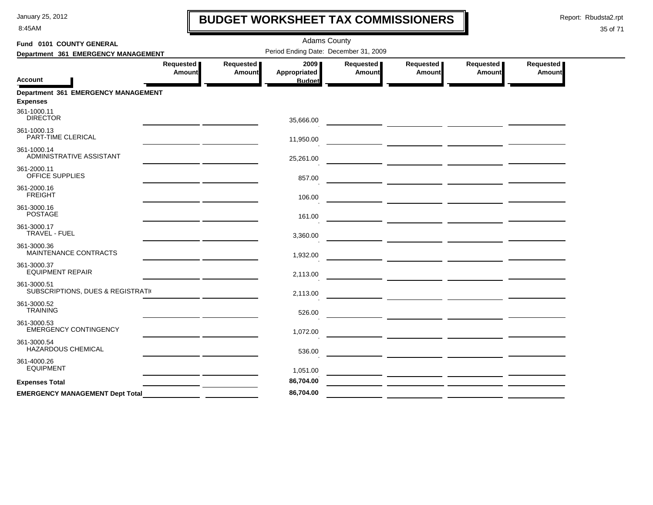8:45AM

# **BUDGET WORKSHEET TAX COMMISSIONERS**

Report: Rbudsta2.rpt

 $\mathbf l$ 

| Fund 0101 COUNTY GENERAL                               |                            |                            | <b>Adams County</b>                          |                     |                                                                                                                       |                            |                            |
|--------------------------------------------------------|----------------------------|----------------------------|----------------------------------------------|---------------------|-----------------------------------------------------------------------------------------------------------------------|----------------------------|----------------------------|
| Department 361 EMERGENCY MANAGEMENT                    |                            |                            | Period Ending Date: December 31, 2009        |                     |                                                                                                                       |                            |                            |
| <b>Account</b>                                         | Requested<br><b>Amount</b> | Requested<br><b>Amount</b> | 2009<br><b>Appropriated</b><br><b>Budget</b> | Requested<br>Amount | Requested<br>Amount                                                                                                   | Requested<br><b>Amount</b> | Requested<br><b>Amount</b> |
| Department 361 EMERGENCY MANAGEMENT<br><b>Expenses</b> |                            |                            |                                              |                     |                                                                                                                       |                            |                            |
| 361-1000.11<br><b>DIRECTOR</b>                         |                            |                            | 35,666.00                                    |                     |                                                                                                                       |                            |                            |
| 361-1000.13<br>PART-TIME CLERICAL                      |                            |                            | 11,950.00                                    |                     |                                                                                                                       |                            |                            |
| 361-1000.14<br>ADMINISTRATIVE ASSISTANT                |                            |                            | 25,261.00                                    |                     |                                                                                                                       |                            |                            |
| 361-2000.11<br>OFFICE SUPPLIES                         |                            |                            | 857.00                                       |                     |                                                                                                                       |                            |                            |
| 361-2000.16<br><b>FREIGHT</b>                          |                            |                            | 106.00                                       |                     |                                                                                                                       |                            |                            |
| 361-3000.16<br><b>POSTAGE</b>                          |                            |                            | 161.00                                       |                     |                                                                                                                       |                            |                            |
| 361-3000.17<br>TRAVEL - FUEL                           |                            |                            | 3,360.00                                     |                     |                                                                                                                       |                            |                            |
| 361-3000.36<br>MAINTENANCE CONTRACTS                   |                            |                            | 1,932.00                                     |                     |                                                                                                                       |                            |                            |
| 361-3000.37<br><b>EQUIPMENT REPAIR</b>                 |                            |                            | 2,113.00                                     |                     | <u> 1989 - Johann Harry Harry Harry Harry Harry Harry Harry Harry Harry Harry Harry Harry Harry Harry Harry Harry</u> |                            |                            |
| 361-3000.51<br>SUBSCRIPTIONS, DUES & REGISTRATIV       |                            |                            | 2,113.00                                     |                     |                                                                                                                       |                            |                            |
| 361-3000.52<br><b>TRAINING</b>                         |                            |                            | 526.00                                       |                     |                                                                                                                       |                            |                            |
| 361-3000.53<br><b>EMERGENCY CONTINGENCY</b>            |                            |                            | 1,072.00                                     |                     | <u> La Carlo Carlo Carlo Carlo Carlo Carlo Carlo Carlo Carlo Carlo Carlo Carlo Carlo Carlo Carlo Carlo Carlo Car</u>  |                            |                            |
| 361-3000.54<br><b>HAZARDOUS CHEMICAL</b>               |                            |                            | 536.00                                       |                     | <u> 1990 - Johann Harry Harry Harry Harry Harry Harry Harry Harry Harry Harry Harry Harry Harry Harry Harry Harry</u> |                            |                            |
| 361-4000.26<br><b>EQUIPMENT</b>                        |                            |                            | 1,051.00                                     |                     |                                                                                                                       |                            |                            |
| <b>Expenses Total</b>                                  |                            |                            | 86,704.00                                    |                     |                                                                                                                       |                            |                            |
| <b>EMERGENCY MANAGEMENT Dept Total</b>                 |                            |                            | 86,704.00                                    |                     |                                                                                                                       |                            |                            |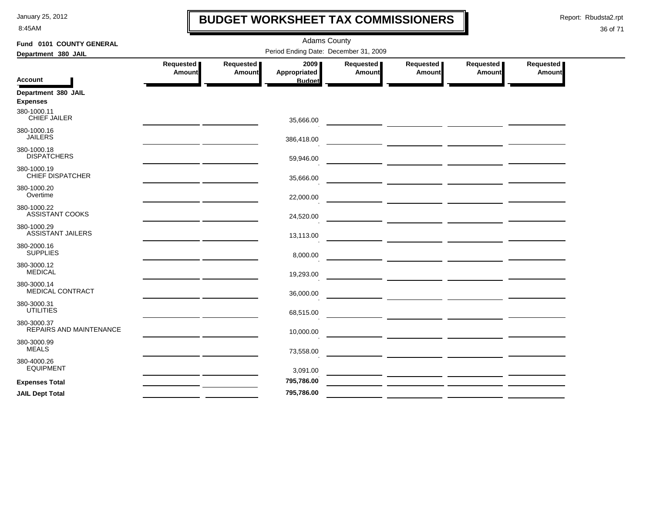8:45AM

### **BUDGET WORKSHEET TAX COMMISSIONERS**

Report: Rbudsta2.rpt

 $\mathbf l$ 

| Fund 0101 COUNTY GENERAL                      |                            |                     | <b>Adams County</b>                   |                     |                                                                                                                                                                                                                                      |                     |                     |
|-----------------------------------------------|----------------------------|---------------------|---------------------------------------|---------------------|--------------------------------------------------------------------------------------------------------------------------------------------------------------------------------------------------------------------------------------|---------------------|---------------------|
| Department 380 JAIL                           |                            |                     | Period Ending Date: December 31, 2009 |                     |                                                                                                                                                                                                                                      |                     |                     |
|                                               | Requested<br><b>Amount</b> | Requested<br>Amount | 2009<br>Appropriated                  | Requested<br>Amount | Requested  <br>Amount                                                                                                                                                                                                                | Requested<br>Amount | Requested<br>Amount |
| <b>Account</b>                                |                            |                     | <b>Budget</b>                         |                     |                                                                                                                                                                                                                                      |                     |                     |
| Department 380 JAIL<br><b>Expenses</b>        |                            |                     |                                       |                     |                                                                                                                                                                                                                                      |                     |                     |
| 380-1000.11<br><b>CHIEF JAILER</b>            |                            |                     | 35,666.00                             |                     |                                                                                                                                                                                                                                      |                     |                     |
| 380-1000.16<br><b>JAILERS</b>                 |                            |                     | 386,418.00                            |                     |                                                                                                                                                                                                                                      |                     |                     |
| 380-1000.18<br><b>DISPATCHERS</b>             |                            |                     | 59,946.00                             |                     | <u> The Common State of the Common State of the Common State of the Common State of the Common State of the Common State of the Common State of the Common State of the Common State of the Common State of the Common State of </u> |                     |                     |
| 380-1000.19<br><b>CHIEF DISPATCHER</b>        |                            |                     | 35,666.00                             |                     |                                                                                                                                                                                                                                      |                     |                     |
| 380-1000.20<br>Overtime                       |                            |                     | 22,000.00                             |                     | <u> 1990 - Johann Harry Harry Harry Harry Harry Harry Harry Harry Harry Harry Harry Harry Harry Harry Harry Harry</u>                                                                                                                |                     |                     |
| 380-1000.22<br>ASSISTANT COOKS                |                            |                     | 24,520.00                             |                     |                                                                                                                                                                                                                                      |                     |                     |
| 380-1000.29<br><b>ASSISTANT JAILERS</b>       |                            |                     | 13,113.00                             |                     |                                                                                                                                                                                                                                      |                     |                     |
| 380-2000.16<br><b>SUPPLIES</b>                |                            |                     | 8,000.00                              |                     | <u>and</u> the contract of the contract of the contract of the contract of the contract of the contract of the contract of                                                                                                           |                     |                     |
| 380-3000.12<br><b>MEDICAL</b>                 |                            |                     | 19,293.00                             |                     |                                                                                                                                                                                                                                      |                     |                     |
| 380-3000.14<br>MEDICAL CONTRACT               |                            |                     | 36,000.00                             |                     |                                                                                                                                                                                                                                      |                     |                     |
| 380-3000.31<br><b>UTILITIES</b>               |                            |                     | 68,515.00                             |                     | <u> 1989 - Johann Harry Harry Harry Harry Harry Harry Harry Harry Harry Harry Harry Harry Harry Harry Harry Harry</u>                                                                                                                |                     |                     |
| 380-3000.37<br><b>REPAIRS AND MAINTENANCE</b> |                            |                     | 10,000.00                             |                     | <u> The Common State of the Common State of the Common State of the Common State of the Common State of the Common</u>                                                                                                               |                     |                     |
| 380-3000.99<br><b>MEALS</b>                   |                            |                     | 73,558.00                             |                     |                                                                                                                                                                                                                                      |                     |                     |
| 380-4000.26<br><b>EQUIPMENT</b>               |                            |                     | 3,091.00                              |                     |                                                                                                                                                                                                                                      |                     |                     |
| <b>Expenses Total</b>                         |                            |                     | 795,786.00                            |                     |                                                                                                                                                                                                                                      |                     |                     |
| <b>JAIL Dept Total</b>                        |                            |                     | 795,786.00                            |                     |                                                                                                                                                                                                                                      |                     |                     |
|                                               |                            |                     |                                       |                     |                                                                                                                                                                                                                                      |                     |                     |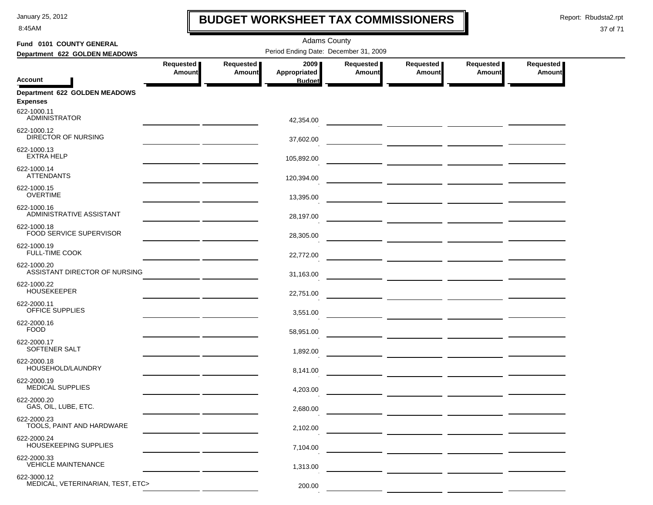8:45AM

# **BUDGET WORKSHEET TAX COMMISSIONERS**

Report: Rbudsta2.rpt

 $\mathbf I$ 

| Fund 0101 COUNTY GENERAL                         |                                                 |               | <b>Adams County</b>                   |           |           |           |           |  |
|--------------------------------------------------|-------------------------------------------------|---------------|---------------------------------------|-----------|-----------|-----------|-----------|--|
| Department 622 GOLDEN MEADOWS                    |                                                 |               | Period Ending Date: December 31, 2009 |           |           |           |           |  |
|                                                  | Requested                                       | Requested     | 2009 ∎                                | Requested | Requested | Requested | Requested |  |
| <b>Account</b>                                   | <b>Amount</b>                                   | <b>Amount</b> | Appropriated<br><b>Budget</b>         | Amount    | Amount    | Amount    | Amount    |  |
| Department 622 GOLDEN MEADOWS<br><b>Expenses</b> |                                                 |               |                                       |           |           |           |           |  |
| 622-1000.11<br><b>ADMINISTRATOR</b>              |                                                 |               | 42,354.00                             |           |           |           |           |  |
| 622-1000.12<br>DIRECTOR OF NURSING               | the control of the control of the control of    |               | 37,602.00                             |           |           |           |           |  |
| 622-1000.13<br><b>EXTRA HELP</b>                 |                                                 |               | 105,892.00                            |           |           |           |           |  |
| 622-1000.14<br><b>ATTENDANTS</b>                 |                                                 |               | 120,394.00                            |           |           |           |           |  |
| 622-1000.15<br><b>OVERTIME</b>                   |                                                 |               | 13,395.00                             |           |           |           |           |  |
| 622-1000.16<br>ADMINISTRATIVE ASSISTANT          |                                                 |               | 28,197.00                             |           |           |           |           |  |
| 622-1000.18<br>FOOD SERVICE SUPERVISOR           |                                                 |               | 28,305.00                             |           |           |           |           |  |
| 622-1000.19<br><b>FULL-TIME COOK</b>             |                                                 |               | 22,772.00                             |           |           |           |           |  |
| 622-1000.20<br>ASSISTANT DIRECTOR OF NURSING     |                                                 |               | 31,163.00                             |           |           |           |           |  |
| 622-1000.22<br><b>HOUSEKEEPER</b>                | the contract of the contract of the contract of |               | 22,751.00                             |           |           |           |           |  |
| 622-2000.11<br>OFFICE SUPPLIES                   |                                                 |               | 3,551.00                              |           |           |           |           |  |
| 622-2000.16<br><b>FOOD</b>                       |                                                 |               | 58,951.00                             |           |           |           |           |  |
| 622-2000.17<br>SOFTENER SALT                     |                                                 |               | 1,892.00                              |           |           |           |           |  |
| 622-2000.18<br>HOUSEHOLD/LAUNDRY                 |                                                 |               | 8,141.00                              |           |           |           |           |  |
| 622-2000.19<br><b>MEDICAL SUPPLIES</b>           |                                                 |               | 4.203.00                              |           |           |           |           |  |
| 622-2000.20<br>GAS, OIL, LUBE, ETC.              |                                                 |               | 2,680.00                              |           |           |           |           |  |
| 622-2000.23<br>TOOLS, PAINT AND HARDWARE         |                                                 |               | 2,102.00                              |           |           |           |           |  |
| 622-2000.24<br>HOUSEKEEPING SUPPLIES             |                                                 |               | 7,104.00                              |           |           |           |           |  |
| 622-2000.33<br><b>VEHICLE MAINTENANCE</b>        |                                                 |               | 1,313.00                              |           |           |           |           |  |
| 622-3000.12<br>MEDICAL, VETERINARIAN, TEST, ETC> |                                                 |               | 200.00                                |           |           |           |           |  |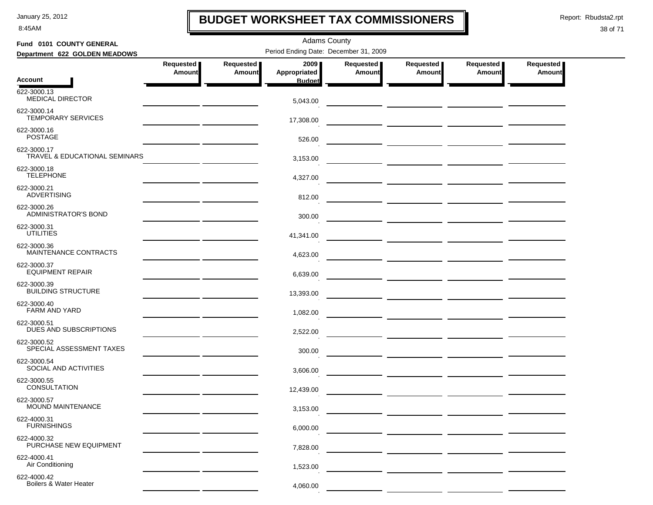8:45AM

# **BUDGET WORKSHEET TAX COMMISSIONERS**

Report: Rbudsta2.rpt

 $\mathbf I$ 

| Fund 0101 COUNTY GENERAL                     |                                                     |                            | <b>Adams County</b>                   |                            |                               |                              |                            |  |  |  |
|----------------------------------------------|-----------------------------------------------------|----------------------------|---------------------------------------|----------------------------|-------------------------------|------------------------------|----------------------------|--|--|--|
| Department 622 GOLDEN MEADOWS                |                                                     |                            | Period Ending Date: December 31, 2009 |                            |                               |                              |                            |  |  |  |
|                                              | Requested<br>Amount                                 | Requested<br><b>Amount</b> | 2009<br>Appropriated                  | Requested<br><b>Amount</b> | Requested<br><b>Amount</b>    | Requested  <br><b>Amount</b> | Requested<br><b>Amount</b> |  |  |  |
| <b>Account</b>                               |                                                     |                            | <b>Budget</b>                         |                            |                               |                              |                            |  |  |  |
| 622-3000.13<br><b>MEDICAL DIRECTOR</b>       |                                                     |                            | 5,043.00                              |                            |                               |                              |                            |  |  |  |
| 622-3000.14<br><b>TEMPORARY SERVICES</b>     |                                                     |                            | 17,308.00                             |                            |                               |                              |                            |  |  |  |
| 622-3000.16<br><b>POSTAGE</b>                |                                                     |                            | 526.00                                |                            |                               |                              |                            |  |  |  |
| 622-3000.17<br>TRAVEL & EDUCATIONAL SEMINARS |                                                     |                            | 3,153.00                              |                            |                               |                              |                            |  |  |  |
| 622-3000.18<br><b>TELEPHONE</b>              |                                                     |                            | 4,327.00                              |                            | ___ ____________ ____________ |                              |                            |  |  |  |
| 622-3000.21<br><b>ADVERTISING</b>            |                                                     |                            | 812.00                                |                            |                               |                              |                            |  |  |  |
| 622-3000.26<br><b>ADMINISTRATOR'S BOND</b>   |                                                     |                            | 300.00                                |                            |                               |                              |                            |  |  |  |
| 622-3000.31<br><b>UTILITIES</b>              | <u> 1989 - Johann Harry Communication (b. 1989)</u> |                            | 41,341.00                             |                            |                               |                              |                            |  |  |  |
| 622-3000.36<br>MAINTENANCE CONTRACTS         |                                                     |                            | 4,623.00                              |                            |                               |                              |                            |  |  |  |
| 622-3000.37<br><b>EQUIPMENT REPAIR</b>       |                                                     |                            | 6,639.00                              |                            |                               |                              |                            |  |  |  |
| 622-3000.39<br><b>BUILDING STRUCTURE</b>     |                                                     |                            | 13,393.00                             |                            |                               |                              |                            |  |  |  |
| 622-3000.40<br>FARM AND YARD                 |                                                     |                            | 1,082.00                              |                            |                               |                              |                            |  |  |  |
| 622-3000.51<br>DUES AND SUBSCRIPTIONS        |                                                     |                            | 2,522.00                              |                            |                               |                              |                            |  |  |  |
| 622-3000.52<br>SPECIAL ASSESSMENT TAXES      |                                                     |                            | 300.00                                |                            |                               |                              |                            |  |  |  |
| 622-3000.54<br>SOCIAL AND ACTIVITIES         |                                                     |                            | 3,606.00                              |                            |                               |                              |                            |  |  |  |
| 622-3000.55<br><b>CONSULTATION</b>           |                                                     |                            | 12,439.00                             |                            |                               |                              |                            |  |  |  |
| 622-3000.57<br>MOUND MAINTENANCE             |                                                     |                            | 3,153.00                              |                            |                               |                              |                            |  |  |  |
| 622-4000.31<br><b>FURNISHINGS</b>            |                                                     |                            | 6,000.00                              |                            |                               |                              |                            |  |  |  |
| 622-4000.32<br>PURCHASE NEW EQUIPMENT        |                                                     |                            | 7,828.00                              |                            |                               |                              |                            |  |  |  |
| 622-4000.41<br>Air Conditioning              |                                                     |                            | 1,523.00                              |                            |                               |                              |                            |  |  |  |
| 622-4000.42<br>Boilers & Water Heater        |                                                     |                            | 4,060.00                              |                            |                               |                              |                            |  |  |  |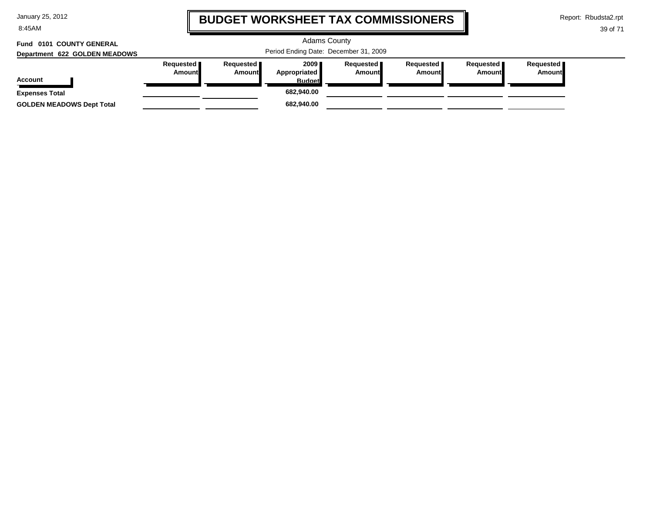8:45AM

# **BUDGET WORKSHEET TAX COMMISSIONERS**

Report: Rbudsta2.rpt

39 of 71

#### Adams County Period Ending Date: December 31, 2009 **Account Department 622 GOLDEN MEADOWS Fund 0101 COUNTY GENERAL Requested Amount Requested Amount 2009 Appropriated Budget Requested Amount Requested Amount Requested Amount Requested Amount Expenses Total 682,940.00 GOLDEN MEADOWS Dept Total 682,940.00**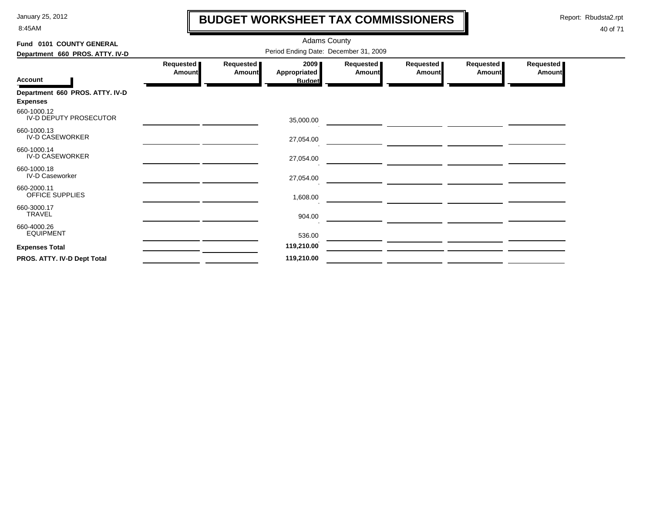8:45AM

# **BUDGET WORKSHEET TAX COMMISSIONERS**

Report: Rbudsta2.rpt

 $\mathbf \mathbf I$ 

| Fund 0101 COUNTY GENERAL                           |                            |                                       | <b>Adams County</b>                   |                     |                     |                     |                            |  |  |  |  |
|----------------------------------------------------|----------------------------|---------------------------------------|---------------------------------------|---------------------|---------------------|---------------------|----------------------------|--|--|--|--|
| Department 660 PROS. ATTY. IV-D                    |                            | Period Ending Date: December 31, 2009 |                                       |                     |                     |                     |                            |  |  |  |  |
| <b>Account</b>                                     | Requested<br><b>Amount</b> | Requested<br><b>Amount</b>            | 2009<br>Appropriated<br><b>Budget</b> | Requested<br>Amount | Requested<br>Amount | Requested<br>Amount | Requested<br><b>Amount</b> |  |  |  |  |
| Department 660 PROS. ATTY. IV-D<br><b>Expenses</b> |                            |                                       |                                       |                     |                     |                     |                            |  |  |  |  |
| 660-1000.12<br>IV-D DEPUTY PROSECUTOR              |                            |                                       | 35,000.00                             |                     |                     |                     |                            |  |  |  |  |
| 660-1000.13<br><b>IV-D CASEWORKER</b>              |                            |                                       | 27,054.00                             |                     |                     |                     |                            |  |  |  |  |
| 660-1000.14<br><b>IV-D CASEWORKER</b>              |                            |                                       | 27,054.00                             |                     |                     |                     |                            |  |  |  |  |
| 660-1000.18<br><b>IV-D Caseworker</b>              |                            |                                       | 27,054.00                             |                     |                     |                     |                            |  |  |  |  |
| 660-2000.11<br>OFFICE SUPPLIES                     |                            |                                       | 1,608.00                              |                     |                     |                     |                            |  |  |  |  |
| 660-3000.17<br><b>TRAVEL</b>                       |                            |                                       | 904.00                                |                     |                     |                     |                            |  |  |  |  |
| 660-4000.26<br><b>EQUIPMENT</b>                    |                            |                                       | 536.00                                |                     |                     |                     |                            |  |  |  |  |
| <b>Expenses Total</b>                              |                            |                                       | 119,210.00                            |                     |                     |                     |                            |  |  |  |  |
| PROS. ATTY. IV-D Dept Total                        |                            |                                       | 119,210.00                            |                     |                     |                     |                            |  |  |  |  |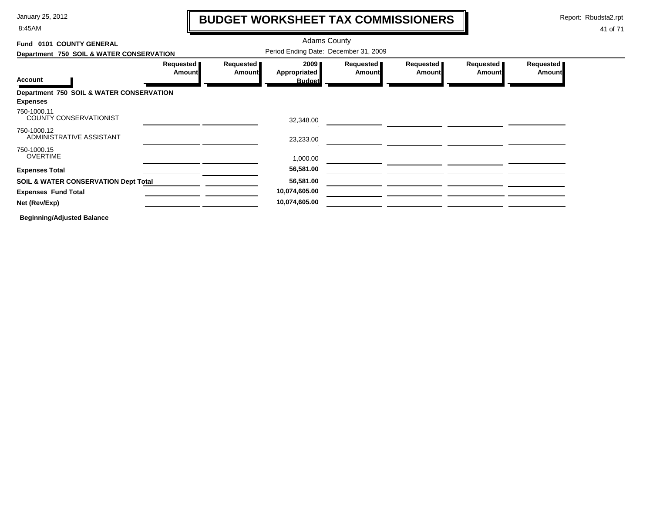8:45AM

# **BUDGET WORKSHEET TAX COMMISSIONERS**

Report: Rbudsta2.rpt

 $\mathbf l$ 

#### 41 of 71

| Fund 0101 COUNTY GENERAL                        |                       | <b>Adams County</b> |                                       |                            |                     |                     |                     |
|-------------------------------------------------|-----------------------|---------------------|---------------------------------------|----------------------------|---------------------|---------------------|---------------------|
| Department 750 SOIL & WATER CONSERVATION        |                       |                     | Period Ending Date: December 31, 2009 |                            |                     |                     |                     |
|                                                 | Requested  <br>Amount | Requested<br>Amount | 2009<br>Appropriated                  | Requested<br><b>Amount</b> | Requested<br>Amount | Requested<br>Amount | Requested<br>Amount |
| <b>Account</b>                                  |                       |                     | <b>Budget</b>                         |                            |                     |                     |                     |
| Department 750 SOIL & WATER CONSERVATION        |                       |                     |                                       |                            |                     |                     |                     |
| <b>Expenses</b>                                 |                       |                     |                                       |                            |                     |                     |                     |
| 750-1000.11<br><b>COUNTY CONSERVATIONIST</b>    |                       |                     | 32,348.00                             |                            |                     |                     |                     |
| 750-1000.12<br>ADMINISTRATIVE ASSISTANT         |                       |                     | 23,233.00                             |                            |                     |                     |                     |
| 750-1000.15                                     |                       |                     |                                       |                            |                     |                     |                     |
| <b>OVERTIME</b>                                 |                       |                     | 1,000.00                              |                            |                     |                     |                     |
| <b>Expenses Total</b>                           |                       |                     | 56,581.00                             |                            |                     |                     |                     |
| <b>SOIL &amp; WATER CONSERVATION Dept Total</b> |                       |                     | 56,581.00                             |                            |                     |                     |                     |
| <b>Expenses Fund Total</b>                      |                       |                     | 10,074,605.00                         |                            |                     |                     |                     |
| Net (Rev/Exp)                                   |                       |                     | 10,074,605.00                         |                            |                     |                     |                     |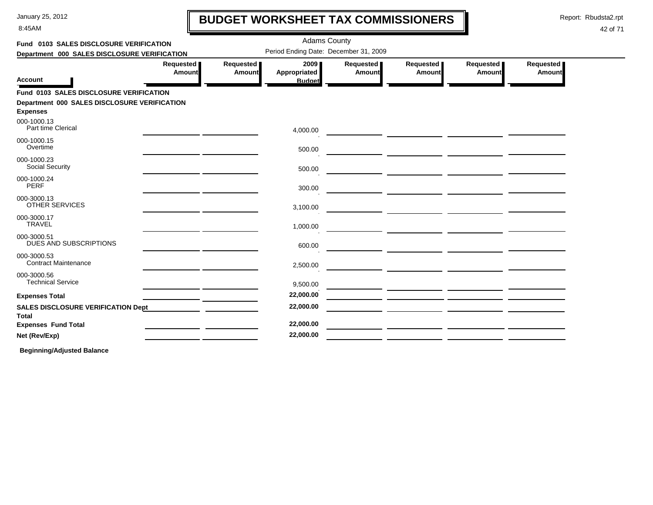8:45AM

# **BUDGET WORKSHEET TAX COMMISSIONERS**

Report: Rbudsta2.rpt

 $\mathbf \mathbf I$ 

#### 42 of 71

| Fund 0103 SALES DISCLOSURE VERIFICATION                         |                       |                            | <b>Adams County</b>                   |                            |                       |                                                                                                                      |                     |  |
|-----------------------------------------------------------------|-----------------------|----------------------------|---------------------------------------|----------------------------|-----------------------|----------------------------------------------------------------------------------------------------------------------|---------------------|--|
| Department 000 SALES DISCLOSURE VERIFICATION                    |                       |                            | Period Ending Date: December 31, 2009 |                            |                       |                                                                                                                      |                     |  |
| <b>Account</b>                                                  | Requested  <br>Amount | Requested<br><b>Amount</b> | 2009<br>Appropriated<br><b>Budget</b> | Requested<br><b>Amount</b> | Requested  <br>Amount | Requested<br><b>Amount</b>                                                                                           | Requested<br>Amount |  |
| Fund 0103 SALES DISCLOSURE VERIFICATION                         |                       |                            |                                       |                            |                       |                                                                                                                      |                     |  |
| Department 000 SALES DISCLOSURE VERIFICATION<br><b>Expenses</b> |                       |                            |                                       |                            |                       |                                                                                                                      |                     |  |
| 000-1000.13<br>Part time Clerical                               |                       |                            | 4,000.00                              |                            |                       |                                                                                                                      |                     |  |
| 000-1000.15<br>Overtime                                         |                       |                            | 500.00                                |                            |                       | <u> 1989 - Johann John Stone, mars eta input eta input eta input eta input eta input eta input eta input eta inp</u> |                     |  |
| 000-1000.23<br><b>Social Security</b>                           |                       |                            | 500.00                                |                            |                       |                                                                                                                      |                     |  |
| 000-1000.24<br>PERF                                             |                       |                            | 300.00                                |                            |                       |                                                                                                                      |                     |  |
| 000-3000.13<br><b>OTHER SERVICES</b>                            |                       |                            | 3,100.00                              |                            |                       |                                                                                                                      |                     |  |
| 000-3000.17<br><b>TRAVEL</b>                                    |                       |                            | 1,000.00                              |                            |                       |                                                                                                                      |                     |  |
| 000-3000.51<br>DUES AND SUBSCRIPTIONS                           |                       |                            | 600.00                                |                            |                       |                                                                                                                      |                     |  |
| 000-3000.53<br><b>Contract Maintenance</b>                      |                       |                            | 2,500.00                              |                            |                       |                                                                                                                      |                     |  |
| 000-3000.56<br><b>Technical Service</b>                         |                       |                            | 9,500.00                              |                            |                       | <u> 1989 - Johann Harrison, mars eta biztanleria (h. 1989).</u>                                                      |                     |  |
| <b>Expenses Total</b>                                           |                       |                            | 22,000.00                             |                            |                       |                                                                                                                      |                     |  |
| <b>SALES DISCLOSURE VERIFICATION Dept</b><br>Total              |                       |                            | 22,000.00                             |                            |                       |                                                                                                                      |                     |  |
| <b>Expenses Fund Total</b>                                      |                       |                            | 22,000.00                             |                            |                       |                                                                                                                      |                     |  |
| Net (Rev/Exp)                                                   |                       |                            | 22,000.00                             |                            |                       |                                                                                                                      |                     |  |
|                                                                 |                       |                            |                                       |                            |                       |                                                                                                                      |                     |  |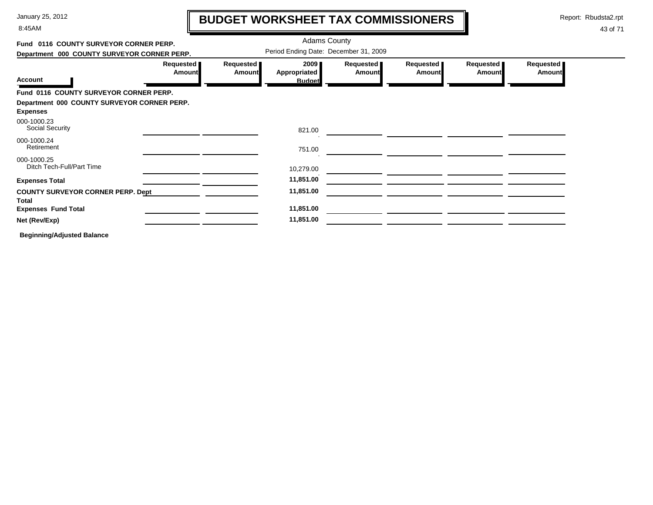8:45AM

# **BUDGET WORKSHEET TAX COMMISSIONERS**

Report: Rbudsta2.rpt

 $\mathbf I$ 

| Fund 0116 COUNTY SURVEYOR CORNER PERP.                         |                     | <b>Adams County</b>                   |                            |                     |                            |                     |
|----------------------------------------------------------------|---------------------|---------------------------------------|----------------------------|---------------------|----------------------------|---------------------|
| Department 000 COUNTY SURVEYOR CORNER PERP.                    |                     | Period Ending Date: December 31, 2009 |                            |                     |                            |                     |
| Requested  <br><b>Amount</b><br><b>Account</b>                 | Requested<br>Amount | 2009<br>Appropriated<br><b>Budget</b> | Requested<br><b>Amount</b> | Requested<br>Amount | Requested<br><b>Amount</b> | Requested<br>Amount |
| Fund 0116 COUNTY SURVEYOR CORNER PERP.                         |                     |                                       |                            |                     |                            |                     |
| Department 000 COUNTY SURVEYOR CORNER PERP.<br><b>Expenses</b> |                     |                                       |                            |                     |                            |                     |
| 000-1000.23<br><b>Social Security</b>                          |                     | 821.00                                |                            |                     |                            |                     |
| 000-1000.24<br>Retirement                                      |                     | 751.00                                |                            |                     |                            |                     |
| 000-1000.25<br>Ditch Tech-Full/Part Time                       |                     | 10,279.00                             |                            |                     |                            |                     |
| <b>Expenses Total</b>                                          |                     | 11,851.00                             |                            |                     |                            |                     |
| <b>COUNTY SURVEYOR CORNER PERP. Dept</b><br><b>Total</b>       |                     | 11,851.00                             |                            |                     |                            |                     |
| <b>Expenses Fund Total</b>                                     |                     | 11,851.00                             |                            |                     |                            |                     |
| Net (Rev/Exp)                                                  |                     | 11,851.00                             |                            |                     |                            |                     |
| <b>Beginning/Adjusted Balance</b>                              |                     |                                       |                            |                     |                            |                     |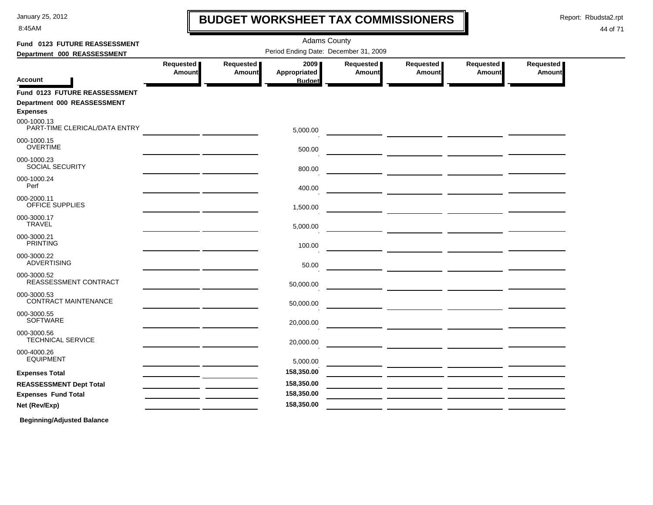8:45AM

# **BUDGET WORKSHEET TAX COMMISSIONERS**

Report: Rbudsta2.rpt

 $\mathbf l$ 

#### 44 of 71

| Fund 0123 FUTURE REASSESSMENT                  |                            | <b>Adams County</b>        |                                       |                     |                                                     |                            |                     |  |  |  |  |  |
|------------------------------------------------|----------------------------|----------------------------|---------------------------------------|---------------------|-----------------------------------------------------|----------------------------|---------------------|--|--|--|--|--|
| Department 000 REASSESSMENT                    |                            |                            | Period Ending Date: December 31, 2009 |                     |                                                     |                            |                     |  |  |  |  |  |
|                                                | Requested<br><b>Amount</b> | Requested<br><b>Amount</b> | 2009<br>Appropriated                  | Requested<br>Amount | <b>Requested</b><br>Amount                          | Requested<br><b>Amount</b> | Requested<br>Amount |  |  |  |  |  |
| <b>Account</b>                                 |                            |                            | <b>Budget</b>                         |                     |                                                     |                            |                     |  |  |  |  |  |
| Fund 0123 FUTURE REASSESSMENT                  |                            |                            |                                       |                     |                                                     |                            |                     |  |  |  |  |  |
| Department 000 REASSESSMENT<br><b>Expenses</b> |                            |                            |                                       |                     |                                                     |                            |                     |  |  |  |  |  |
| 000-1000.13<br>PART-TIME CLERICAL/DATA ENTRY   |                            |                            | 5,000.00                              |                     | <u> 1990 - Jan Alexandro III, politik</u> (h. 1900) |                            |                     |  |  |  |  |  |
| 000-1000.15<br><b>OVERTIME</b>                 |                            |                            | 500.00                                |                     |                                                     |                            |                     |  |  |  |  |  |
| 000-1000.23<br>SOCIAL SECURITY                 |                            |                            | 800.00                                |                     |                                                     |                            |                     |  |  |  |  |  |
| 000-1000.24<br>Perf                            |                            |                            | 400.00                                |                     |                                                     |                            |                     |  |  |  |  |  |
| 000-2000.11<br>OFFICE SUPPLIES                 |                            |                            | 1,500.00                              |                     |                                                     |                            |                     |  |  |  |  |  |
| 000-3000.17<br><b>TRAVEL</b>                   |                            |                            | 5,000.00                              |                     |                                                     |                            |                     |  |  |  |  |  |
| 000-3000.21<br><b>PRINTING</b>                 |                            |                            | 100.00                                |                     | <u> 1989 - Johann John Stone, mars et al.</u>       |                            |                     |  |  |  |  |  |
| 000-3000.22<br><b>ADVERTISING</b>              |                            |                            | 50.00                                 |                     |                                                     |                            |                     |  |  |  |  |  |
| 000-3000.52<br>REASSESSMENT CONTRACT           |                            |                            | 50,000.00                             |                     |                                                     |                            |                     |  |  |  |  |  |
| 000-3000.53<br>CONTRACT MAINTENANCE            |                            |                            | 50,000.00                             |                     |                                                     |                            |                     |  |  |  |  |  |
| 000-3000.55<br>SOFTWARE                        |                            |                            | 20,000.00                             |                     | <u> 1999 - Johann Barbara, martxa eta politikar</u> |                            |                     |  |  |  |  |  |
| 000-3000.56<br><b>TECHNICAL SERVICE</b>        |                            |                            | 20,000.00                             |                     | <u> 1980 - Jan James James, filozof amerikan (</u>  |                            |                     |  |  |  |  |  |
| 000-4000.26<br><b>EQUIPMENT</b>                |                            |                            | 5,000.00                              |                     |                                                     |                            |                     |  |  |  |  |  |
| <b>Expenses Total</b>                          |                            |                            | 158,350.00                            |                     |                                                     |                            |                     |  |  |  |  |  |
| <b>REASSESSMENT Dept Total</b>                 |                            |                            | 158,350.00                            |                     |                                                     |                            |                     |  |  |  |  |  |
| <b>Expenses Fund Total</b>                     |                            |                            | 158,350.00                            |                     |                                                     |                            |                     |  |  |  |  |  |
| Net (Rev/Exp)                                  |                            |                            | 158,350.00                            |                     |                                                     |                            |                     |  |  |  |  |  |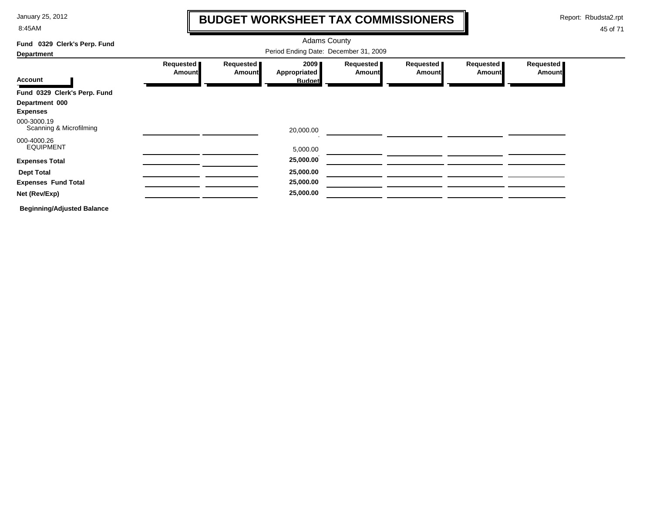8:45AM

# **BUDGET WORKSHEET TAX COMMISSIONERS**

Report: Rbudsta2.rpt

 $\mathbf I$ 

| Fund 0329 Clerk's Perp. Fund           |                     |                            | <b>Adams County</b>  |                              |                            |                            |                     |
|----------------------------------------|---------------------|----------------------------|----------------------|------------------------------|----------------------------|----------------------------|---------------------|
| <b>Department</b>                      |                     |                            |                      |                              |                            |                            |                     |
|                                        | Requested<br>Amount | Requested<br><b>Amount</b> | 2009<br>Appropriated | Requested  <br><b>Amount</b> | Requested<br><b>Amount</b> | Requested<br><b>Amount</b> | Requested<br>Amount |
| <b>Account</b>                         |                     |                            | <b>Budget</b>        |                              |                            |                            |                     |
| Fund 0329 Clerk's Perp. Fund           |                     |                            |                      |                              |                            |                            |                     |
| Department 000<br><b>Expenses</b>      |                     |                            |                      |                              |                            |                            |                     |
| 000-3000.19<br>Scanning & Microfilming |                     |                            | 20,000.00            |                              |                            |                            |                     |
| 000-4000.26<br><b>EQUIPMENT</b>        |                     |                            | 5,000.00             |                              |                            |                            |                     |
| <b>Expenses Total</b>                  |                     |                            | 25,000.00            |                              |                            |                            |                     |
| <b>Dept Total</b>                      |                     |                            | 25,000.00            |                              |                            |                            |                     |
| <b>Expenses Fund Total</b>             |                     |                            | 25,000.00            |                              |                            |                            |                     |
| Net (Rev/Exp)                          |                     |                            | 25,000.00            |                              |                            |                            |                     |
| <b>Beginning/Adjusted Balance</b>      |                     |                            |                      |                              |                            |                            |                     |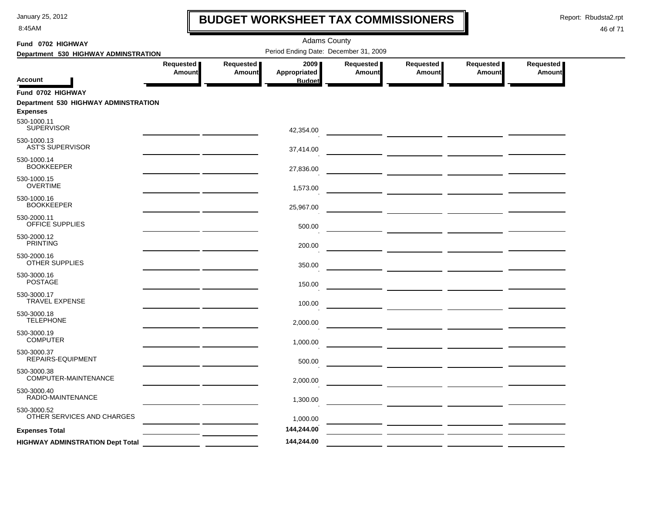8:45AM

# **BUDGET WORKSHEET TAX COMMISSIONERS**

Report: Rbudsta2.rpt

 $\mathbf l$ 

| Fund 0702 HIGHWAY                                       |                     |                            | <b>Adams County</b>                   |                            |                                                                                                                      |                     |                            |  |
|---------------------------------------------------------|---------------------|----------------------------|---------------------------------------|----------------------------|----------------------------------------------------------------------------------------------------------------------|---------------------|----------------------------|--|
| Department 530 HIGHWAY ADMINSTRATION                    |                     |                            | Period Ending Date: December 31, 2009 |                            |                                                                                                                      |                     |                            |  |
| <b>Account</b>                                          | Requested<br>Amount | Requested<br><b>Amount</b> | 2009<br>Appropriated<br><b>Budget</b> | Requested<br><b>Amount</b> | Requested<br>Amount                                                                                                  | Requested<br>Amount | Requested<br><b>Amount</b> |  |
| Fund 0702 HIGHWAY                                       |                     |                            |                                       |                            |                                                                                                                      |                     |                            |  |
| Department 530 HIGHWAY ADMINSTRATION<br><b>Expenses</b> |                     |                            |                                       |                            |                                                                                                                      |                     |                            |  |
| 530-1000.11<br><b>SUPERVISOR</b>                        |                     |                            | 42,354.00                             |                            | <u> 1989 - Johann Barn, mars eta bainar e</u>                                                                        |                     |                            |  |
| 530-1000.13<br><b>AST'S SUPERVISOR</b>                  |                     |                            | 37,414.00                             |                            |                                                                                                                      |                     |                            |  |
| 530-1000.14<br><b>BOOKKEEPER</b>                        |                     |                            | 27,836.00                             |                            |                                                                                                                      |                     |                            |  |
| 530-1000.15<br><b>OVERTIME</b>                          |                     |                            | 1,573.00                              |                            |                                                                                                                      |                     |                            |  |
| 530-1000.16<br><b>BOOKKEEPER</b>                        |                     |                            | 25,967.00                             |                            |                                                                                                                      |                     |                            |  |
| 530-2000.11<br>OFFICE SUPPLIES                          |                     |                            | 500.00                                |                            |                                                                                                                      |                     |                            |  |
| 530-2000.12<br><b>PRINTING</b>                          |                     |                            | 200.00                                |                            |                                                                                                                      |                     |                            |  |
| 530-2000.16<br><b>OTHER SUPPLIES</b>                    |                     |                            | 350.00                                |                            |                                                                                                                      |                     |                            |  |
| 530-3000.16<br><b>POSTAGE</b>                           |                     |                            | 150.00                                |                            |                                                                                                                      |                     |                            |  |
| 530-3000.17<br><b>TRAVEL EXPENSE</b>                    |                     |                            | 100.00                                |                            |                                                                                                                      |                     |                            |  |
| 530-3000.18<br>TELEPHONE                                |                     |                            | 2,000.00                              |                            |                                                                                                                      |                     |                            |  |
| 530-3000.19<br><b>COMPUTER</b>                          |                     |                            | 1,000.00                              |                            |                                                                                                                      |                     |                            |  |
| 530-3000.37<br>REPAIRS-EQUIPMENT                        |                     |                            | 500.00                                |                            |                                                                                                                      |                     |                            |  |
| 530-3000.38<br>COMPUTER-MAINTENANCE                     |                     |                            | 2,000.00                              |                            | <u> 1989 - Johann John Stone, mars and de la partie de la partie de la partie de la partie de la partie de la pa</u> |                     |                            |  |
| 530-3000.40<br>RADIO-MAINTENANCE                        |                     |                            | 1,300.00                              |                            |                                                                                                                      |                     |                            |  |
| 530-3000.52<br>OTHER SERVICES AND CHARGES               |                     |                            | 1,000.00                              |                            |                                                                                                                      |                     |                            |  |
| <b>Expenses Total</b>                                   |                     |                            | 144,244.00                            |                            |                                                                                                                      |                     |                            |  |
| <b>HIGHWAY ADMINSTRATION Dept Total</b>                 |                     |                            | 144,244.00                            |                            |                                                                                                                      |                     |                            |  |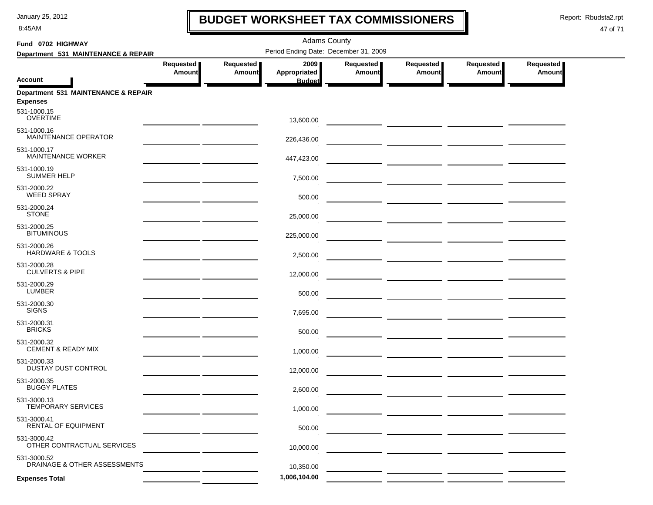8:45AM

### **BUDGET WORKSHEET TAX COMMISSIONERS**

Report: Rbudsta2.rpt

 $\mathbf I$ 

| Fund 0702 HIGHWAY                            |                     |                     | <b>Adams County</b>                   |                     |                                                                                                                                                                                                                                      |                            |                            |  |
|----------------------------------------------|---------------------|---------------------|---------------------------------------|---------------------|--------------------------------------------------------------------------------------------------------------------------------------------------------------------------------------------------------------------------------------|----------------------------|----------------------------|--|
| Department 531 MAINTENANCE & REPAIR          |                     |                     | Period Ending Date: December 31, 2009 |                     |                                                                                                                                                                                                                                      |                            |                            |  |
| <b>Account</b>                               | Requested<br>Amount | Requested<br>Amount | 2009<br>Appropriated<br><b>Budget</b> | Requested<br>Amount | Requested<br>Amount                                                                                                                                                                                                                  | Requested<br><b>Amount</b> | Requested<br><b>Amount</b> |  |
| Department 531 MAINTENANCE & REPAIR          |                     |                     |                                       |                     |                                                                                                                                                                                                                                      |                            |                            |  |
| <b>Expenses</b>                              |                     |                     |                                       |                     |                                                                                                                                                                                                                                      |                            |                            |  |
| 531-1000.15<br><b>OVERTIME</b>               |                     |                     | 13,600.00                             |                     |                                                                                                                                                                                                                                      |                            |                            |  |
| 531-1000.16<br>MAINTENANCE OPERATOR          |                     |                     | 226,436.00                            |                     |                                                                                                                                                                                                                                      |                            |                            |  |
| 531-1000.17<br>MAINTENANCE WORKER            |                     |                     | 447,423.00                            |                     |                                                                                                                                                                                                                                      |                            |                            |  |
| 531-1000.19<br><b>SUMMER HELP</b>            |                     |                     | 7,500.00                              |                     | <u> The Common Secretary (Common Secretary Common Secretary Common Secretary Common Secretary Common Secretary Common Secretary (Common Secretary Common Secretary Common Secretary Common Secretary Common Secretary Common Sec</u> |                            |                            |  |
| 531-2000.22<br><b>WEED SPRAY</b>             |                     |                     | 500.00                                |                     | <u> The Common State of the Common State of the Common State of the Common State of the Common State of the Common State of the Common State of the Common State of the Common State of the Common State of the Common State of </u> |                            |                            |  |
| 531-2000.24<br><b>STONE</b>                  |                     |                     | 25,000.00                             |                     |                                                                                                                                                                                                                                      |                            |                            |  |
| 531-2000.25<br><b>BITUMINOUS</b>             |                     |                     | 225,000.00                            |                     |                                                                                                                                                                                                                                      |                            |                            |  |
| 531-2000.26<br><b>HARDWARE &amp; TOOLS</b>   |                     |                     | 2,500.00                              |                     |                                                                                                                                                                                                                                      |                            |                            |  |
| 531-2000.28<br><b>CULVERTS &amp; PIPE</b>    |                     |                     | 12,000.00                             |                     | — <u>— —————</u> <u>——————</u> ——————                                                                                                                                                                                                |                            |                            |  |
| 531-2000.29<br><b>LUMBER</b>                 |                     |                     | 500.00                                |                     |                                                                                                                                                                                                                                      |                            |                            |  |
| 531-2000.30<br><b>SIGNS</b>                  |                     |                     | 7,695.00                              |                     |                                                                                                                                                                                                                                      |                            |                            |  |
| 531-2000.31<br><b>BRICKS</b>                 |                     |                     | 500.00                                |                     |                                                                                                                                                                                                                                      |                            |                            |  |
| 531-2000.32<br><b>CEMENT &amp; READY MIX</b> |                     |                     | 1,000.00                              |                     |                                                                                                                                                                                                                                      |                            |                            |  |
| 531-2000.33<br>DUSTAY DUST CONTROL           |                     |                     | 12,000.00                             |                     | — <u>— — — — — — — — — — — — — — —</u>                                                                                                                                                                                               |                            |                            |  |
| 531-2000.35<br><b>BUGGY PLATES</b>           |                     |                     | 2,600.00                              |                     |                                                                                                                                                                                                                                      |                            |                            |  |
| 531-3000.13<br>TEMPORARY SERVICES            |                     |                     | 1,000.00                              |                     |                                                                                                                                                                                                                                      |                            |                            |  |
| 531-3000.41<br>RENTAL OF EQUIPMENT           |                     |                     | 500.00                                |                     |                                                                                                                                                                                                                                      |                            |                            |  |
| 531-3000.42<br>OTHER CONTRACTUAL SERVICES    |                     |                     | 10,000.00                             |                     |                                                                                                                                                                                                                                      |                            |                            |  |
| 531-3000.52<br>DRAINAGE & OTHER ASSESSMENTS  |                     |                     | 10,350.00                             |                     |                                                                                                                                                                                                                                      |                            |                            |  |
| <b>Expenses Total</b>                        |                     |                     | 1,006,104.00                          |                     |                                                                                                                                                                                                                                      |                            |                            |  |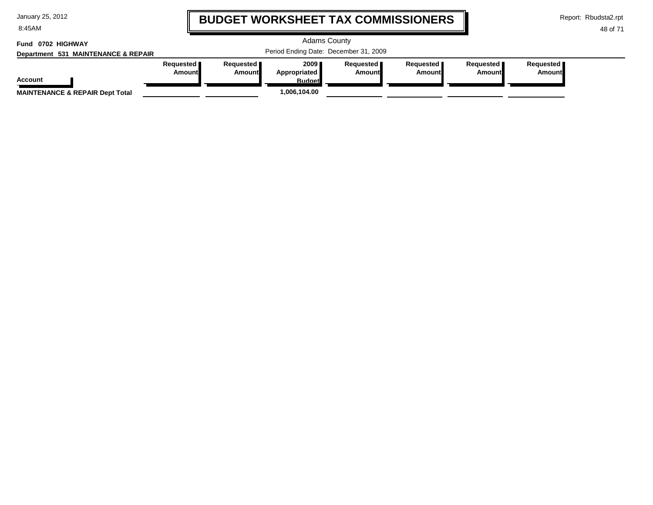8:45AM

# **BUDGET WORKSHEET TAX COMMISSIONERS**

Report: Rbudsta2.rpt

#### 48 of 71

#### Adams County Period Ending Date: December 31, 2009 **Account Department 531 MAINTENANCE & REPAIR Fund 0702 HIGHWAYRequested Amount Requested Amount 2009 Appropriated Budget Requested Amount Requested Amount Requested Amount Requested Amount MAINTENANCE & REPAIR Dept Total 1,006,104.00**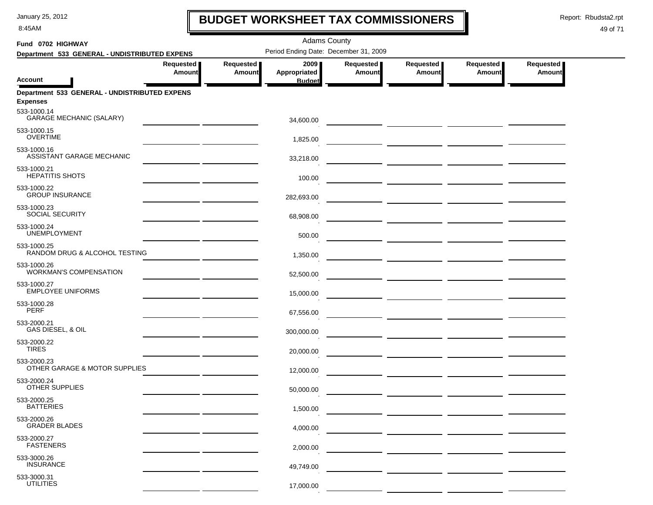8:45AM

# **BUDGET WORKSHEET TAX COMMISSIONERS**

Report: Rbudsta2.rpt

 $\mathbf I$ 

#### 49 of 71

| Fund 0702 HIGHWAY                                                               |                                                 |                            | <b>Adams County</b>                   |                     |                                     |                                                                                                                        |                     |  |
|---------------------------------------------------------------------------------|-------------------------------------------------|----------------------------|---------------------------------------|---------------------|-------------------------------------|------------------------------------------------------------------------------------------------------------------------|---------------------|--|
| Department 533 GENERAL - UNDISTRIBUTED EXPENS                                   |                                                 |                            | Period Ending Date: December 31, 2009 |                     |                                     |                                                                                                                        |                     |  |
|                                                                                 | Requested<br><b>Amount</b>                      | Requested<br><b>Amount</b> | 2009 ∎<br>Appropriated                | Requested<br>Amount | Requested  <br>Amount               | Requested<br><b>Amount</b>                                                                                             | Requested<br>Amount |  |
| <b>Account</b>                                                                  |                                                 |                            | <b>Budget</b>                         |                     |                                     |                                                                                                                        |                     |  |
| Department 533 GENERAL - UNDISTRIBUTED EXPENS<br><b>Expenses</b><br>533-1000.14 |                                                 |                            |                                       |                     |                                     |                                                                                                                        |                     |  |
| <b>GARAGE MECHANIC (SALARY)</b>                                                 |                                                 |                            | 34,600.00                             |                     |                                     |                                                                                                                        |                     |  |
| 533-1000.15<br><b>OVERTIME</b>                                                  |                                                 |                            | 1,825.00                              |                     |                                     |                                                                                                                        |                     |  |
| 533-1000.16<br><b>ASSISTANT GARAGE MECHANIC</b>                                 |                                                 |                            | 33,218.00                             |                     |                                     |                                                                                                                        |                     |  |
| 533-1000.21<br><b>HEPATITIS SHOTS</b>                                           |                                                 |                            | 100.00                                |                     |                                     |                                                                                                                        |                     |  |
| 533-1000.22<br><b>GROUP INSURANCE</b>                                           |                                                 |                            | 282,693.00                            |                     |                                     |                                                                                                                        |                     |  |
| 533-1000.23<br><b>SOCIAL SECURITY</b>                                           |                                                 |                            | 68,908.00                             |                     | ___ _______________ _______________ |                                                                                                                        |                     |  |
| 533-1000.24<br><b>UNEMPLOYMENT</b>                                              |                                                 |                            | 500.00                                |                     |                                     |                                                                                                                        |                     |  |
| 533-1000.25<br>RANDOM DRUG & ALCOHOL TESTING                                    |                                                 |                            | 1,350.00                              |                     |                                     |                                                                                                                        |                     |  |
| 533-1000.26<br><b>WORKMAN'S COMPENSATION</b>                                    |                                                 |                            | 52,500.00                             |                     |                                     |                                                                                                                        |                     |  |
| 533-1000.27<br><b>EMPLOYEE UNIFORMS</b>                                         | the contract of the contract of the contract of |                            | 15,000.00                             |                     |                                     | _ _________ _________ _________                                                                                        |                     |  |
| 533-1000.28<br><b>PERF</b>                                                      |                                                 |                            | 67,556.00                             |                     |                                     |                                                                                                                        |                     |  |
| 533-2000.21<br>GAS DIESEL, & OIL                                                |                                                 |                            | 300,000.00                            |                     |                                     | <u> 2000 - Jan James James Jan James James James James James James James James James James James James James James</u> |                     |  |
| 533-2000.22<br><b>TIRES</b>                                                     |                                                 |                            | 20,000.00                             |                     |                                     |                                                                                                                        |                     |  |
| 533-2000.23<br>OTHER GARAGE & MOTOR SUPPLIES                                    |                                                 |                            | 12,000.00                             |                     |                                     |                                                                                                                        |                     |  |
| 533-2000.24<br>OTHER SUPPLIES                                                   |                                                 |                            | 50.000.00                             |                     |                                     |                                                                                                                        |                     |  |
| 533-2000.25<br><b>BATTERIES</b>                                                 |                                                 |                            | 1,500.00                              |                     |                                     |                                                                                                                        |                     |  |
| 533-2000.26<br><b>GRADER BLADES</b>                                             |                                                 |                            | 4,000.00                              |                     |                                     |                                                                                                                        |                     |  |
| 533-2000.27<br><b>FASTENERS</b>                                                 |                                                 |                            | 2,000.00                              |                     |                                     |                                                                                                                        |                     |  |
| 533-3000.26<br><b>INSURANCE</b>                                                 |                                                 |                            | 49,749.00                             |                     |                                     |                                                                                                                        |                     |  |
| 533-3000.31<br><b>UTILITIES</b>                                                 |                                                 |                            | 17,000.00                             |                     |                                     |                                                                                                                        |                     |  |
|                                                                                 |                                                 |                            |                                       |                     |                                     |                                                                                                                        |                     |  |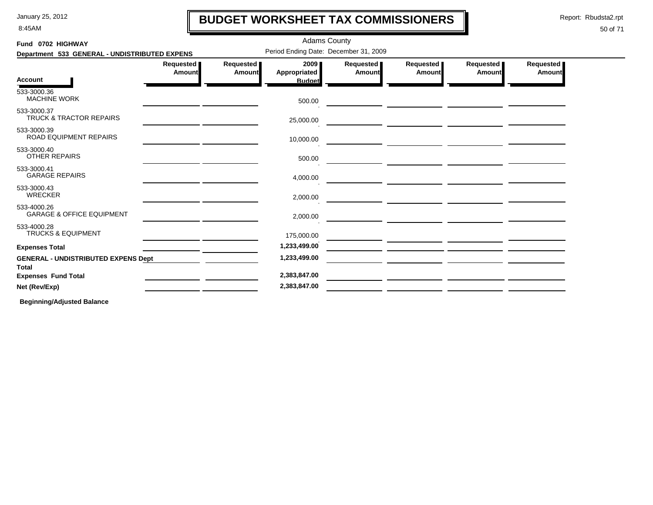8:45AM

# **BUDGET WORKSHEET TAX COMMISSIONERS**

Adams County

Report: Rbudsta2.rpt

#### 50 of 71

| Fund 0702 HIGHWAY                                          | <b>Adams County</b> |                                   |                                       |                     |                                                                                                                      |                     |                     |  |
|------------------------------------------------------------|---------------------|-----------------------------------|---------------------------------------|---------------------|----------------------------------------------------------------------------------------------------------------------|---------------------|---------------------|--|
| Department 533 GENERAL - UNDISTRIBUTED EXPENS              |                     |                                   | Period Ending Date: December 31, 2009 |                     |                                                                                                                      |                     |                     |  |
|                                                            | Requested<br>Amount | <b>Requested</b><br><b>Amount</b> | 2009<br><b>Appropriated</b>           | Requested<br>Amount | Requested<br>Amount                                                                                                  | Requested<br>Amount | Requested<br>Amount |  |
| <b>Account</b>                                             |                     |                                   | <b>Budget</b>                         |                     |                                                                                                                      |                     |                     |  |
| 533-3000.36<br><b>MACHINE WORK</b>                         |                     |                                   | 500.00                                |                     |                                                                                                                      |                     |                     |  |
| 533-3000.37<br><b>TRUCK &amp; TRACTOR REPAIRS</b>          |                     |                                   | 25,000.00                             |                     |                                                                                                                      |                     |                     |  |
| 533-3000.39<br>ROAD EQUIPMENT REPAIRS                      |                     |                                   | 10,000.00                             |                     |                                                                                                                      |                     |                     |  |
| 533-3000.40<br><b>OTHER REPAIRS</b>                        |                     |                                   | 500.00                                |                     |                                                                                                                      |                     |                     |  |
| 533-3000.41<br><b>GARAGE REPAIRS</b>                       |                     |                                   | 4,000.00                              |                     | <u> 1989 - Johann Barbara, markazi ya kutoka mwaka wa 1989 - Amanda alikuwa mwaka wa 1989 - Amanda alikuwa mwaka</u> |                     |                     |  |
| 533-3000.43<br><b>WRECKER</b>                              |                     |                                   | 2,000.00                              |                     |                                                                                                                      |                     |                     |  |
| 533-4000.26<br><b>GARAGE &amp; OFFICE EQUIPMENT</b>        |                     |                                   | 2,000.00                              |                     |                                                                                                                      |                     |                     |  |
| 533-4000.28<br><b>TRUCKS &amp; EQUIPMENT</b>               |                     |                                   | 175,000.00                            |                     |                                                                                                                      |                     |                     |  |
| <b>Expenses Total</b>                                      |                     |                                   | 1,233,499.00                          |                     |                                                                                                                      |                     |                     |  |
| <b>GENERAL - UNDISTRIBUTED EXPENS Dept</b><br><b>Total</b> |                     |                                   | 1,233,499.00                          |                     |                                                                                                                      |                     |                     |  |
| <b>Expenses Fund Total</b>                                 |                     |                                   | 2,383,847.00                          |                     |                                                                                                                      |                     |                     |  |
| Net (Rev/Exp)                                              |                     |                                   | 2,383,847.00                          |                     |                                                                                                                      |                     |                     |  |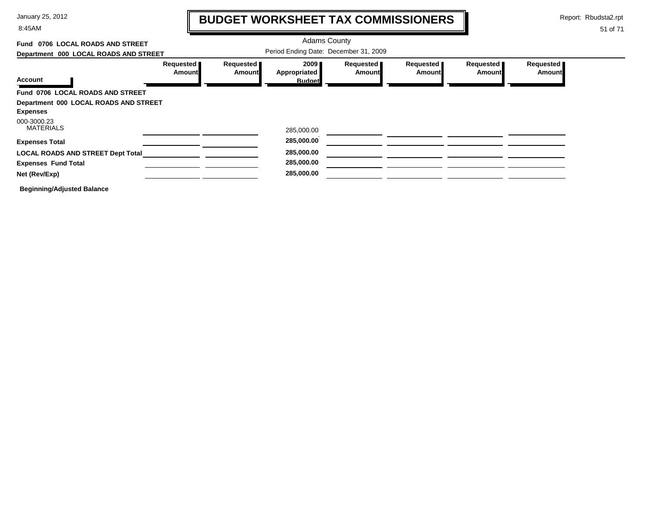8:45AM

# **BUDGET WORKSHEET TAX COMMISSIONERS**

Report: Rbudsta2.rpt

 $\mathbf l$ 

| 0706 LOCAL ROADS AND STREET<br>Fund      |                            |                            | <b>Adams County</b>                   |                            |                            |                     |                            |
|------------------------------------------|----------------------------|----------------------------|---------------------------------------|----------------------------|----------------------------|---------------------|----------------------------|
| Department 000 LOCAL ROADS AND STREET    |                            |                            | Period Ending Date: December 31, 2009 |                            |                            |                     |                            |
|                                          | Requested<br><b>Amount</b> | Requested<br><b>Amount</b> | 2009<br>Appropriated                  | Requested<br><b>Amount</b> | Requested<br><b>Amount</b> | Requested<br>Amount | Requested<br><b>Amount</b> |
| <b>Account</b>                           |                            |                            | <b>Budget</b>                         |                            |                            |                     |                            |
| Fund 0706 LOCAL ROADS AND STREET         |                            |                            |                                       |                            |                            |                     |                            |
| Department 000 LOCAL ROADS AND STREET    |                            |                            |                                       |                            |                            |                     |                            |
| <b>Expenses</b>                          |                            |                            |                                       |                            |                            |                     |                            |
| 000-3000.23                              |                            |                            |                                       |                            |                            |                     |                            |
| <b>MATERIALS</b>                         |                            |                            | 285,000.00                            |                            |                            |                     |                            |
| <b>Expenses Total</b>                    |                            |                            | 285,000.00                            |                            |                            |                     |                            |
| <b>LOCAL ROADS AND STREET Dept Total</b> |                            |                            | 285,000.00                            |                            |                            |                     |                            |
| <b>Expenses Fund Total</b>               |                            |                            | 285,000.00                            |                            |                            |                     |                            |
| Net (Rev/Exp)                            |                            |                            | 285,000.00                            |                            |                            |                     |                            |
| <b>Beginning/Adjusted Balance</b>        |                            |                            |                                       |                            |                            |                     |                            |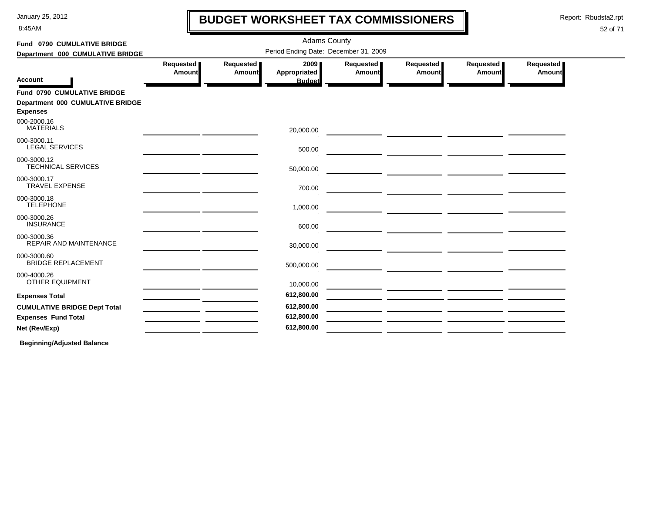8:45AM

# **BUDGET WORKSHEET TAX COMMISSIONERS**

Report: Rbudsta2.rpt

 $\mathbf l$ 

#### 52 of 71

| Fund 0790 CUMULATIVE BRIDGE                                                        |                            |                            | <b>Adams County</b>                   |                     |                            |                     |                     |  |
|------------------------------------------------------------------------------------|----------------------------|----------------------------|---------------------------------------|---------------------|----------------------------|---------------------|---------------------|--|
| Department 000 CUMULATIVE BRIDGE                                                   |                            |                            | Period Ending Date: December 31, 2009 |                     |                            |                     |                     |  |
| <b>Account</b>                                                                     | Requested<br><b>Amount</b> | Requested<br><b>Amount</b> | 2009<br>Appropriated<br><b>Budget</b> | Requested<br>Amount | Requested<br><b>Amount</b> | Requested<br>Amount | Requested<br>Amount |  |
| Fund 0790 CUMULATIVE BRIDGE<br>Department 000 CUMULATIVE BRIDGE<br><b>Expenses</b> |                            |                            |                                       |                     |                            |                     |                     |  |
| 000-2000.16<br><b>MATERIALS</b>                                                    |                            |                            | 20,000.00                             |                     |                            |                     |                     |  |
| 000-3000.11<br><b>LEGAL SERVICES</b>                                               |                            |                            | 500.00                                |                     |                            |                     |                     |  |
| 000-3000.12<br><b>TECHNICAL SERVICES</b>                                           |                            |                            | 50,000.00                             |                     |                            |                     |                     |  |
| 000-3000.17<br><b>TRAVEL EXPENSE</b>                                               |                            |                            | 700.00                                |                     |                            |                     |                     |  |
| 000-3000.18<br><b>TELEPHONE</b>                                                    |                            |                            | 1,000.00                              |                     |                            |                     |                     |  |
| 000-3000.26<br><b>INSURANCE</b>                                                    |                            |                            | 600.00                                |                     |                            |                     |                     |  |
| 000-3000.36<br>REPAIR AND MAINTENANCE                                              |                            |                            | 30,000.00                             |                     |                            |                     |                     |  |
| 000-3000.60<br><b>BRIDGE REPLACEMENT</b>                                           |                            |                            | 500,000.00                            |                     |                            |                     |                     |  |
| 000-4000.26<br>OTHER EQUIPMENT                                                     |                            |                            | 10,000.00                             |                     |                            |                     |                     |  |
| <b>Expenses Total</b>                                                              |                            |                            | 612,800.00                            |                     |                            |                     |                     |  |
| <b>CUMULATIVE BRIDGE Dept Total</b>                                                |                            |                            | 612,800.00                            |                     |                            |                     |                     |  |
| <b>Expenses Fund Total</b>                                                         |                            |                            | 612,800.00                            |                     |                            |                     |                     |  |
| Net (Rev/Exp)                                                                      |                            |                            | 612,800.00                            |                     |                            |                     |                     |  |
|                                                                                    |                            |                            |                                       |                     |                            |                     |                     |  |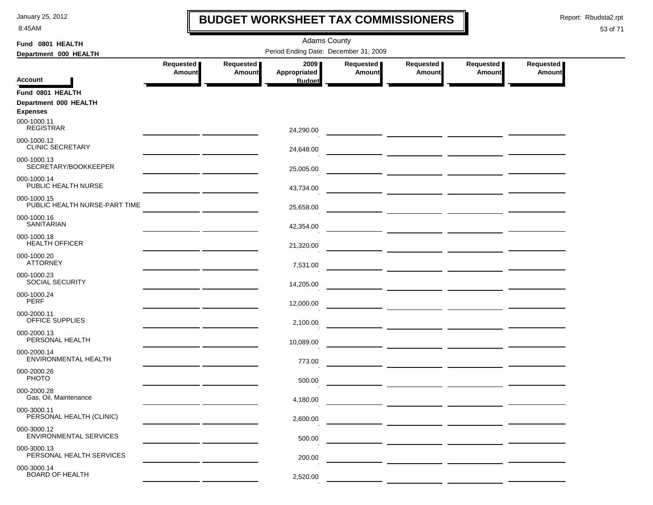8:45AM

### **BUDGET WORKSHEET TAX COMMISSIONERS**

Report: Rbudsta2.rpt

 $\mathbf I$ 

| Fund 0801 HEALTH                             |                                                                                                                      |                                       | <b>Adams County</b>  |                            |                                                                                                                     |                            |                     |  |  |
|----------------------------------------------|----------------------------------------------------------------------------------------------------------------------|---------------------------------------|----------------------|----------------------------|---------------------------------------------------------------------------------------------------------------------|----------------------------|---------------------|--|--|
| Department 000 HEALTH                        |                                                                                                                      | Period Ending Date: December 31, 2009 |                      |                            |                                                                                                                     |                            |                     |  |  |
|                                              | Requested<br>Amount                                                                                                  | Requested<br><b>Amount</b>            | 2009<br>Appropriated | Requested<br><b>Amount</b> | Requested<br>Amount                                                                                                 | Requested<br><b>Amount</b> | Requested<br>Amount |  |  |
| <b>Account</b>                               |                                                                                                                      |                                       | <b>Budget</b>        |                            |                                                                                                                     |                            |                     |  |  |
| Fund 0801 HEALTH                             |                                                                                                                      |                                       |                      |                            |                                                                                                                     |                            |                     |  |  |
| Department 000 HEALTH<br><b>Expenses</b>     |                                                                                                                      |                                       |                      |                            |                                                                                                                     |                            |                     |  |  |
| 000-1000.11                                  |                                                                                                                      |                                       |                      |                            |                                                                                                                     |                            |                     |  |  |
| <b>REGISTRAR</b>                             |                                                                                                                      |                                       | 24,290.00            |                            |                                                                                                                     |                            |                     |  |  |
| 000-1000.12<br><b>CLINIC SECRETARY</b>       |                                                                                                                      |                                       | 24,648.00            |                            |                                                                                                                     |                            |                     |  |  |
| 000-1000.13<br>SECRETARY/BOOKKEEPER          |                                                                                                                      |                                       | 25,005.00            |                            |                                                                                                                     |                            |                     |  |  |
| 000-1000.14<br>PUBLIC HEALTH NURSE           |                                                                                                                      |                                       | 43,734.00            |                            |                                                                                                                     |                            |                     |  |  |
| 000-1000.15<br>PUBLIC HEALTH NURSE-PART TIME |                                                                                                                      |                                       | 25,658.00            |                            |                                                                                                                     |                            |                     |  |  |
| 000-1000.16<br><b>SANITARIAN</b>             |                                                                                                                      |                                       | 42,354.00            |                            |                                                                                                                     |                            |                     |  |  |
| 000-1000.18<br><b>HEALTH OFFICER</b>         |                                                                                                                      |                                       | 21,320.00            |                            |                                                                                                                     |                            |                     |  |  |
| 000-1000.20<br><b>ATTORNEY</b>               | <u> 1989 - Johann Barn, amerikansk politiker (</u>                                                                   |                                       | 7,531.00             |                            |                                                                                                                     |                            |                     |  |  |
| 000-1000.23<br><b>SOCIAL SECURITY</b>        | <u> 1989 - Johann John Stone, mars and de la partie de la partie de la partie de la partie de la partie de la pa</u> |                                       | 14,205.00            |                            |                                                                                                                     |                            |                     |  |  |
| 000-1000.24<br><b>PERF</b>                   |                                                                                                                      |                                       | 12,000.00            |                            |                                                                                                                     |                            |                     |  |  |
| 000-2000.11<br>OFFICE SUPPLIES               |                                                                                                                      |                                       | 2,100.00             |                            |                                                                                                                     |                            |                     |  |  |
| 000-2000.13<br>PERSONAL HEALTH               |                                                                                                                      |                                       | 10,089.00            |                            |                                                                                                                     |                            |                     |  |  |
| 000-2000.14<br>ENVIRONMENTAL HEALTH          |                                                                                                                      |                                       | 773.00               |                            |                                                                                                                     |                            |                     |  |  |
| 000-2000.26<br><b>PHOTO</b>                  |                                                                                                                      |                                       | 500.00               |                            | <u> 1989 - Johann John Stone, mars eta industrial eta industrial eta industrial eta industrial eta industrial e</u> |                            |                     |  |  |
| 000-2000.28<br>Gas, Oil, Maintenance         |                                                                                                                      |                                       | 4,180.00             |                            |                                                                                                                     |                            |                     |  |  |
| 000-3000.11<br>PERSONAL HEALTH (CLINIC)      |                                                                                                                      |                                       | 2.600.00             |                            |                                                                                                                     |                            |                     |  |  |
| 000-3000.12<br><b>ENVIRONMENTAL SERVICES</b> |                                                                                                                      |                                       | 500.00               |                            |                                                                                                                     |                            |                     |  |  |
| 000-3000.13<br>PERSONAL HEALTH SERVICES      |                                                                                                                      |                                       | 200.00               |                            |                                                                                                                     |                            |                     |  |  |
| 000-3000.14<br><b>BOARD OF HEALTH</b>        |                                                                                                                      |                                       | 2,520.00             |                            |                                                                                                                     |                            |                     |  |  |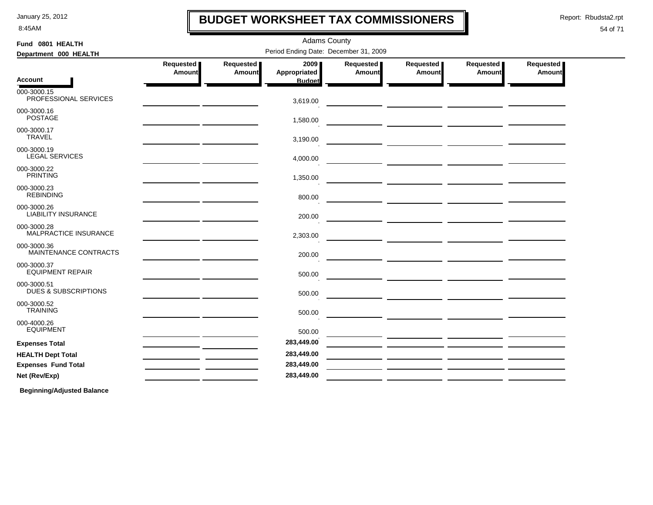8:45AM

### **BUDGET WORKSHEET TAX COMMISSIONERS**

Adams County

Report: Rbudsta2.rpt

 $\blacksquare$ 

#### 54 of 71

| Fund 0801 HEALTH                               |                            |                     | <b>Adams County</b>                   |                     |                     |                                                                                                                       |                     |
|------------------------------------------------|----------------------------|---------------------|---------------------------------------|---------------------|---------------------|-----------------------------------------------------------------------------------------------------------------------|---------------------|
| Department 000 HEALTH                          |                            |                     | Period Ending Date: December 31, 2009 |                     |                     |                                                                                                                       |                     |
|                                                | Requested<br><b>Amount</b> | Requested<br>Amount | 20091<br>Appropriated                 | Requested<br>Amount | Requested<br>Amount | Requested<br>Amount                                                                                                   | Requested<br>Amount |
| Account                                        |                            |                     | <b>Budget</b>                         |                     |                     |                                                                                                                       |                     |
| 000-3000.15<br>PROFESSIONAL SERVICES           |                            |                     | 3,619.00                              |                     |                     |                                                                                                                       |                     |
| 000-3000.16<br><b>POSTAGE</b>                  |                            |                     | 1,580.00                              |                     |                     |                                                                                                                       |                     |
| 000-3000.17<br><b>TRAVEL</b>                   |                            |                     | 3,190.00                              |                     |                     |                                                                                                                       |                     |
| 000-3000.19<br><b>LEGAL SERVICES</b>           |                            |                     | 4,000.00                              |                     |                     | <u> 1999 - John Harry Harry Harry Harry Harry Harry Harry Harry Harry Harry Harry Harry Harry Harry Harry Harry H</u> |                     |
| 000-3000.22<br><b>PRINTING</b>                 |                            |                     | 1,350.00                              |                     |                     |                                                                                                                       |                     |
| 000-3000.23<br><b>REBINDING</b>                |                            |                     | 800.00                                |                     |                     |                                                                                                                       |                     |
| 000-3000.26<br><b>LIABILITY INSURANCE</b>      |                            |                     | 200.00                                |                     |                     |                                                                                                                       |                     |
| 000-3000.28<br>MALPRACTICE INSURANCE           |                            |                     | 2,303.00                              |                     |                     |                                                                                                                       |                     |
| 000-3000.36<br>MAINTENANCE CONTRACTS           |                            |                     | 200.00                                |                     |                     |                                                                                                                       |                     |
| 000-3000.37<br><b>EQUIPMENT REPAIR</b>         |                            |                     | 500.00                                |                     |                     |                                                                                                                       |                     |
| 000-3000.51<br><b>DUES &amp; SUBSCRIPTIONS</b> |                            |                     | 500.00                                |                     |                     |                                                                                                                       |                     |
| 000-3000.52<br><b>TRAINING</b>                 |                            |                     | 500.00                                |                     |                     |                                                                                                                       |                     |
| 000-4000.26<br><b>EQUIPMENT</b>                |                            |                     | 500.00                                |                     |                     |                                                                                                                       |                     |
| <b>Expenses Total</b>                          |                            |                     | 283,449.00                            |                     |                     |                                                                                                                       |                     |
| <b>HEALTH Dept Total</b>                       |                            |                     | 283,449.00                            |                     |                     |                                                                                                                       |                     |
| <b>Expenses Fund Total</b>                     |                            |                     | 283,449.00                            |                     |                     |                                                                                                                       |                     |
| Net (Rev/Exp)                                  |                            |                     | 283,449.00                            |                     |                     |                                                                                                                       |                     |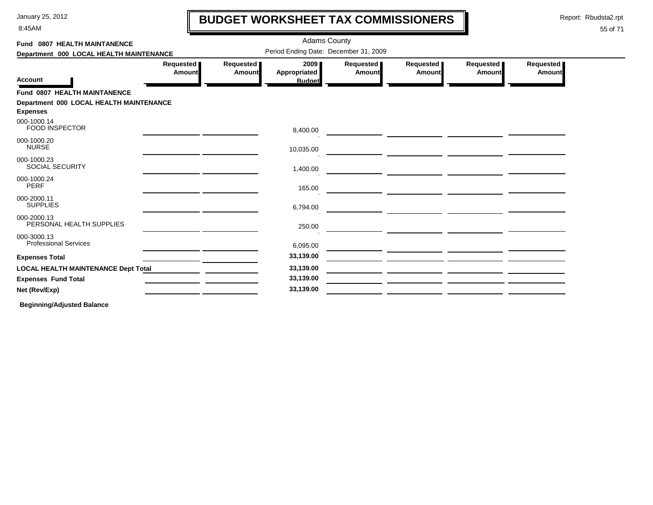8:45AM

# **BUDGET WORKSHEET TAX COMMISSIONERS**

Report: Rbudsta2.rpt

 $\mathbf l$ 

#### 55 of 71

| Fund 0807 HEALTH MAINTANENCE                               |                     |                            | <b>Adams County</b>                   |                     |                     |                     |                            |
|------------------------------------------------------------|---------------------|----------------------------|---------------------------------------|---------------------|---------------------|---------------------|----------------------------|
| Department 000 LOCAL HEALTH MAINTENANCE                    |                     |                            | Period Ending Date: December 31, 2009 |                     |                     |                     |                            |
|                                                            | Requested<br>Amount | Requested<br><b>Amount</b> | 2009<br>Appropriated                  | Requested<br>Amount | Requested<br>Amount | Requested<br>Amount | Requested<br><b>Amount</b> |
| <b>Account</b>                                             |                     |                            | <b>Budget</b>                         |                     |                     |                     |                            |
| <b>Fund 0807 HEALTH MAINTANENCE</b>                        |                     |                            |                                       |                     |                     |                     |                            |
| Department 000 LOCAL HEALTH MAINTENANCE<br><b>Expenses</b> |                     |                            |                                       |                     |                     |                     |                            |
| 000-1000.14<br><b>FOOD INSPECTOR</b>                       |                     |                            | 8,400.00                              |                     |                     |                     |                            |
| 000-1000.20<br><b>NURSE</b>                                |                     |                            | 10,035.00                             |                     |                     |                     |                            |
| 000-1000.23<br>SOCIAL SECURITY                             |                     |                            | 1,400.00                              |                     |                     |                     |                            |
| 000-1000.24<br><b>PERF</b>                                 |                     |                            | 165.00                                |                     |                     |                     |                            |
| 000-2000.11<br><b>SUPPLIES</b>                             |                     |                            | 6,794.00                              |                     |                     |                     |                            |
| 000-2000.13<br>PERSONAL HEALTH SUPPLIES                    |                     |                            | 250.00                                |                     |                     |                     |                            |
| 000-3000.13<br><b>Professional Services</b>                |                     |                            | 6,095.00                              |                     |                     |                     |                            |
| <b>Expenses Total</b>                                      |                     |                            | 33,139.00                             |                     |                     |                     |                            |
| <b>LOCAL HEALTH MAINTENANCE Dept Total</b>                 |                     |                            | 33,139.00                             |                     |                     |                     |                            |
| <b>Expenses Fund Total</b>                                 |                     |                            | 33,139.00                             |                     |                     |                     |                            |
| Net (Rev/Exp)                                              |                     |                            | 33,139.00                             |                     |                     |                     |                            |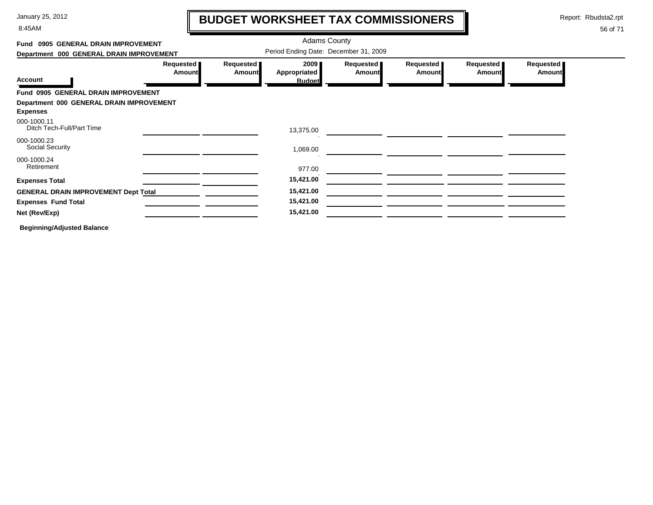8:45AM

# **BUDGET WORKSHEET TAX COMMISSIONERS**

Report: Rbudsta2.rpt

 $\mathbf I$ 

| Fund 0905 GENERAL DRAIN IMPROVEMENT<br>Department 000 GENERAL DRAIN IMPROVEMENT |                            |                            | <b>Adams County</b><br>Period Ending Date: December 31, 2009 |                     |                            |                            |                     |
|---------------------------------------------------------------------------------|----------------------------|----------------------------|--------------------------------------------------------------|---------------------|----------------------------|----------------------------|---------------------|
| <b>Account</b>                                                                  | Requested<br><b>Amount</b> | Requested<br><b>Amount</b> | 2009<br><b>Appropriated</b><br><b>Budget</b>                 | Requested<br>Amount | Requested<br><b>Amount</b> | Requested<br><b>Amount</b> | Requested<br>Amount |
| Fund 0905 GENERAL DRAIN IMPROVEMENT                                             |                            |                            |                                                              |                     |                            |                            |                     |
| Department 000 GENERAL DRAIN IMPROVEMENT<br><b>Expenses</b><br>000-1000.11      |                            |                            |                                                              |                     |                            |                            |                     |
| Ditch Tech-Full/Part Time                                                       |                            |                            | 13,375.00                                                    |                     |                            |                            |                     |
| 000-1000.23<br><b>Social Security</b>                                           |                            |                            | 1,069.00                                                     |                     |                            |                            |                     |
| 000-1000.24<br>Retirement                                                       |                            |                            | 977.00                                                       |                     |                            |                            |                     |
| <b>Expenses Total</b>                                                           |                            |                            | 15,421.00                                                    |                     |                            |                            |                     |
| <b>GENERAL DRAIN IMPROVEMENT Dept Total</b>                                     |                            |                            | 15,421.00                                                    |                     |                            |                            |                     |
| <b>Expenses Fund Total</b>                                                      |                            |                            | 15,421.00                                                    |                     |                            |                            |                     |
| Net (Rev/Exp)                                                                   |                            |                            | 15,421.00                                                    |                     |                            |                            |                     |
| <b>Beginning/Adjusted Balance</b>                                               |                            |                            |                                                              |                     |                            |                            |                     |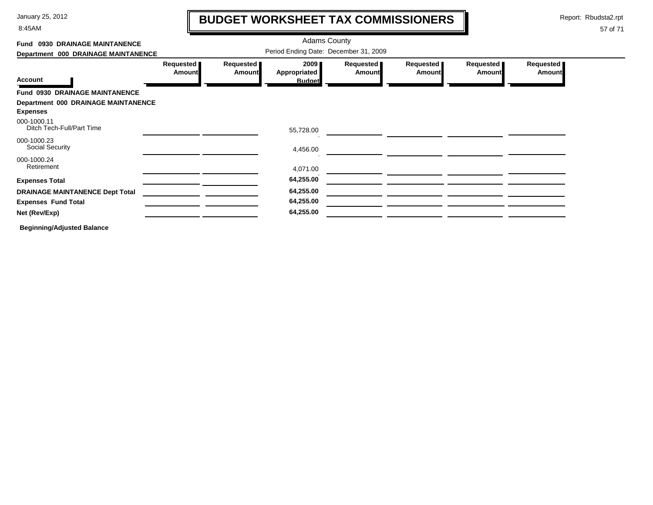8:45AM

# **BUDGET WORKSHEET TAX COMMISSIONERS**

Report: Rbudsta2.rpt

 $\mathbf l$ 

| Fund 0930 DRAINAGE MAINTANENCE                                |                                       |                     | <b>Adams County</b>                   |                            |                            |                       |                            |  |  |
|---------------------------------------------------------------|---------------------------------------|---------------------|---------------------------------------|----------------------------|----------------------------|-----------------------|----------------------------|--|--|
| Department 000 DRAINAGE MAINTANENCE                           | Period Ending Date: December 31, 2009 |                     |                                       |                            |                            |                       |                            |  |  |
| <b>Account</b>                                                | Requested<br><b>Amount</b>            | Requested<br>Amount | 2009<br>Appropriated<br><b>Budget</b> | Requested<br><b>Amount</b> | Requested<br><b>Amount</b> | Requested  <br>Amount | Requested<br><b>Amount</b> |  |  |
| Fund 0930 DRAINAGE MAINTANENCE                                |                                       |                     |                                       |                            |                            |                       |                            |  |  |
| <b>Department 000 DRAINAGE MAINTANENCE</b><br><b>Expenses</b> |                                       |                     |                                       |                            |                            |                       |                            |  |  |
| 000-1000.11<br>Ditch Tech-Full/Part Time                      |                                       |                     | 55,728.00                             |                            |                            |                       |                            |  |  |
| 000-1000.23<br>Social Security                                |                                       |                     | 4,456.00                              |                            |                            |                       |                            |  |  |
| 000-1000.24<br>Retirement                                     |                                       |                     | 4,071.00                              |                            |                            |                       |                            |  |  |
| <b>Expenses Total</b>                                         |                                       |                     | 64,255.00                             |                            |                            |                       |                            |  |  |
| <b>DRAINAGE MAINTANENCE Dept Total</b>                        |                                       |                     | 64,255.00                             |                            |                            |                       |                            |  |  |
| <b>Expenses Fund Total</b>                                    |                                       |                     | 64,255.00                             |                            |                            |                       |                            |  |  |
| Net (Rev/Exp)                                                 |                                       |                     | 64,255.00                             |                            |                            |                       |                            |  |  |
| <b>Beginning/Adjusted Balance</b>                             |                                       |                     |                                       |                            |                            |                       |                            |  |  |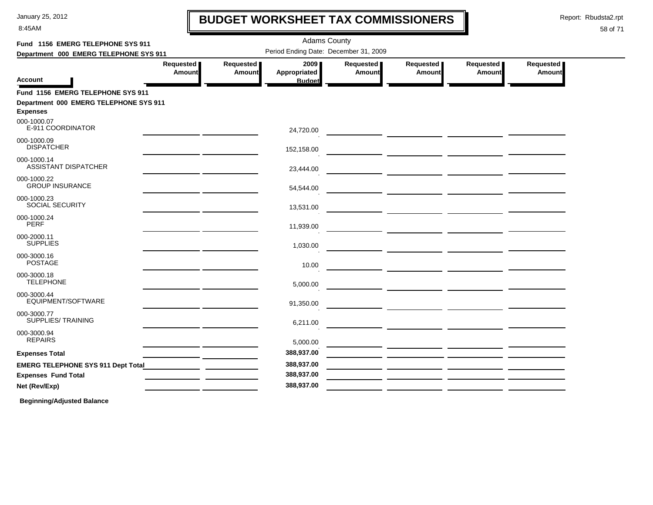8:45AM

# **BUDGET WORKSHEET TAX COMMISSIONERS**

Report: Rbudsta2.rpt

 $\mathbf l$ 

#### 58 of 71

| Fund 1156 EMERG TELEPHONE SYS 911                         |                                                                                                                               |                       | <b>Adams County</b>                   |                       |                                                                    |                       |                       |
|-----------------------------------------------------------|-------------------------------------------------------------------------------------------------------------------------------|-----------------------|---------------------------------------|-----------------------|--------------------------------------------------------------------|-----------------------|-----------------------|
| Department 000 EMERG TELEPHONE SYS 911                    |                                                                                                                               |                       | Period Ending Date: December 31, 2009 |                       |                                                                    |                       |                       |
|                                                           | Requested  <br>Amount                                                                                                         | Requested  <br>Amount | 2009 <sub>1</sub><br>Appropriated     | Requested  <br>Amount | Requested  <br>Amount                                              | Requested  <br>Amount | Requested  <br>Amount |
| Account                                                   |                                                                                                                               |                       | <b>Budget</b>                         |                       |                                                                    |                       |                       |
| Fund 1156 EMERG TELEPHONE SYS 911                         |                                                                                                                               |                       |                                       |                       |                                                                    |                       |                       |
| Department 000 EMERG TELEPHONE SYS 911<br><b>Expenses</b> |                                                                                                                               |                       |                                       |                       |                                                                    |                       |                       |
| 000-1000.07<br>E-911 COORDINATOR                          | <u> 1989 - Johann John Stein, mars an de British (b. 1989)</u>                                                                |                       | 24,720.00                             |                       |                                                                    |                       |                       |
| 000-1000.09<br><b>DISPATCHER</b>                          | the contract of the contract of the contract of the contract of the contract of                                               |                       | 152,158.00                            |                       |                                                                    |                       |                       |
| 000-1000.14<br><b>ASSISTANT DISPATCHER</b>                | <u> 1989 - Johann Stein, mars an t-Amerikaansk ferskeizh (</u>                                                                |                       | 23,444.00                             |                       |                                                                    |                       |                       |
| 000-1000.22<br><b>GROUP INSURANCE</b>                     | the contract of the contract of the contract of the contract of the contract of                                               |                       | 54,544.00                             |                       |                                                                    |                       |                       |
| 000-1000.23<br><b>SOCIAL SECURITY</b>                     | the contract of the contract of the contract of the contract of the contract of                                               |                       | 13,531.00                             |                       |                                                                    |                       |                       |
| 000-1000.24<br><b>PERF</b>                                | <u> 1989 - Johann John Stein, mars an de British (b. 1989)</u>                                                                |                       | 11,939.00                             |                       |                                                                    |                       |                       |
| 000-2000.11<br><b>SUPPLIES</b>                            | <u> 1989 - Johann Harry Barn, mars an t-Amerikaansk kommunister (</u>                                                         |                       | 1,030.00                              |                       |                                                                    |                       |                       |
| 000-3000.16<br><b>POSTAGE</b>                             | <u> 1989 - Johann Harry Harry Harry Harry Harry Harry Harry Harry Harry Harry Harry Harry Harry Harry Harry Harry</u>         |                       | 10.00                                 |                       |                                                                    |                       |                       |
| 000-3000.18<br><b>TELEPHONE</b>                           | <u> 1989 - John Harry Barn, mars and de Branch and de Branch and de Branch and de Branch and de Branch and de Br</u>          |                       | 5,000.00                              |                       |                                                                    |                       |                       |
| 000-3000.44<br>EQUIPMENT/SOFTWARE                         | <u> 1989 - Johann John Stone, mars et al. (</u>                                                                               |                       | 91,350.00                             |                       |                                                                    |                       |                       |
| 000-3000.77<br>SUPPLIES/ TRAINING                         |                                                                                                                               |                       | 6,211.00                              |                       |                                                                    |                       |                       |
| 000-3000.94<br><b>REPAIRS</b>                             | <u> 1989 - Johann John Stone, mars et al. 1989 - John Stone, mars et al. 1989 - John Stone, mars et al. 1989 - Joh</u>        |                       | 5,000.00                              |                       |                                                                    |                       |                       |
| <b>Expenses Total</b>                                     | <u> 1989 - Johann John Stone, mars et al. 1989 - John Stone, mars et al. 1989 - John Stone, mars et al. 1989 - John Stone</u> |                       | 388,937.00                            |                       |                                                                    |                       |                       |
|                                                           |                                                                                                                               |                       | 388,937.00                            |                       |                                                                    |                       |                       |
| <b>Expenses Fund Total</b>                                |                                                                                                                               |                       | 388,937.00                            |                       |                                                                    |                       |                       |
| Net (Rev/Exp)                                             |                                                                                                                               |                       | 388,937.00                            |                       | <u> 1980 - Andrea Andrewski, politik američki politik († 1901)</u> |                       |                       |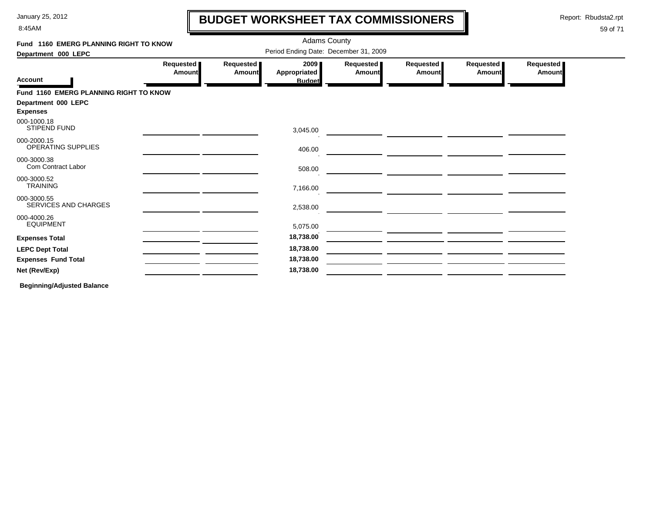8:45AM

# **BUDGET WORKSHEET TAX COMMISSIONERS**

Report: Rbudsta2.rpt

 $\mathbf l$ 

#### 59 of 71

| Fund 1160 EMERG PLANNING RIGHT TO KNOW |                     |                     | <b>Adams County</b>                   |                     |                     |                     |                            |
|----------------------------------------|---------------------|---------------------|---------------------------------------|---------------------|---------------------|---------------------|----------------------------|
| Department 000 LEPC                    |                     |                     | Period Ending Date: December 31, 2009 |                     |                     |                     |                            |
| <b>Account</b>                         | Requested<br>Amount | Requested<br>Amount | 2009<br>Appropriated<br><b>Budget</b> | Requested<br>Amount | Requested<br>Amount | Requested<br>Amount | Requested<br><b>Amount</b> |
| Fund 1160 EMERG PLANNING RIGHT TO KNOW |                     |                     |                                       |                     |                     |                     |                            |
| Department 000 LEPC<br><b>Expenses</b> |                     |                     |                                       |                     |                     |                     |                            |
| 000-1000.18<br><b>STIPEND FUND</b>     |                     |                     | 3,045.00                              |                     |                     |                     |                            |
| 000-2000.15<br>OPERATING SUPPLIES      |                     |                     | 406.00                                |                     |                     |                     |                            |
| 000-3000.38<br>Com Contract Labor      |                     |                     | 508.00                                |                     |                     |                     |                            |
| 000-3000.52<br><b>TRAINING</b>         |                     |                     | 7,166.00                              |                     |                     |                     |                            |
| 000-3000.55<br>SERVICES AND CHARGES    |                     |                     | 2,538.00                              |                     |                     |                     |                            |
| 000-4000.26<br><b>EQUIPMENT</b>        |                     |                     | 5,075.00                              |                     |                     |                     |                            |
| <b>Expenses Total</b>                  |                     |                     | 18,738.00                             |                     |                     |                     |                            |
| <b>LEPC Dept Total</b>                 |                     |                     | 18,738.00                             |                     |                     |                     |                            |
| <b>Expenses Fund Total</b>             |                     |                     | 18,738.00                             |                     |                     |                     |                            |
| Net (Rev/Exp)                          |                     |                     | 18,738.00                             |                     |                     |                     |                            |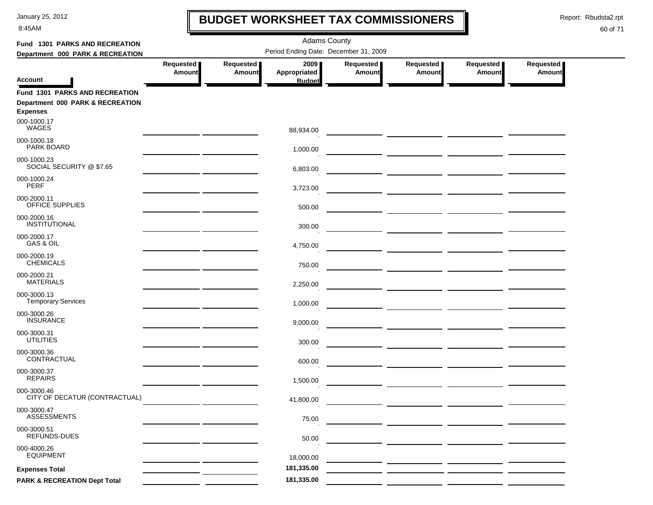8:45AM

### **BUDGET WORKSHEET TAX COMMISSIONERS**

Report: Rbudsta2.rpt

 $\mathbf \mathbf I$ 

| Fund 1301 PARKS AND RECREATION          |               | <b>Adams County</b>                   |               |               |                                                                                                                       |                                                            |               |  |  |  |  |
|-----------------------------------------|---------------|---------------------------------------|---------------|---------------|-----------------------------------------------------------------------------------------------------------------------|------------------------------------------------------------|---------------|--|--|--|--|
| Department 000 PARK & RECREATION        |               | Period Ending Date: December 31, 2009 |               |               |                                                                                                                       |                                                            |               |  |  |  |  |
|                                         | Requested     | Requested                             | 2009          | Requested     | Requested                                                                                                             | Requested                                                  | Requested     |  |  |  |  |
|                                         | <b>Amount</b> | Amount                                | Appropriated  | <b>Amount</b> | <b>Amount</b>                                                                                                         | <b>Amount</b>                                              | <b>Amount</b> |  |  |  |  |
| <b>Account</b>                          |               |                                       | <b>Budget</b> |               |                                                                                                                       |                                                            |               |  |  |  |  |
| <b>Fund 1301 PARKS AND RECREATION</b>   |               |                                       |               |               |                                                                                                                       |                                                            |               |  |  |  |  |
| Department 000 PARK & RECREATION        |               |                                       |               |               |                                                                                                                       |                                                            |               |  |  |  |  |
| <b>Expenses</b>                         |               |                                       |               |               |                                                                                                                       |                                                            |               |  |  |  |  |
| 000-1000.17<br><b>WAGES</b>             |               |                                       | 88,934.00     |               |                                                                                                                       |                                                            |               |  |  |  |  |
| 000-1000.18                             |               |                                       |               |               |                                                                                                                       |                                                            |               |  |  |  |  |
| PARK BOARD                              |               |                                       | 1,000.00      |               |                                                                                                                       |                                                            |               |  |  |  |  |
| 000-1000.23                             |               |                                       |               |               |                                                                                                                       |                                                            |               |  |  |  |  |
| SOCIAL SECURITY @ \$7.65                |               |                                       | 6,803.00      |               |                                                                                                                       |                                                            |               |  |  |  |  |
| 000-1000.24<br><b>PERF</b>              |               |                                       |               |               |                                                                                                                       |                                                            |               |  |  |  |  |
|                                         |               |                                       | 3,723.00      |               |                                                                                                                       |                                                            |               |  |  |  |  |
| 000-2000.11<br>OFFICE SUPPLIES          |               |                                       | 500.00        |               |                                                                                                                       |                                                            |               |  |  |  |  |
| 000-2000.16                             |               |                                       |               |               | <u> 1989 - John Stone, mars et al. (</u>                                                                              |                                                            |               |  |  |  |  |
| INSTITUTIONAL                           |               |                                       | 300.00        |               |                                                                                                                       |                                                            |               |  |  |  |  |
| 000-2000.17                             |               |                                       |               |               |                                                                                                                       |                                                            |               |  |  |  |  |
| GAS & OIL                               |               |                                       | 4,750.00      |               | <u> 1989 - Johann John Harry John Harry Harry Harry Harry Harry Harry Harry Harry Harry Harry Harry Harry Harry H</u> |                                                            |               |  |  |  |  |
| 000-2000.19                             |               |                                       |               |               |                                                                                                                       |                                                            |               |  |  |  |  |
| <b>CHEMICALS</b>                        |               |                                       | 750.00        |               | <u> 1989 - John Harry John Harry Harry Harry Harry Harry Harry Harry Harry Harry Harry Harry Harry Harry Harry H</u>  |                                                            |               |  |  |  |  |
| 000-2000.21<br><b>MATERIALS</b>         |               |                                       |               |               |                                                                                                                       |                                                            |               |  |  |  |  |
| 000-3000.13                             |               |                                       | 2,250.00      |               |                                                                                                                       | <u> 1989 - John Stein, mars and de Britannie (b. 1989)</u> |               |  |  |  |  |
| <b>Temporary Services</b>               |               |                                       | 1,000.00      |               |                                                                                                                       |                                                            |               |  |  |  |  |
| 000-3000.26                             |               |                                       |               |               |                                                                                                                       |                                                            |               |  |  |  |  |
| <b>INSURANCE</b>                        |               |                                       | 9,000.00      |               | <u> 1990 - Johann John Stone, mars et al. (</u>                                                                       |                                                            |               |  |  |  |  |
| 000-3000.31                             |               |                                       |               |               |                                                                                                                       |                                                            |               |  |  |  |  |
| <b>UTILITIES</b>                        |               |                                       | 300.00        |               |                                                                                                                       |                                                            |               |  |  |  |  |
| 000-3000.36<br>CONTRACTUAL              |               |                                       |               |               |                                                                                                                       |                                                            |               |  |  |  |  |
|                                         |               |                                       | 600.00        |               |                                                                                                                       |                                                            |               |  |  |  |  |
| 000-3000.37<br><b>REPAIRS</b>           |               |                                       | 1,500.00      |               |                                                                                                                       |                                                            |               |  |  |  |  |
| 000-3000.46                             |               |                                       |               |               | <u> Alexandria de Alexandria de Alexandria de Alexandria de Alexandria de Alexandria de Alexandria de Alexandria </u> |                                                            |               |  |  |  |  |
| CITY OF DECATUR (CONTRACTUAL)           |               |                                       | 41,800.00     |               |                                                                                                                       |                                                            |               |  |  |  |  |
| 000-3000.47                             |               |                                       |               |               |                                                                                                                       |                                                            |               |  |  |  |  |
| <b>ASSESSMENTS</b>                      |               |                                       | 75.00         |               |                                                                                                                       |                                                            |               |  |  |  |  |
| 000-3000.51                             |               |                                       |               |               |                                                                                                                       |                                                            |               |  |  |  |  |
| REFUNDS-DUES                            |               |                                       | 50.00         |               |                                                                                                                       |                                                            |               |  |  |  |  |
| 000-4000.26<br><b>EQUIPMENT</b>         |               |                                       | 18,000.00     |               |                                                                                                                       |                                                            |               |  |  |  |  |
|                                         |               |                                       | 181,335.00    |               |                                                                                                                       |                                                            |               |  |  |  |  |
| <b>Expenses Total</b>                   |               |                                       |               |               |                                                                                                                       |                                                            |               |  |  |  |  |
| <b>PARK &amp; RECREATION Dept Total</b> |               |                                       | 181,335.00    |               |                                                                                                                       |                                                            |               |  |  |  |  |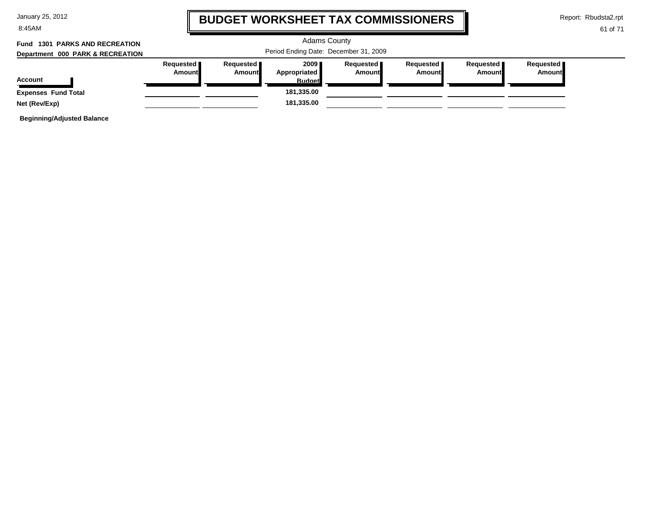| January 25, 2012 |  |  |  |
|------------------|--|--|--|
|------------------|--|--|--|

8:45AM

### **BUDGET WORKSHEET TAX COMMISSIONERS**

Report: Rbudsta2.rpt

#### 61 of 71

#### Adams County Period Ending Date: December 31, 2009 **Account Department 000 PARK & RECREATION Fund 1301 PARKS AND RECREATIONRequested Amount Requested Amount 2009 Appropriated Budget Requested Amount Requested Amount Requested Amount Requested Amount Expenses Fund Total 181,335.00 Net (Rev/Exp) 181,335.00**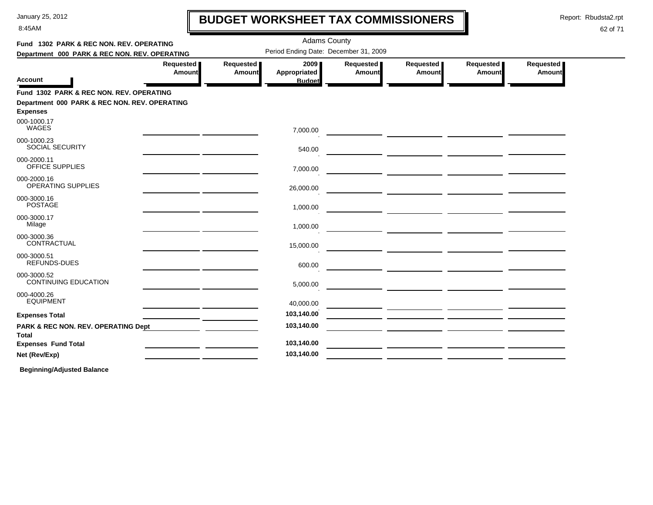8:45AM

# **BUDGET WORKSHEET TAX COMMISSIONERS**

Report: Rbudsta2.rpt

#### 62 of 71

| Fund 1302 PARK & REC NON. REV. OPERATING                         |                                                  |                            | <b>Adams County</b>                     |                       |                                                                                                                      |                     |                            |  |
|------------------------------------------------------------------|--------------------------------------------------|----------------------------|-----------------------------------------|-----------------------|----------------------------------------------------------------------------------------------------------------------|---------------------|----------------------------|--|
| Department 000 PARK & REC NON. REV. OPERATING                    |                                                  |                            | Period Ending Date: December 31, 2009   |                       |                                                                                                                      |                     |                            |  |
| Account                                                          | Requested<br><b>Amount</b>                       | Requested<br><b>Amount</b> | 2009 ∎<br>Appropriated<br><b>Budget</b> | Requested  <br>Amount | Requested  <br>Amount                                                                                                | Requested<br>Amount | Requested<br><b>Amount</b> |  |
| Fund 1302 PARK & REC NON. REV. OPERATING                         |                                                  |                            |                                         |                       |                                                                                                                      |                     |                            |  |
| Department 000 PARK & REC NON. REV. OPERATING<br><b>Expenses</b> |                                                  |                            |                                         |                       |                                                                                                                      |                     |                            |  |
| 000-1000.17<br><b>WAGES</b>                                      |                                                  |                            | 7,000.00                                |                       |                                                                                                                      |                     |                            |  |
| 000-1000.23<br><b>SOCIAL SECURITY</b>                            |                                                  |                            | 540.00                                  |                       |                                                                                                                      |                     |                            |  |
| 000-2000.11<br>OFFICE SUPPLIES                                   | the control of the control of the control of the |                            | 7,000.00                                |                       | <u> 2008 - Johann John Stone, maria eta politikaria (h. 1878).</u>                                                   |                     |                            |  |
| 000-2000.16<br>OPERATING SUPPLIES                                |                                                  |                            | 26,000.00                               |                       | <u> 1989 - Johann John Stein, markin sammen fyrir og stofning og stofning og stofning og stofning og stofning og</u> |                     |                            |  |
| 000-3000.16<br><b>POSTAGE</b>                                    |                                                  |                            | 1,000.00                                |                       |                                                                                                                      |                     |                            |  |
| 000-3000.17<br>Milage                                            |                                                  |                            | 1,000.00                                |                       |                                                                                                                      |                     |                            |  |
| 000-3000.36<br>CONTRACTUAL                                       |                                                  |                            | 15,000.00                               |                       |                                                                                                                      |                     |                            |  |
| 000-3000.51<br><b>REFUNDS-DUES</b>                               |                                                  |                            | 600.00                                  |                       |                                                                                                                      |                     |                            |  |
| 000-3000.52<br><b>CONTINUING EDUCATION</b>                       |                                                  |                            | 5,000.00                                |                       |                                                                                                                      |                     |                            |  |
| 000-4000.26<br><b>EQUIPMENT</b>                                  |                                                  |                            | 40,000.00                               |                       |                                                                                                                      |                     |                            |  |
| <b>Expenses Total</b>                                            |                                                  |                            | 103,140.00                              |                       |                                                                                                                      |                     |                            |  |
| PARK & REC NON. REV. OPERATING Dept<br>Total                     |                                                  |                            | 103,140.00                              |                       |                                                                                                                      |                     |                            |  |
| <b>Expenses Fund Total</b>                                       |                                                  |                            | 103,140.00                              |                       |                                                                                                                      |                     |                            |  |
| Net (Rev/Exp)                                                    |                                                  |                            | 103,140.00                              |                       |                                                                                                                      |                     |                            |  |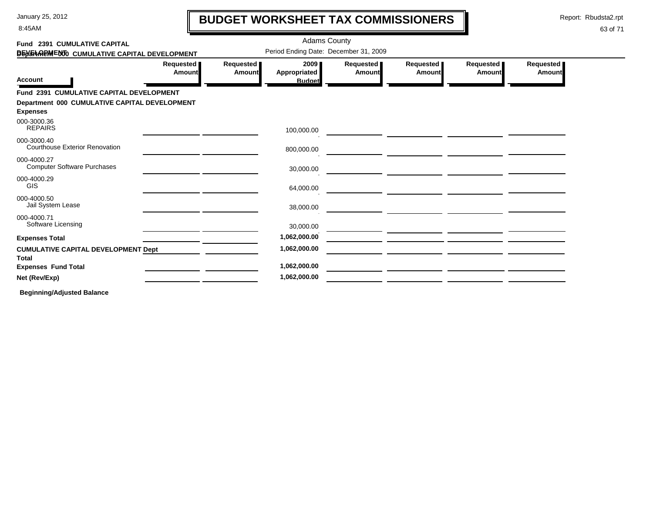8:45AM

# **BUDGET WORKSHEET TAX COMMISSIONERS**

Report: Rbudsta2.rpt

 $\mathbf l$ 

#### 63 of 71

| Fund 2391 CUMULATIVE CAPITAL                                     |                     |                            | <b>Adams County</b>                            |                       |                            |                            |                     |
|------------------------------------------------------------------|---------------------|----------------------------|------------------------------------------------|-----------------------|----------------------------|----------------------------|---------------------|
| DEN THREM ENTO CUMULATIVE CAPITAL DEVELOPMENT                    |                     |                            | Period Ending Date: December 31, 2009          |                       |                            |                            |                     |
| <b>Account</b>                                                   | Requested<br>Amount | Requested<br><b>Amount</b> | 2009 ∎<br><b>Appropriated</b><br><b>Budget</b> | Requested  <br>Amount | Requested<br><b>Amount</b> | Requested<br><b>Amount</b> | Requested<br>Amount |
| Fund 2391 CUMULATIVE CAPITAL DEVELOPMENT                         |                     |                            |                                                |                       |                            |                            |                     |
| Department 000 CUMULATIVE CAPITAL DEVELOPMENT<br><b>Expenses</b> |                     |                            |                                                |                       |                            |                            |                     |
| 000-3000.36<br><b>REPAIRS</b>                                    |                     |                            | 100,000.00                                     |                       |                            |                            |                     |
| 000-3000.40<br><b>Courthouse Exterior Renovation</b>             |                     |                            | 800,000.00                                     |                       |                            |                            |                     |
| 000-4000.27<br><b>Computer Software Purchases</b>                |                     |                            | 30,000.00                                      |                       |                            |                            |                     |
| 000-4000.29<br><b>GIS</b>                                        |                     |                            | 64,000.00                                      |                       |                            |                            |                     |
| 000-4000.50<br>Jail System Lease                                 |                     |                            | 38,000.00                                      |                       |                            |                            |                     |
| 000-4000.71<br>Software Licensing                                |                     |                            | 30,000.00                                      |                       |                            |                            |                     |
| <b>Expenses Total</b>                                            |                     |                            | 1,062,000.00                                   |                       |                            |                            |                     |
| <b>CUMULATIVE CAPITAL DEVELOPMENT Dept</b><br><b>Total</b>       |                     |                            | 1,062,000.00                                   |                       |                            |                            |                     |
| <b>Expenses Fund Total</b>                                       |                     |                            | 1,062,000.00                                   |                       |                            |                            |                     |
| Net (Rev/Exp)                                                    |                     |                            | 1,062,000.00                                   |                       |                            |                            |                     |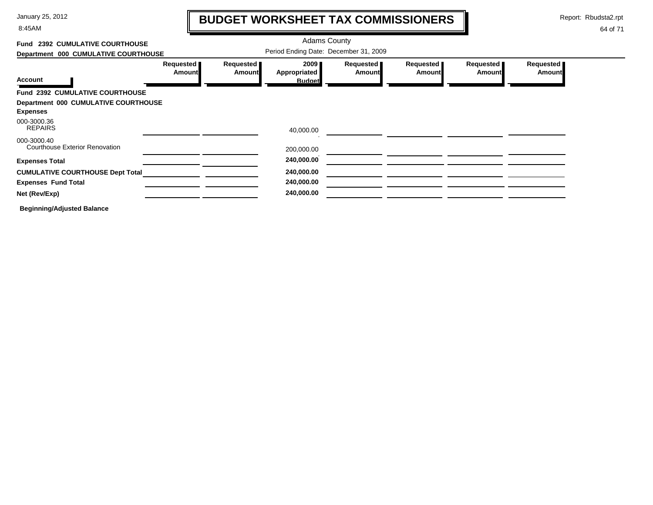8:45AM

# **BUDGET WORKSHEET TAX COMMISSIONERS**

Report: Rbudsta2.rpt

 $\mathbf l$ 

| Fund 2392 CUMULATIVE COURTHOUSE                      |                            |                     | <b>Adams County</b>                   |                     |                     |                            |                            |
|------------------------------------------------------|----------------------------|---------------------|---------------------------------------|---------------------|---------------------|----------------------------|----------------------------|
| Department 000 CUMULATIVE COURTHOUSE                 |                            |                     | Period Ending Date: December 31, 2009 |                     |                     |                            |                            |
|                                                      | Requested<br><b>Amount</b> | Requested<br>Amount | 2009<br>Appropriated                  | Requested<br>Amount | Requested<br>Amount | Requested<br><b>Amount</b> | Requested<br><b>Amount</b> |
| <b>Account</b>                                       |                            |                     | <b>Budget</b>                         |                     |                     |                            |                            |
| Fund 2392 CUMULATIVE COURTHOUSE                      |                            |                     |                                       |                     |                     |                            |                            |
| Department 000 CUMULATIVE COURTHOUSE                 |                            |                     |                                       |                     |                     |                            |                            |
| <b>Expenses</b>                                      |                            |                     |                                       |                     |                     |                            |                            |
| 000-3000.36<br><b>REPAIRS</b>                        |                            |                     | 40,000.00                             |                     |                     |                            |                            |
| 000-3000.40<br><b>Courthouse Exterior Renovation</b> |                            |                     | 200,000.00                            |                     |                     |                            |                            |
| <b>Expenses Total</b>                                |                            |                     | 240,000.00                            |                     |                     |                            |                            |
| <b>CUMULATIVE COURTHOUSE Dept Total</b>              |                            |                     | 240,000.00                            |                     |                     |                            |                            |
| <b>Expenses Fund Total</b>                           |                            |                     | 240,000.00                            |                     |                     |                            |                            |
| Net (Rev/Exp)                                        |                            |                     | 240,000.00                            |                     |                     |                            |                            |
| <b>Beginning/Adjusted Balance</b>                    |                            |                     |                                       |                     |                     |                            |                            |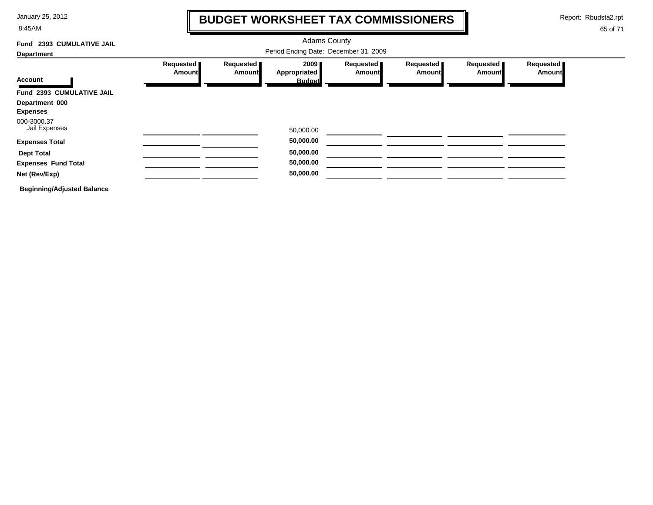8:45AM

# **BUDGET WORKSHEET TAX COMMISSIONERS**

Report: Rbudsta2.rpt

 $\mathbf l$ 

| Fund 2393 CUMULATIVE JAIL         | <b>Adams County</b><br>Period Ending Date: December 31, 2009 |                     |                                          |                     |                     |                     |                            |  |  |  |
|-----------------------------------|--------------------------------------------------------------|---------------------|------------------------------------------|---------------------|---------------------|---------------------|----------------------------|--|--|--|
| <b>Department</b>                 |                                                              |                     |                                          |                     |                     |                     |                            |  |  |  |
| Account                           | Requested<br>Amount                                          | Requested<br>Amount | 2009 <sub>1</sub><br><b>Appropriated</b> | Requested<br>Amount | Requested<br>Amount | Requested<br>Amount | Requested<br><b>Amount</b> |  |  |  |
| Fund 2393 CUMULATIVE JAIL         |                                                              |                     | <b>Budget</b>                            |                     |                     |                     |                            |  |  |  |
| Department 000<br><b>Expenses</b> |                                                              |                     |                                          |                     |                     |                     |                            |  |  |  |
| 000-3000.37<br>Jail Expenses      |                                                              |                     | 50,000.00                                |                     |                     |                     |                            |  |  |  |
| <b>Expenses Total</b>             |                                                              |                     | 50,000.00                                |                     |                     |                     |                            |  |  |  |
| <b>Dept Total</b>                 |                                                              |                     | 50,000.00                                |                     |                     |                     |                            |  |  |  |
| <b>Expenses Fund Total</b>        |                                                              |                     | 50,000.00                                |                     |                     |                     |                            |  |  |  |
| Net (Rev/Exp)                     |                                                              |                     | 50,000.00                                |                     |                     |                     |                            |  |  |  |
| <b>Beginning/Adjusted Balance</b> |                                                              |                     |                                          |                     |                     |                     |                            |  |  |  |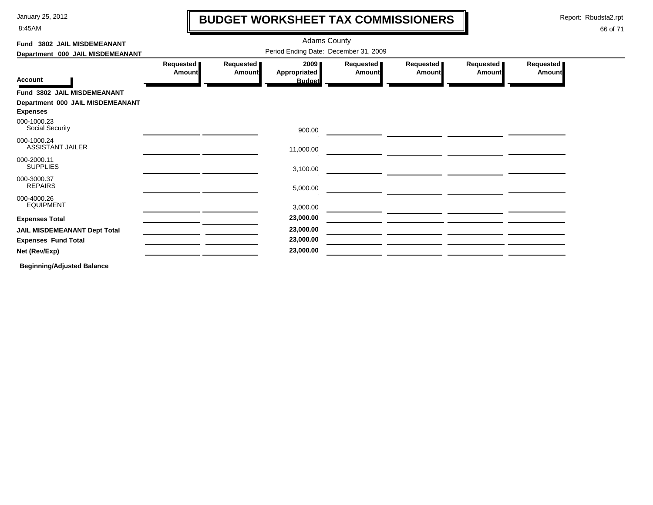8:45AM

# **BUDGET WORKSHEET TAX COMMISSIONERS**

Report: Rbudsta2.rpt

 $\mathbf l$ 

#### 66 of 71

| Fund 3802 JAIL MISDEMEANANT                         | <b>Adams County</b>                   |                     |                                       |                     |                     |                     |                            |  |  |  |
|-----------------------------------------------------|---------------------------------------|---------------------|---------------------------------------|---------------------|---------------------|---------------------|----------------------------|--|--|--|
| Department 000 JAIL MISDEMEANANT                    | Period Ending Date: December 31, 2009 |                     |                                       |                     |                     |                     |                            |  |  |  |
| <b>Account</b>                                      | Requested<br><b>Amountl</b>           | Requested<br>Amount | 2009<br>Appropriated<br><b>Budget</b> | Requested<br>Amount | Requested<br>Amount | Requested<br>Amount | Requested<br><b>Amount</b> |  |  |  |
| Fund 3802 JAIL MISDEMEANANT                         |                                       |                     |                                       |                     |                     |                     |                            |  |  |  |
| Department 000 JAIL MISDEMEANANT<br><b>Expenses</b> |                                       |                     |                                       |                     |                     |                     |                            |  |  |  |
| 000-1000.23<br>Social Security                      |                                       |                     | 900.00                                |                     |                     |                     |                            |  |  |  |
| 000-1000.24<br><b>ASSISTANT JAILER</b>              |                                       |                     | 11,000.00                             |                     |                     |                     |                            |  |  |  |
| 000-2000.11<br><b>SUPPLIES</b>                      |                                       |                     | 3,100.00                              |                     |                     |                     |                            |  |  |  |
| 000-3000.37<br><b>REPAIRS</b>                       |                                       |                     | 5,000.00                              |                     |                     |                     |                            |  |  |  |
| 000-4000.26<br><b>EQUIPMENT</b>                     |                                       |                     | 3,000.00                              |                     |                     |                     |                            |  |  |  |
| <b>Expenses Total</b>                               |                                       |                     | 23,000.00                             |                     |                     |                     |                            |  |  |  |
| <b>JAIL MISDEMEANANT Dept Total</b>                 |                                       |                     | 23,000.00                             |                     |                     |                     |                            |  |  |  |
| <b>Expenses Fund Total</b>                          |                                       |                     | 23,000.00                             |                     |                     |                     |                            |  |  |  |
| Net (Rev/Exp)                                       |                                       |                     | 23,000.00                             |                     |                     |                     |                            |  |  |  |
|                                                     |                                       |                     |                                       |                     |                     |                     |                            |  |  |  |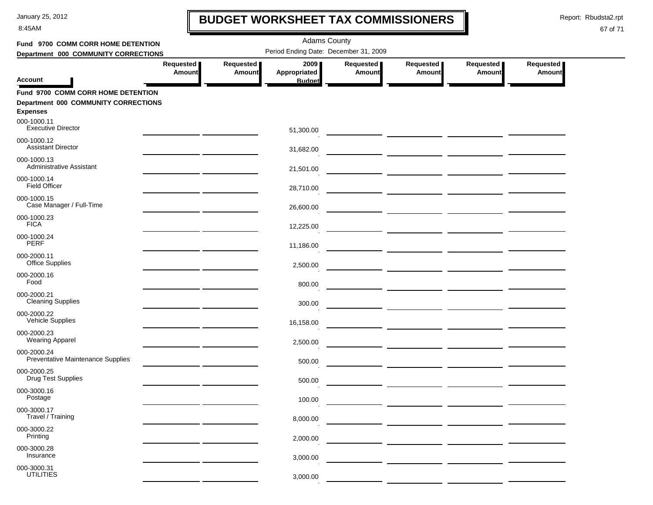8:45AM

# **BUDGET WORKSHEET TAX COMMISSIONERS**

Report: Rbudsta2.rpt

 $\mathbf l$ 

| Fund 9700 COMM CORR HOME DETENTION                      |                                                                               |                            | <b>Adams County</b>                   |                            |                     |                            |                            |  |  |
|---------------------------------------------------------|-------------------------------------------------------------------------------|----------------------------|---------------------------------------|----------------------------|---------------------|----------------------------|----------------------------|--|--|
|                                                         | Period Ending Date: December 31, 2009<br>Department 000 COMMUNITY CORRECTIONS |                            |                                       |                            |                     |                            |                            |  |  |
| <b>Account</b>                                          | Requested<br><b>Amount</b>                                                    | Requested<br><b>Amount</b> | 2009<br>Appropriated<br><b>Budget</b> | Requested<br><b>Amount</b> | Requested<br>Amount | Requested<br><b>Amount</b> | Requested<br><b>Amount</b> |  |  |
| Fund 9700 COMM CORR HOME DETENTION                      |                                                                               |                            |                                       |                            |                     |                            |                            |  |  |
| Department 000 COMMUNITY CORRECTIONS<br><b>Expenses</b> |                                                                               |                            |                                       |                            |                     |                            |                            |  |  |
| 000-1000.11<br><b>Executive Director</b>                |                                                                               |                            | 51,300.00                             |                            |                     |                            |                            |  |  |
| 000-1000.12<br><b>Assistant Director</b>                |                                                                               |                            | 31,682.00                             |                            |                     |                            |                            |  |  |
| 000-1000.13<br>Administrative Assistant                 |                                                                               |                            | 21,501.00                             |                            |                     |                            |                            |  |  |
| 000-1000.14<br><b>Field Officer</b>                     |                                                                               |                            | 28,710.00                             |                            |                     |                            |                            |  |  |
| 000-1000.15<br>Case Manager / Full-Time                 |                                                                               |                            | 26,600.00                             |                            |                     |                            |                            |  |  |
| 000-1000.23<br><b>FICA</b>                              |                                                                               |                            | 12,225.00                             |                            |                     |                            |                            |  |  |
| 000-1000.24<br><b>PERF</b>                              |                                                                               |                            | 11,186.00                             |                            |                     |                            |                            |  |  |
| 000-2000.11<br>Office Supplies                          |                                                                               |                            | 2,500.00                              |                            |                     |                            |                            |  |  |
| 000-2000.16<br>Food                                     |                                                                               |                            | 800.00                                |                            |                     |                            |                            |  |  |
| 000-2000.21<br><b>Cleaning Supplies</b>                 |                                                                               |                            | 300.00                                |                            |                     |                            |                            |  |  |
| 000-2000.22<br><b>Vehicle Supplies</b>                  |                                                                               |                            | 16,158.00                             |                            |                     |                            |                            |  |  |
| 000-2000.23<br><b>Wearing Apparel</b>                   |                                                                               |                            | 2,500.00                              |                            |                     |                            |                            |  |  |
| 000-2000.24<br>Preventative Maintenance Supplies        |                                                                               |                            | 500.00                                |                            |                     |                            |                            |  |  |
| 000-2000.25<br><b>Drug Test Supplies</b>                |                                                                               |                            | 500.00                                |                            |                     |                            |                            |  |  |
| 000-3000.16<br>Postage                                  |                                                                               |                            | 100.00                                |                            |                     |                            |                            |  |  |
| 000-3000.17<br>Travel / Training                        |                                                                               |                            | 8,000.00                              |                            |                     |                            |                            |  |  |
| 000-3000.22<br>Printing                                 |                                                                               |                            | 2,000.00                              |                            |                     |                            |                            |  |  |
| 000-3000.28<br>Insurance                                |                                                                               |                            | 3,000.00                              |                            |                     |                            |                            |  |  |
| 000-3000.31<br><b>UTILITIES</b>                         |                                                                               |                            | 3,000.00                              |                            |                     |                            |                            |  |  |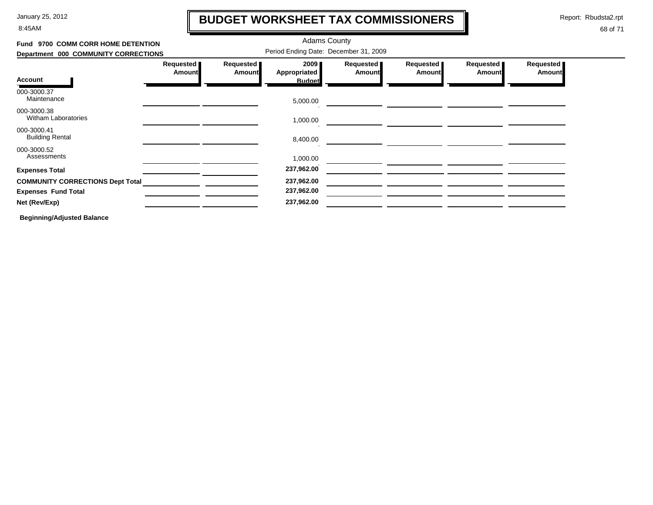8:45AM

# **BUDGET WORKSHEET TAX COMMISSIONERS**

Report: Rbudsta2.rpt

 $\mathbf l$ 

#### 68 of 71

| Fund 9700 COMM CORR HOME DETENTION        |                            |                                       |                      |                            |                       |                            |                            |  |  |
|-------------------------------------------|----------------------------|---------------------------------------|----------------------|----------------------------|-----------------------|----------------------------|----------------------------|--|--|
| Department 000 COMMUNITY CORRECTIONS      |                            | Period Ending Date: December 31, 2009 |                      |                            |                       |                            |                            |  |  |
|                                           | Requested<br><b>Amount</b> | Requested<br>Amount                   | 2009<br>Appropriated | Requested<br><b>Amount</b> | Requested  <br>Amount | Requested<br><b>Amount</b> | Requested<br><b>Amount</b> |  |  |
| <b>Account</b>                            |                            |                                       | <b>Budget</b>        |                            |                       |                            |                            |  |  |
| 000-3000.37<br>Maintenance                |                            |                                       | 5,000.00             |                            |                       |                            |                            |  |  |
| 000-3000.38<br><b>Witham Laboratories</b> |                            |                                       | 1,000.00             |                            |                       |                            |                            |  |  |
| 000-3000.41<br><b>Building Rental</b>     |                            |                                       | 8,400.00             |                            |                       |                            |                            |  |  |
| 000-3000.52<br>Assessments                |                            |                                       | 1,000.00             |                            |                       |                            |                            |  |  |
| <b>Expenses Total</b>                     |                            |                                       | 237,962.00           |                            |                       |                            |                            |  |  |
| <b>COMMUNITY CORRECTIONS Dept Total</b>   |                            |                                       | 237,962.00           |                            |                       |                            |                            |  |  |
| <b>Expenses Fund Total</b>                |                            |                                       | 237,962.00           |                            |                       |                            |                            |  |  |
| Net (Rev/Exp)                             |                            |                                       | 237,962.00           |                            |                       |                            |                            |  |  |
|                                           |                            |                                       |                      |                            |                       |                            |                            |  |  |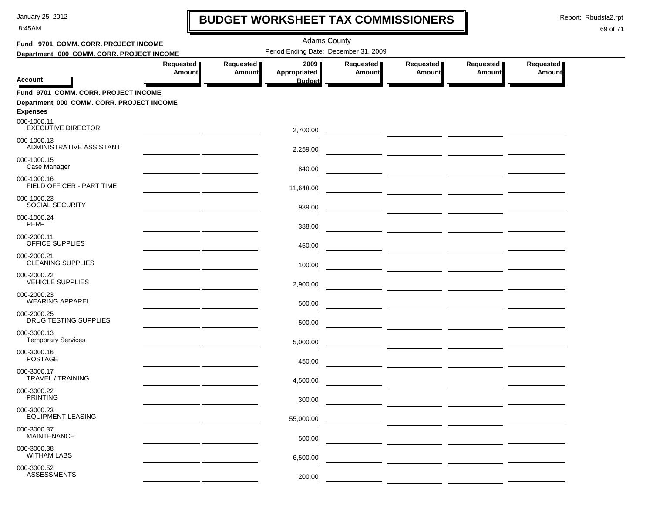8:45AM

# **BUDGET WORKSHEET TAX COMMISSIONERS**

Report: Rbudsta2.rpt

 $\mathbf l$ 

| Fund 9701 COMM. CORR. PROJECT INCOME      |                                                                                                                      |                            | <b>Adams County</b>                            |                     |                                                                                                                       |                            |                            |  |
|-------------------------------------------|----------------------------------------------------------------------------------------------------------------------|----------------------------|------------------------------------------------|---------------------|-----------------------------------------------------------------------------------------------------------------------|----------------------------|----------------------------|--|
| Department 000 COMM. CORR. PROJECT INCOME |                                                                                                                      |                            | Period Ending Date: December 31, 2009          |                     |                                                                                                                       |                            |                            |  |
| Account                                   | Requested<br>Amount                                                                                                  | Requested<br><b>Amount</b> | 2009 ∎<br><b>Appropriated</b><br><b>Budget</b> | Requested<br>Amount | Requested<br><b>Amount</b>                                                                                            | Requested<br><b>Amount</b> | Requested<br><b>Amount</b> |  |
| Fund 9701 COMM. CORR. PROJECT INCOME      |                                                                                                                      |                            |                                                |                     |                                                                                                                       |                            |                            |  |
| Department 000 COMM. CORR. PROJECT INCOME |                                                                                                                      |                            |                                                |                     |                                                                                                                       |                            |                            |  |
| <b>Expenses</b>                           |                                                                                                                      |                            |                                                |                     |                                                                                                                       |                            |                            |  |
| 000-1000.11<br><b>EXECUTIVE DIRECTOR</b>  |                                                                                                                      |                            | 2,700.00                                       |                     |                                                                                                                       |                            |                            |  |
| 000-1000.13<br>ADMINISTRATIVE ASSISTANT   |                                                                                                                      |                            | 2,259.00                                       |                     |                                                                                                                       |                            |                            |  |
| 000-1000.15<br>Case Manager               | <u> 1989 - Jan James James Barnett, amerikansk politiker (</u>                                                       |                            | 840.00                                         |                     |                                                                                                                       |                            |                            |  |
| 000-1000.16<br>FIELD OFFICER - PART TIME  |                                                                                                                      |                            | 11,648.00                                      |                     |                                                                                                                       |                            |                            |  |
| 000-1000.23<br><b>SOCIAL SECURITY</b>     |                                                                                                                      |                            | 939.00                                         |                     |                                                                                                                       |                            |                            |  |
| 000-1000.24<br>PERF                       |                                                                                                                      |                            | 388.00                                         |                     | <u> 1989 - Johann John Stone, mars eta industrial eta industrial eta industrial eta industrial eta industrial eta</u> |                            |                            |  |
| 000-2000.11<br>OFFICE SUPPLIES            |                                                                                                                      |                            | 450.00                                         |                     |                                                                                                                       |                            |                            |  |
| 000-2000.21<br><b>CLEANING SUPPLIES</b>   |                                                                                                                      |                            | 100.00                                         |                     |                                                                                                                       |                            |                            |  |
| 000-2000.22<br><b>VEHICLE SUPPLIES</b>    | <u> 1989 - Jan Stein Stein Stein Stein Stein Stein Stein Stein Stein Stein Stein Stein Stein Stein Stein Stein S</u> |                            | 2,900.00                                       |                     |                                                                                                                       |                            |                            |  |
| 000-2000.23<br><b>WEARING APPAREL</b>     |                                                                                                                      |                            | 500.00                                         |                     |                                                                                                                       |                            |                            |  |
| 000-2000.25<br>DRUG TESTING SUPPLIES      |                                                                                                                      |                            | 500.00                                         |                     |                                                                                                                       |                            |                            |  |
| 000-3000.13<br><b>Temporary Services</b>  |                                                                                                                      |                            | 5,000.00                                       |                     |                                                                                                                       |                            |                            |  |
| 000-3000.16<br><b>POSTAGE</b>             |                                                                                                                      |                            | 450.00                                         |                     |                                                                                                                       |                            |                            |  |
| 000-3000.17<br><b>TRAVEL / TRAINING</b>   |                                                                                                                      |                            | 4,500.00                                       |                     |                                                                                                                       |                            |                            |  |
| 000-3000.22<br><b>PRINTING</b>            |                                                                                                                      |                            | 300.00                                         |                     |                                                                                                                       |                            |                            |  |
| 000-3000.23<br><b>EQUIPMENT LEASING</b>   |                                                                                                                      |                            | 55,000.00                                      |                     |                                                                                                                       |                            |                            |  |
| 000-3000.37<br><b>MAINTENANCE</b>         |                                                                                                                      |                            | 500.00                                         |                     |                                                                                                                       |                            |                            |  |
| 000-3000.38<br><b>WITHAM LABS</b>         |                                                                                                                      |                            | 6,500.00                                       |                     |                                                                                                                       |                            |                            |  |
| 000-3000.52<br><b>ASSESSMENTS</b>         |                                                                                                                      |                            | 200.00                                         |                     |                                                                                                                       |                            |                            |  |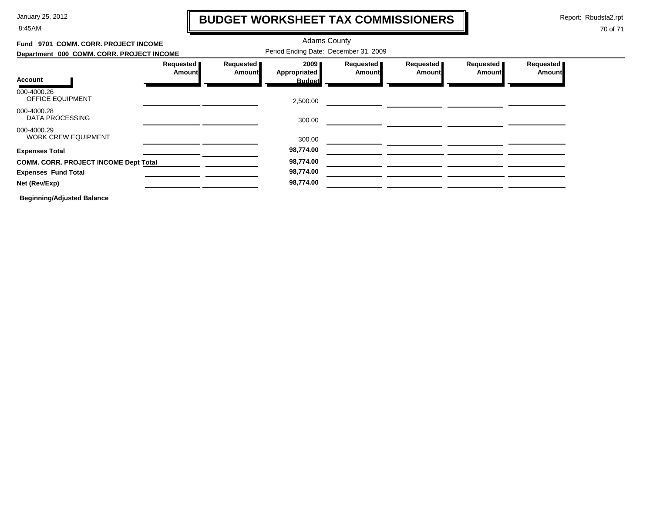8:45AM

# **BUDGET WORKSHEET TAX COMMISSIONERS**

Report: Rbudsta2.rpt

 $\mathbf I$ 

| Fund 9701 COMM. CORR. PROJECT INCOME<br>Department 000 COMM. CORR. PROJECT INCOME |                            |                            | <b>Adams County</b><br>Period Ending Date: December 31, 2009 |                            |                            |                            |                            |
|-----------------------------------------------------------------------------------|----------------------------|----------------------------|--------------------------------------------------------------|----------------------------|----------------------------|----------------------------|----------------------------|
| <b>Account</b>                                                                    | Requested<br><b>Amount</b> | Requested<br><b>Amount</b> | 2009<br><b>Appropriated</b><br><b>Budget</b>                 | Requested<br><b>Amount</b> | Requested<br><b>Amount</b> | Requested<br><b>Amount</b> | Requested<br><b>Amount</b> |
| 000-4000.26<br><b>OFFICE EQUIPMENT</b>                                            |                            |                            | 2,500.00                                                     |                            |                            |                            |                            |
| 000-4000.28<br>DATA PROCESSING                                                    |                            |                            | 300.00                                                       |                            |                            |                            |                            |
| 000-4000.29<br><b>WORK CREW EQUIPMENT</b>                                         |                            |                            | 300.00                                                       |                            |                            |                            |                            |
| <b>Expenses Total</b>                                                             |                            |                            | 98,774.00                                                    |                            |                            |                            |                            |
| <b>COMM. CORR. PROJECT INCOME Dept Total</b>                                      |                            |                            | 98,774.00                                                    |                            |                            |                            |                            |
| <b>Expenses Fund Total</b>                                                        |                            |                            | 98,774.00                                                    |                            |                            |                            |                            |
| Net (Rev/Exp)                                                                     |                            |                            | 98,774.00                                                    |                            |                            |                            |                            |
| <b>Beginning/Adjusted Balance</b>                                                 |                            |                            |                                                              |                            |                            |                            |                            |